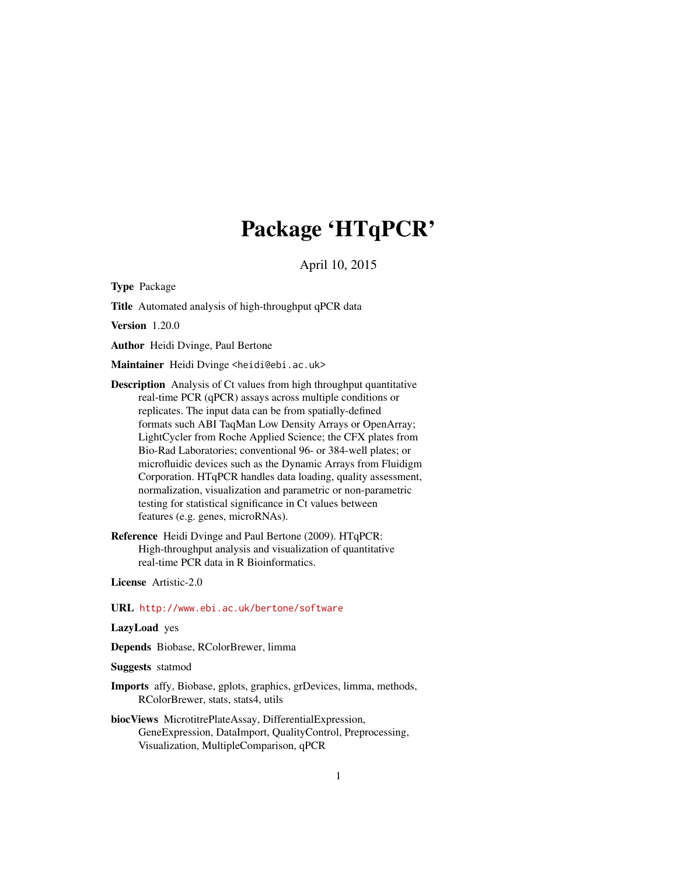# Package 'HTqPCR'

April 10, 2015

<span id="page-0-0"></span>Type Package

Title Automated analysis of high-throughput qPCR data

Version 1.20.0

Author Heidi Dvinge, Paul Bertone

Maintainer Heidi Dvinge <heidi@ebi.ac.uk>

- Description Analysis of Ct values from high throughput quantitative real-time PCR (qPCR) assays across multiple conditions or replicates. The input data can be from spatially-defined formats such ABI TaqMan Low Density Arrays or OpenArray; LightCycler from Roche Applied Science; the CFX plates from Bio-Rad Laboratories; conventional 96- or 384-well plates; or microfluidic devices such as the Dynamic Arrays from Fluidigm Corporation. HTqPCR handles data loading, quality assessment, normalization, visualization and parametric or non-parametric testing for statistical significance in Ct values between features (e.g. genes, microRNAs).
- Reference Heidi Dvinge and Paul Bertone (2009). HTqPCR: High-throughput analysis and visualization of quantitative real-time PCR data in R Bioinformatics.

License Artistic-2.0

URL <http://www.ebi.ac.uk/bertone/software>

LazyLoad yes

Depends Biobase, RColorBrewer, limma

Suggests statmod

- Imports affy, Biobase, gplots, graphics, grDevices, limma, methods, RColorBrewer, stats, stats4, utils
- biocViews MicrotitrePlateAssay, DifferentialExpression, GeneExpression, DataImport, QualityControl, Preprocessing, Visualization, MultipleComparison, qPCR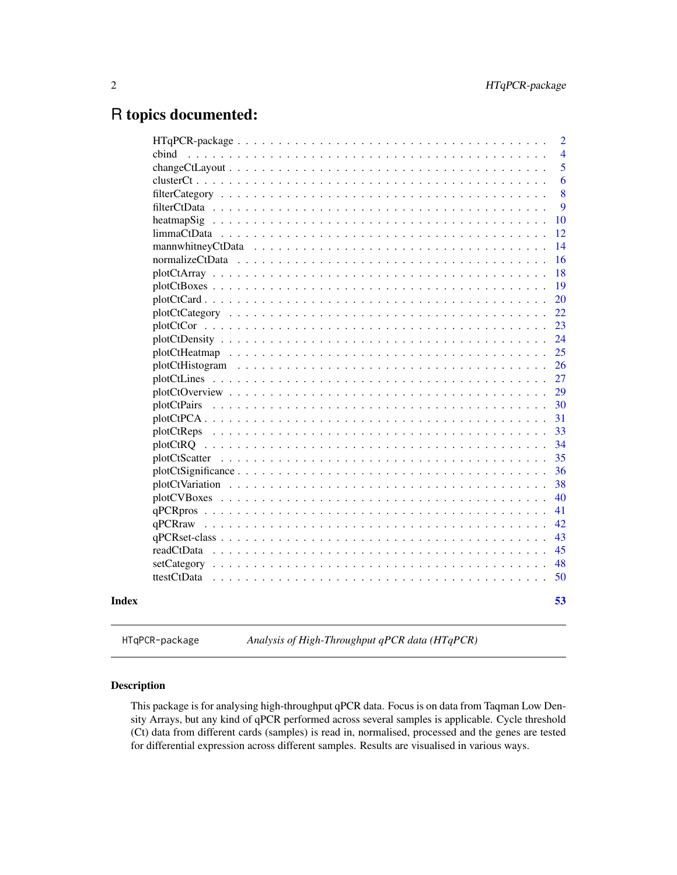# <span id="page-1-0"></span>R topics documented:

|       |                                                                                                                      | 2              |
|-------|----------------------------------------------------------------------------------------------------------------------|----------------|
|       | cbind                                                                                                                | $\overline{4}$ |
|       |                                                                                                                      | 5              |
|       |                                                                                                                      | 6              |
|       |                                                                                                                      | 8              |
|       |                                                                                                                      | 9              |
|       | heatmapSig                                                                                                           | 10             |
|       |                                                                                                                      | 12             |
|       | mannwhitneyCtData                                                                                                    | 14             |
|       | normalizeCtData                                                                                                      | 16             |
|       |                                                                                                                      | 18             |
|       |                                                                                                                      | 19             |
|       |                                                                                                                      | 20             |
|       |                                                                                                                      | 22             |
|       |                                                                                                                      | 23             |
|       |                                                                                                                      | 24             |
|       |                                                                                                                      | 25             |
|       |                                                                                                                      | 26             |
|       |                                                                                                                      | 27             |
|       |                                                                                                                      | 29             |
|       | plotCtPairs                                                                                                          | 30             |
|       |                                                                                                                      | 31             |
|       |                                                                                                                      | 33             |
|       |                                                                                                                      | 34             |
|       |                                                                                                                      | 35             |
|       | $plotCtSignificance \dots \dots \dots \dots \dots \dots \dots \dots \dots \dots \dots \dots \dots \dots \dots \dots$ | 36             |
|       |                                                                                                                      | 38             |
|       |                                                                                                                      | 40             |
|       |                                                                                                                      | 41             |
|       |                                                                                                                      | 42             |
|       |                                                                                                                      | 43             |
|       | readCtData                                                                                                           | 45             |
|       | setCategory                                                                                                          | 48             |
|       | ttestCtData                                                                                                          | 50             |
| Index |                                                                                                                      | 53             |

HTqPCR-package *Analysis of High-Throughput qPCR data (HTqPCR)*

# Description

This package is for analysing high-throughput qPCR data. Focus is on data from Taqman Low Density Arrays, but any kind of qPCR performed across several samples is applicable. Cycle threshold (Ct) data from different cards (samples) is read in, normalised, processed and the genes are tested for differential expression across different samples. Results are visualised in various ways.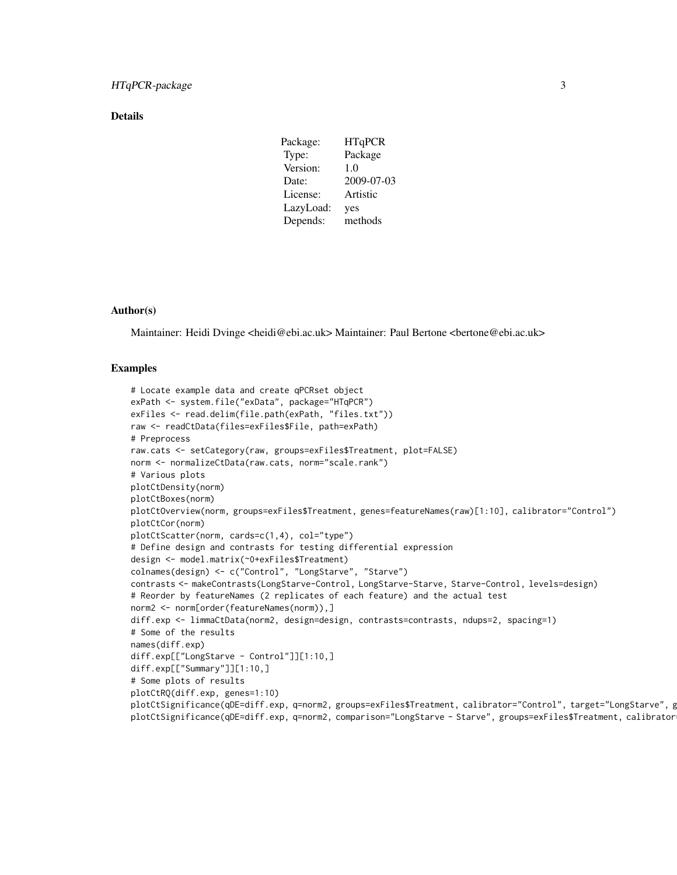### Details

| Package:  | <b>HTqPCR</b> |
|-----------|---------------|
| Type:     | Package       |
| Version:  | 1.0           |
| Date:     | 2009-07-03    |
| License:  | Artistic      |
| LazyLoad: | yes           |
| Depends:  | methods       |

# Author(s)

Maintainer: Heidi Dvinge <heidi@ebi.ac.uk> Maintainer: Paul Bertone <bertone@ebi.ac.uk>

#### Examples

```
# Locate example data and create qPCRset object
exPath <- system.file("exData", package="HTqPCR")
exFiles <- read.delim(file.path(exPath, "files.txt"))
raw <- readCtData(files=exFiles$File, path=exPath)
# Preprocess
raw.cats <- setCategory(raw, groups=exFiles$Treatment, plot=FALSE)
norm <- normalizeCtData(raw.cats, norm="scale.rank")
# Various plots
plotCtDensity(norm)
plotCtBoxes(norm)
plotCtOverview(norm, groups=exFiles$Treatment, genes=featureNames(raw)[1:10], calibrator="Control")
plotCtCor(norm)
plotCtScatter(norm, cards=c(1,4), col="type")
# Define design and contrasts for testing differential expression
design <- model.matrix(~0+exFiles$Treatment)
colnames(design) <- c("Control", "LongStarve", "Starve")
contrasts <- makeContrasts(LongStarve-Control, LongStarve-Starve, Starve-Control, levels=design)
# Reorder by featureNames (2 replicates of each feature) and the actual test
norm2 <- norm[order(featureNames(norm)),]
diff.exp <- limmaCtData(norm2, design=design, contrasts=contrasts, ndups=2, spacing=1)
# Some of the results
names(diff.exp)
diff.exp[["LongStarve - Control"]][1:10,]
diff.exp[["Summary"]][1:10,]
# Some plots of results
plotCtRQ(diff.exp, genes=1:10)
plotCtSignificance(qDE=diff.exp, q=norm2, groups=exFiles$Treatment, calibrator="Control", target="LongStarve", g
plotCtSignificance(qDE=diff.exp, q=norm2, comparison="LongStarve - Starve", groups=exFiles$Treatment, calibrator
```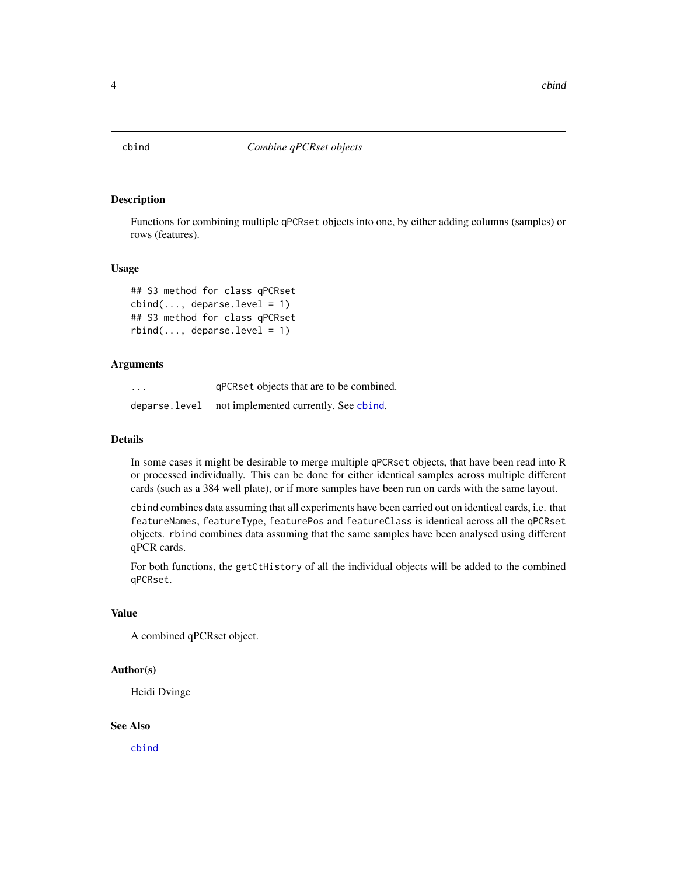<span id="page-3-1"></span><span id="page-3-0"></span>

# Description

Functions for combining multiple qPCRset objects into one, by either adding columns (samples) or rows (features).

#### Usage

```
## S3 method for class qPCRset
cbind(..., deparse.level = 1)## S3 method for class qPCRset
rbind(..., deparse.level = 1)
```
#### Arguments

| $\cdots$ | gPCRset objects that are to be combined.             |
|----------|------------------------------------------------------|
|          | deparse. level not implemented currently. See chind. |

# Details

In some cases it might be desirable to merge multiple qPCRset objects, that have been read into R or processed individually. This can be done for either identical samples across multiple different cards (such as a 384 well plate), or if more samples have been run on cards with the same layout.

cbind combines data assuming that all experiments have been carried out on identical cards, i.e. that featureNames, featureType, featurePos and featureClass is identical across all the qPCRset objects. rbind combines data assuming that the same samples have been analysed using different qPCR cards.

For both functions, the getCtHistory of all the individual objects will be added to the combined qPCRset.

# Value

A combined qPCRset object.

#### Author(s)

Heidi Dvinge

#### See Also

[cbind](#page-3-1)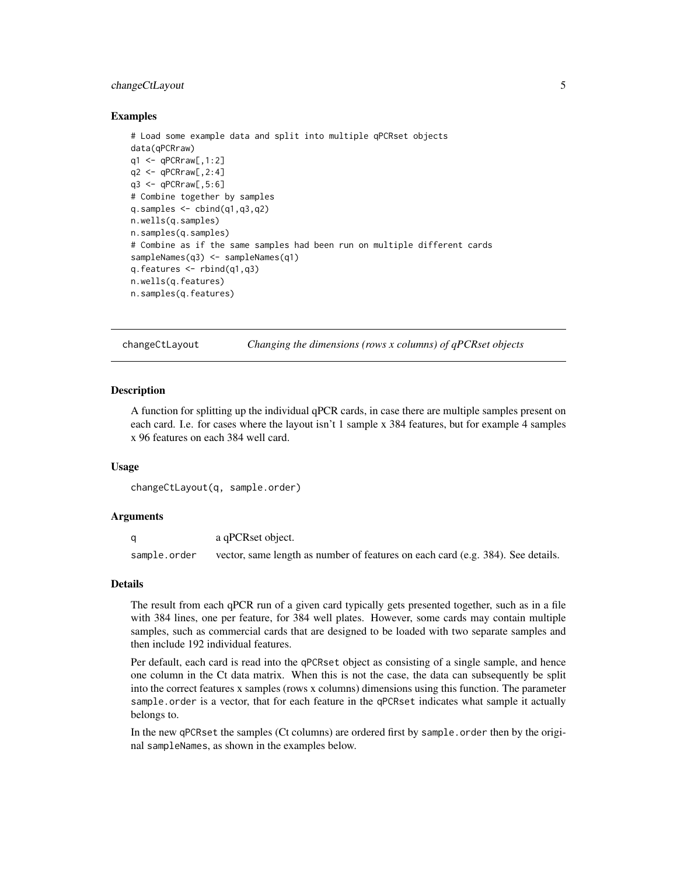# <span id="page-4-0"></span>changeCtLayout 5

#### Examples

```
# Load some example data and split into multiple qPCRset objects
data(qPCRraw)
q1 \leq -qPCRraw[,1:2]
q2 \leq -qPCRraw[, 2:4]q3 \leq -qPCRraw[,5:6]
# Combine together by samples
q.samples \leq cbind(q1,q3,q2)
n.wells(q.samples)
n.samples(q.samples)
# Combine as if the same samples had been run on multiple different cards
sampleNames(q3) <- sampleNames(q1)
q.features <- rbind(q1,q3)
n.wells(q.features)
n.samples(q.features)
```
changeCtLayout *Changing the dimensions (rows x columns) of qPCRset objects*

#### Description

A function for splitting up the individual qPCR cards, in case there are multiple samples present on each card. I.e. for cases where the layout isn't 1 sample x 384 features, but for example 4 samples x 96 features on each 384 well card.

#### Usage

```
changeCtLayout(q, sample.order)
```
#### Arguments

|              | a qPCRset object.                                                               |
|--------------|---------------------------------------------------------------------------------|
| sample.order | vector, same length as number of features on each card (e.g. 384). See details. |

#### Details

The result from each qPCR run of a given card typically gets presented together, such as in a file with 384 lines, one per feature, for 384 well plates. However, some cards may contain multiple samples, such as commercial cards that are designed to be loaded with two separate samples and then include 192 individual features.

Per default, each card is read into the qPCRset object as consisting of a single sample, and hence one column in the Ct data matrix. When this is not the case, the data can subsequently be split into the correct features x samples (rows x columns) dimensions using this function. The parameter sample.order is a vector, that for each feature in the qPCRset indicates what sample it actually belongs to.

In the new qPCRset the samples (Ct columns) are ordered first by sample.order then by the original sampleNames, as shown in the examples below.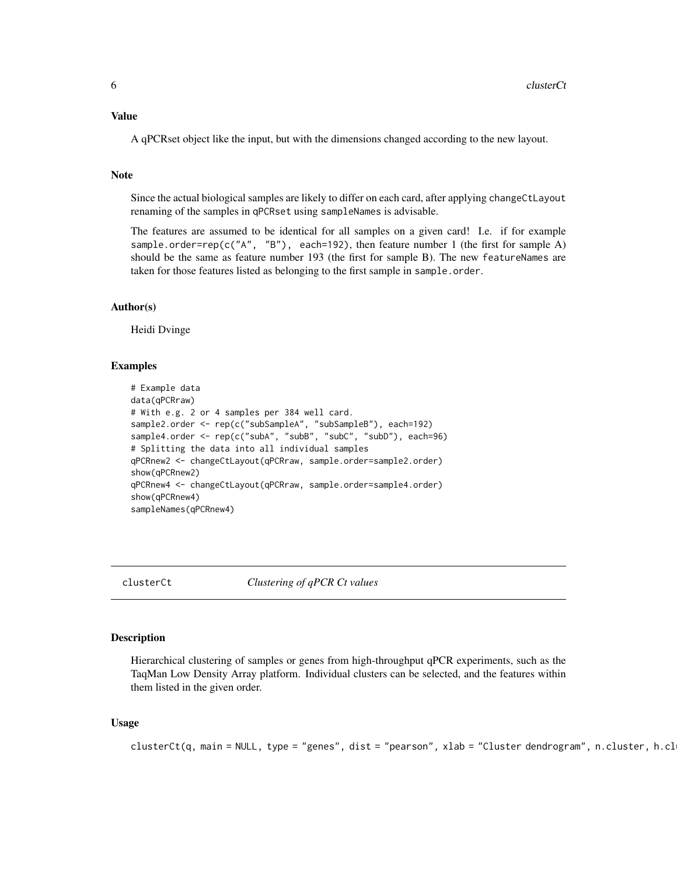#### <span id="page-5-0"></span>Value

A qPCRset object like the input, but with the dimensions changed according to the new layout.

# Note

Since the actual biological samples are likely to differ on each card, after applying changeCtLayout renaming of the samples in qPCRset using sampleNames is advisable.

The features are assumed to be identical for all samples on a given card! I.e. if for example sample.order=rep(c("A", "B"), each=192), then feature number 1 (the first for sample A) should be the same as feature number 193 (the first for sample B). The new featureNames are taken for those features listed as belonging to the first sample in sample.order.

### Author(s)

Heidi Dvinge

#### Examples

```
# Example data
data(qPCRraw)
# With e.g. 2 or 4 samples per 384 well card.
sample2.order <- rep(c("subSampleA", "subSampleB"), each=192)
sample4.order <- rep(c("subA", "subB", "subC", "subD"), each=96)
# Splitting the data into all individual samples
qPCRnew2 <- changeCtLayout(qPCRraw, sample.order=sample2.order)
show(qPCRnew2)
qPCRnew4 <- changeCtLayout(qPCRraw, sample.order=sample4.order)
show(qPCRnew4)
sampleNames(qPCRnew4)
```
clusterCt *Clustering of qPCR Ct values*

# Description

Hierarchical clustering of samples or genes from high-throughput qPCR experiments, such as the TaqMan Low Density Array platform. Individual clusters can be selected, and the features within them listed in the given order.

#### Usage

```
clusterCt(q, main = NULL, type = "genes", dist = "pearson", xlab = "Cluster dendrogram", n.classer, h.cl
```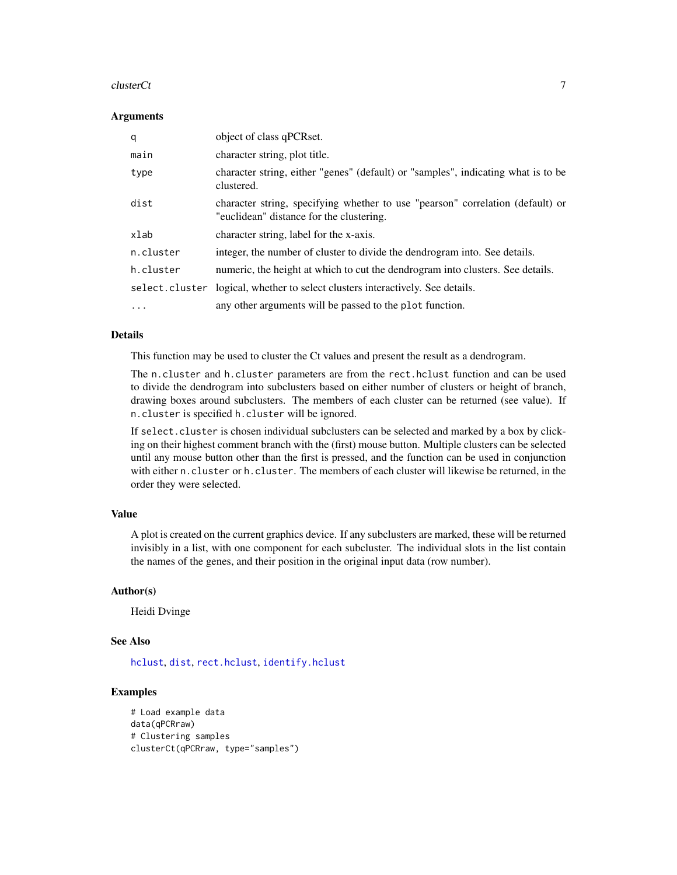#### $clusterC$ t $\qquad \qquad$  7

#### Arguments

| q              | object of class qPCRset.                                                                                                   |
|----------------|----------------------------------------------------------------------------------------------------------------------------|
| main           | character string, plot title.                                                                                              |
| type           | character string, either "genes" (default) or "samples", indicating what is to be<br>clustered.                            |
| dist           | character string, specifying whether to use "pearson" correlation (default) or<br>"euclidean" distance for the clustering. |
| xlab           | character string, label for the x-axis.                                                                                    |
| n.cluster      | integer, the number of cluster to divide the dendrogram into. See details.                                                 |
| h.cluster      | numeric, the height at which to cut the dendrogram into clusters. See details.                                             |
| select.cluster | logical, whether to select clusters interactively. See details.                                                            |
| $\cdots$       | any other arguments will be passed to the plot function.                                                                   |

# Details

This function may be used to cluster the Ct values and present the result as a dendrogram.

The n.cluster and h.cluster parameters are from the rect.hclust function and can be used to divide the dendrogram into subclusters based on either number of clusters or height of branch, drawing boxes around subclusters. The members of each cluster can be returned (see value). If n.cluster is specified h.cluster will be ignored.

If select.cluster is chosen individual subclusters can be selected and marked by a box by clicking on their highest comment branch with the (first) mouse button. Multiple clusters can be selected until any mouse button other than the first is pressed, and the function can be used in conjunction with either n.cluster or h.cluster. The members of each cluster will likewise be returned, in the order they were selected.

# Value

A plot is created on the current graphics device. If any subclusters are marked, these will be returned invisibly in a list, with one component for each subcluster. The individual slots in the list contain the names of the genes, and their position in the original input data (row number).

# Author(s)

Heidi Dvinge

### See Also

[hclust](#page-0-0), [dist](#page-0-0), [rect.hclust](#page-0-0), [identify.hclust](#page-0-0)

# Examples

```
# Load example data
data(qPCRraw)
# Clustering samples
clusterCt(qPCRraw, type="samples")
```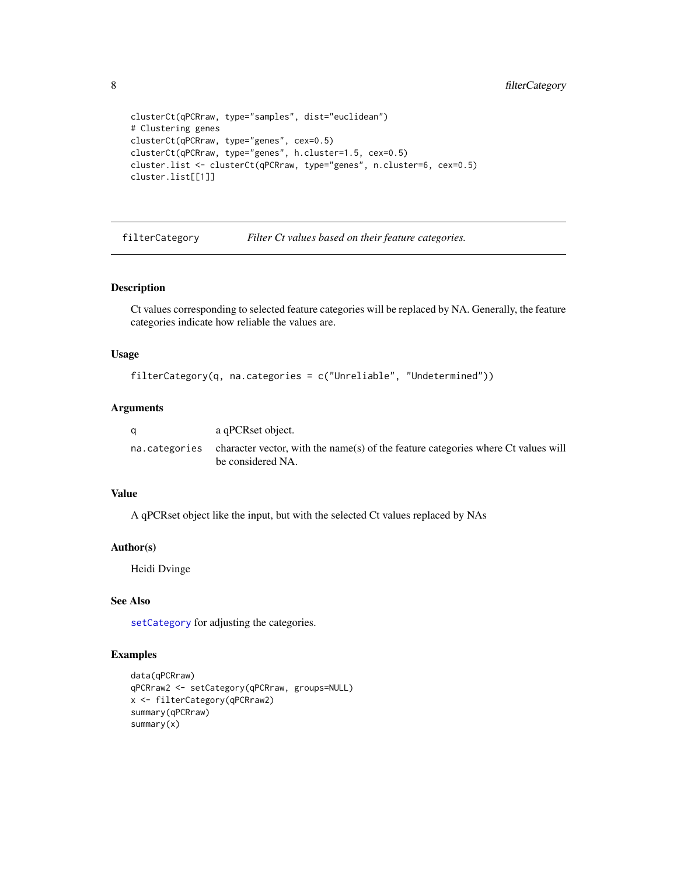```
clusterCt(qPCRraw, type="samples", dist="euclidean")
# Clustering genes
clusterCt(qPCRraw, type="genes", cex=0.5)
clusterCt(qPCRraw, type="genes", h.cluster=1.5, cex=0.5)
cluster.list <- clusterCt(qPCRraw, type="genes", n.cluster=6, cex=0.5)
cluster.list[[1]]
```
<span id="page-7-1"></span>filterCategory *Filter Ct values based on their feature categories.*

# Description

Ct values corresponding to selected feature categories will be replaced by NA. Generally, the feature categories indicate how reliable the values are.

# Usage

```
filterCategory(q, na.categories = c("Unreliable", "Undetermined"))
```
#### Arguments

| a | a qPCRset object.                                                                                                     |
|---|-----------------------------------------------------------------------------------------------------------------------|
|   | na. categories character vector, with the name(s) of the feature categories where Ct values will<br>be considered NA. |

# Value

A qPCRset object like the input, but with the selected Ct values replaced by NAs

#### Author(s)

Heidi Dvinge

# See Also

[setCategory](#page-47-1) for adjusting the categories.

# Examples

```
data(qPCRraw)
qPCRraw2 <- setCategory(qPCRraw, groups=NULL)
x <- filterCategory(qPCRraw2)
summary(qPCRraw)
summary(x)
```
<span id="page-7-0"></span>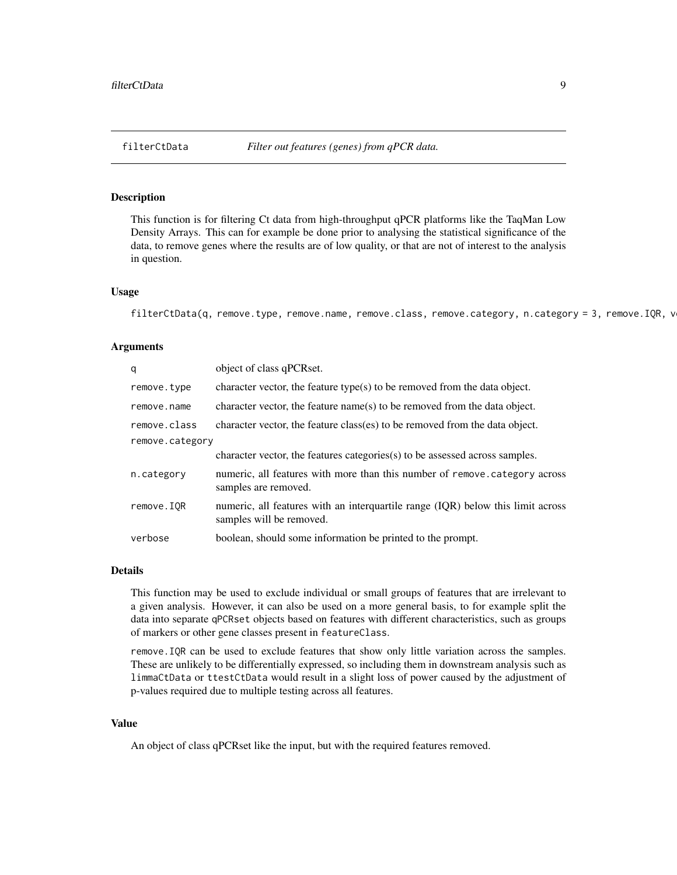<span id="page-8-0"></span>

#### Description

This function is for filtering Ct data from high-throughput qPCR platforms like the TaqMan Low Density Arrays. This can for example be done prior to analysing the statistical significance of the data, to remove genes where the results are of low quality, or that are not of interest to the analysis in question.

#### Usage

filterCtData(q, remove.type, remove.name, remove.class, remove.category, n.category = 3, remove.IQR, v

#### Arguments

| q               | object of class qPCRset.                                                                                    |  |
|-----------------|-------------------------------------------------------------------------------------------------------------|--|
| remove.type     | character vector, the feature type(s) to be removed from the data object.                                   |  |
| remove.name     | character vector, the feature name(s) to be removed from the data object.                                   |  |
| remove.class    | character vector, the feature class(es) to be removed from the data object.                                 |  |
| remove.category |                                                                                                             |  |
|                 | character vector, the features categories(s) to be assessed across samples.                                 |  |
| n.category      | numeric, all features with more than this number of remove. category across<br>samples are removed.         |  |
| remove.IQR      | numeric, all features with an interquartile range (IQR) below this limit across<br>samples will be removed. |  |
| verbose         | boolean, should some information be printed to the prompt.                                                  |  |

#### Details

This function may be used to exclude individual or small groups of features that are irrelevant to a given analysis. However, it can also be used on a more general basis, to for example split the data into separate qPCRset objects based on features with different characteristics, such as groups of markers or other gene classes present in featureClass.

remove.IQR can be used to exclude features that show only little variation across the samples. These are unlikely to be differentially expressed, so including them in downstream analysis such as limmaCtData or ttestCtData would result in a slight loss of power caused by the adjustment of p-values required due to multiple testing across all features.

# Value

An object of class qPCRset like the input, but with the required features removed.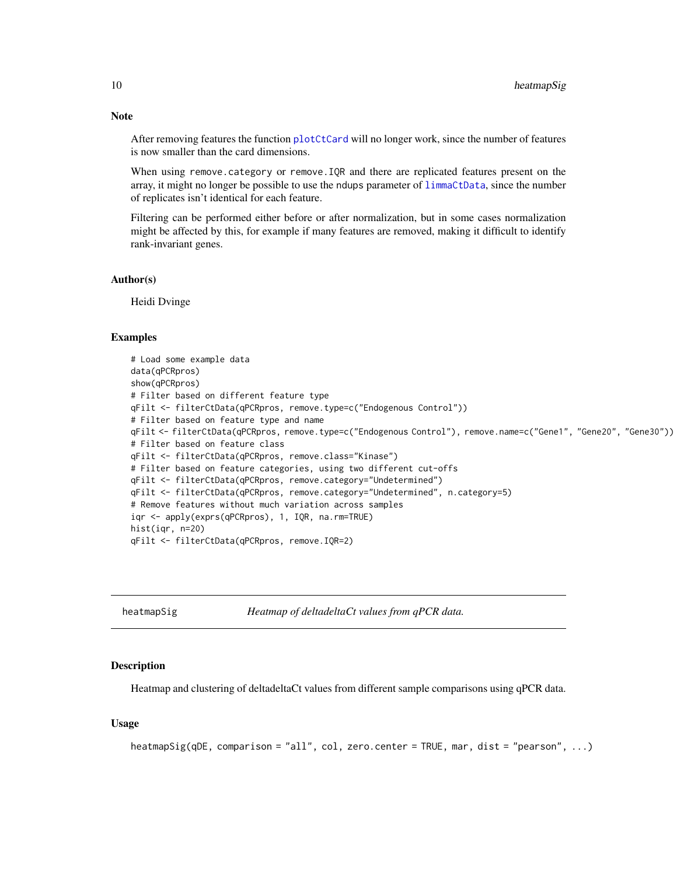After removing features the function [plotCtCard](#page-19-1) will no longer work, since the number of features is now smaller than the card dimensions.

When using remove.category or remove.IQR and there are replicated features present on the array, it might no longer be possible to use the ndups parameter of [limmaCtData](#page-11-1), since the number of replicates isn't identical for each feature.

Filtering can be performed either before or after normalization, but in some cases normalization might be affected by this, for example if many features are removed, making it difficult to identify rank-invariant genes.

#### Author(s)

Heidi Dvinge

#### Examples

```
# Load some example data
data(qPCRpros)
show(qPCRpros)
# Filter based on different feature type
qFilt <- filterCtData(qPCRpros, remove.type=c("Endogenous Control"))
# Filter based on feature type and name
qFilt <- filterCtData(qPCRpros, remove.type=c("Endogenous Control"), remove.name=c("Gene1", "Gene20", "Gene30"))
# Filter based on feature class
qFilt <- filterCtData(qPCRpros, remove.class="Kinase")
# Filter based on feature categories, using two different cut-offs
qFilt <- filterCtData(qPCRpros, remove.category="Undetermined")
qFilt <- filterCtData(qPCRpros, remove.category="Undetermined", n.category=5)
# Remove features without much variation across samples
iqr <- apply(exprs(qPCRpros), 1, IQR, na.rm=TRUE)
hist(iqr, n=20)
qFilt <- filterCtData(qPCRpros, remove.IQR=2)
```
<span id="page-9-1"></span>heatmapSig *Heatmap of deltadeltaCt values from qPCR data.*

#### Description

Heatmap and clustering of deltadeltaCt values from different sample comparisons using qPCR data.

#### Usage

```
heatmapSig(qDE, comparison = "all", col, zero.center = TRUE, mar, dist = "pearson", ...)
```
<span id="page-9-0"></span>

# Note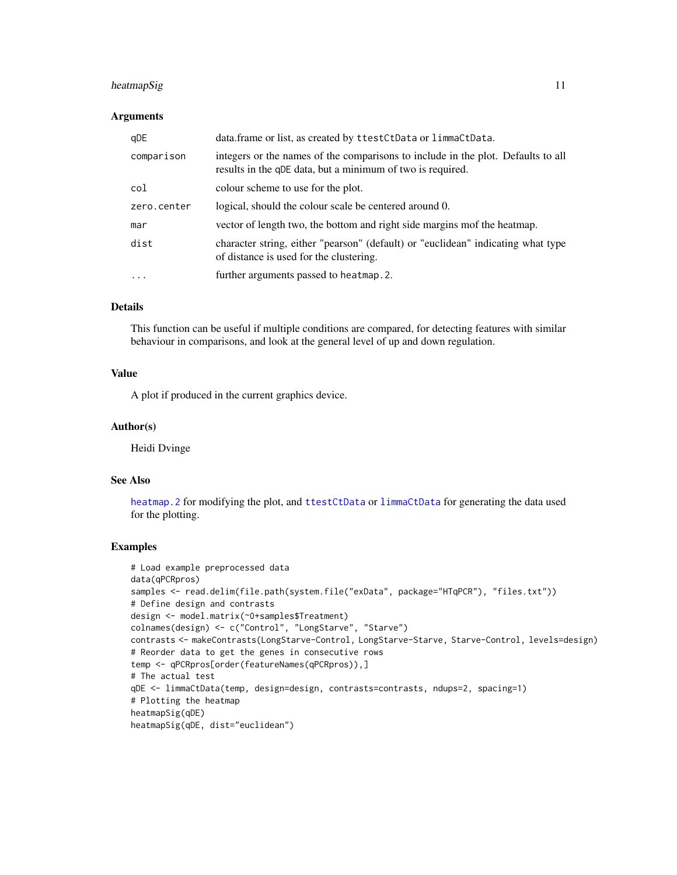# heatmapSig 11

#### Arguments

| qDE         | data.frame or list, as created by ttestCtData or limmaCtData.                                                                                  |
|-------------|------------------------------------------------------------------------------------------------------------------------------------------------|
| comparison  | integers or the names of the comparisons to include in the plot. Defaults to all<br>results in the qDE data, but a minimum of two is required. |
| col         | colour scheme to use for the plot.                                                                                                             |
| zero.center | logical, should the colour scale be centered around 0.                                                                                         |
| mar         | vector of length two, the bottom and right side margins mof the heatmap.                                                                       |
| dist        | character string, either "pearson" (default) or "euclidean" indicating what type<br>of distance is used for the clustering.                    |
| .           | further arguments passed to heatmap. 2.                                                                                                        |

# Details

This function can be useful if multiple conditions are compared, for detecting features with similar behaviour in comparisons, and look at the general level of up and down regulation.

#### Value

A plot if produced in the current graphics device.

# Author(s)

Heidi Dvinge

# See Also

[heatmap.2](#page-0-0) for modifying the plot, and [ttestCtData](#page-49-1) or [limmaCtData](#page-11-1) for generating the data used for the plotting.

# Examples

```
# Load example preprocessed data
data(qPCRpros)
samples <- read.delim(file.path(system.file("exData", package="HTqPCR"), "files.txt"))
# Define design and contrasts
design <- model.matrix(~0+samples$Treatment)
colnames(design) <- c("Control", "LongStarve", "Starve")
contrasts <- makeContrasts(LongStarve-Control, LongStarve-Starve, Starve-Control, levels=design)
# Reorder data to get the genes in consecutive rows
temp <- qPCRpros[order(featureNames(qPCRpros)),]
# The actual test
qDE <- limmaCtData(temp, design=design, contrasts=contrasts, ndups=2, spacing=1)
# Plotting the heatmap
heatmapSig(qDE)
heatmapSig(qDE, dist="euclidean")
```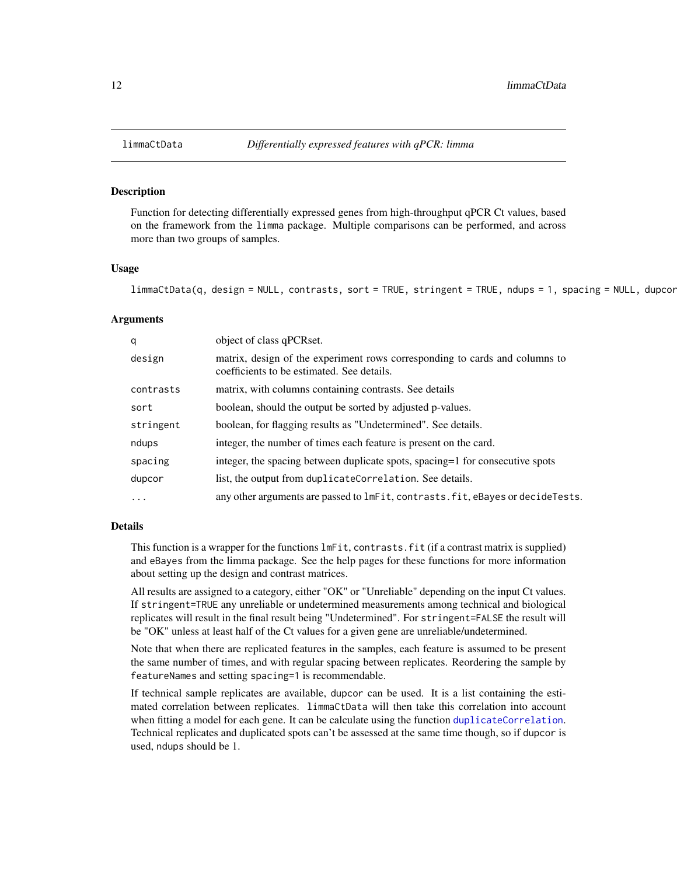#### Description

Function for detecting differentially expressed genes from high-throughput qPCR Ct values, based on the framework from the limma package. Multiple comparisons can be performed, and across more than two groups of samples.

#### Usage

```
limmaCtData(q, design = NULL, contrasts, sort = TRUE, stringent = TRUE, ndups = 1, spacing = NULL, dupcor, ...)
```
#### Arguments

| q          | object of class qPCRset.                                                                                                  |
|------------|---------------------------------------------------------------------------------------------------------------------------|
| design     | matrix, design of the experiment rows corresponding to cards and columns to<br>coefficients to be estimated. See details. |
| contrasts  | matrix, with columns containing contrasts. See details                                                                    |
| sort       | boolean, should the output be sorted by adjusted p-values.                                                                |
| stringent  | boolean, for flagging results as "Undetermined". See details.                                                             |
| ndups      | integer, the number of times each feature is present on the card.                                                         |
| spacing    | integer, the spacing between duplicate spots, spacing=1 for consecutive spots                                             |
| dupcor     | list, the output from duplicateCorrelation. See details.                                                                  |
| $\ddots$ . | any other arguments are passed to $ImFit$ , contrasts. fit, eBayes or decideTests.                                        |

#### Details

This function is a wrapper for the functions lmFit, contrasts.fit (if a contrast matrix is supplied) and eBayes from the limma package. See the help pages for these functions for more information about setting up the design and contrast matrices.

All results are assigned to a category, either "OK" or "Unreliable" depending on the input Ct values. If stringent=TRUE any unreliable or undetermined measurements among technical and biological replicates will result in the final result being "Undetermined". For stringent=FALSE the result will be "OK" unless at least half of the Ct values for a given gene are unreliable/undetermined.

Note that when there are replicated features in the samples, each feature is assumed to be present the same number of times, and with regular spacing between replicates. Reordering the sample by featureNames and setting spacing=1 is recommendable.

If technical sample replicates are available, dupcor can be used. It is a list containing the estimated correlation between replicates. limmaCtData will then take this correlation into account when fitting a model for each gene. It can be calculate using the function [duplicateCorrelation](#page-0-0). Technical replicates and duplicated spots can't be assessed at the same time though, so if dupcor is used, ndups should be 1.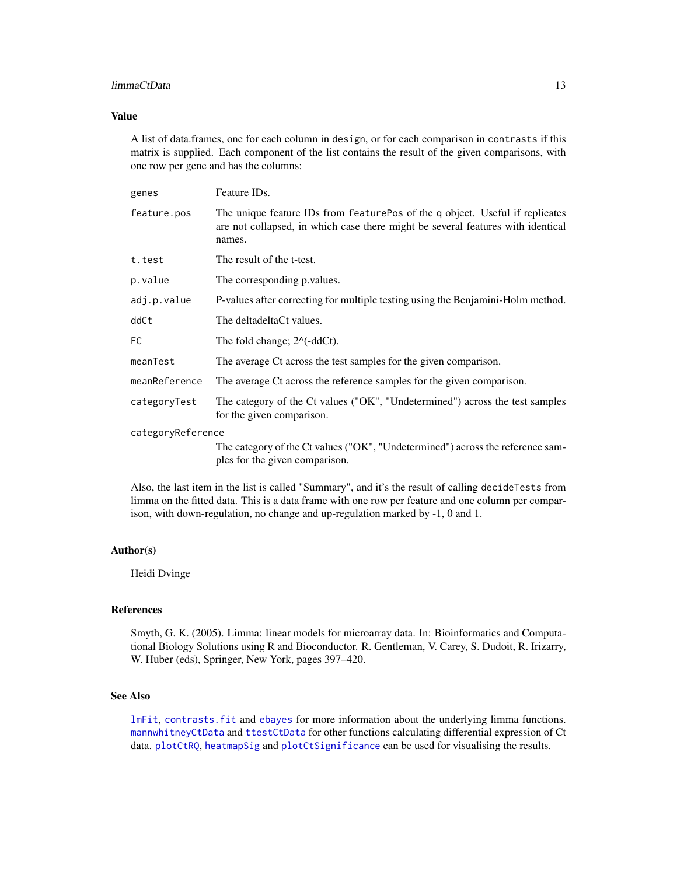#### limmaCtData 13

### Value

A list of data.frames, one for each column in design, or for each comparison in contrasts if this matrix is supplied. Each component of the list contains the result of the given comparisons, with one row per gene and has the columns:

| genes             | Feature ID <sub>s</sub> .                                                                                                                                                 |  |
|-------------------|---------------------------------------------------------------------------------------------------------------------------------------------------------------------------|--|
| feature.pos       | The unique feature IDs from featurePos of the q object. Useful if replicates<br>are not collapsed, in which case there might be several features with identical<br>names. |  |
| t.test            | The result of the t-test.                                                                                                                                                 |  |
| p.value           | The corresponding p. values.                                                                                                                                              |  |
| adj.p.value       | P-values after correcting for multiple testing using the Benjamini-Holm method.                                                                                           |  |
| ddCt              | The deltadeltaCt values.                                                                                                                                                  |  |
| FC.               | The fold change; $2^{\wedge}$ (-ddCt).                                                                                                                                    |  |
| meanTest          | The average Ct across the test samples for the given comparison.                                                                                                          |  |
| meanReference     | The average Ct across the reference samples for the given comparison.                                                                                                     |  |
| categoryTest      | The category of the Ct values ("OK", "Undetermined") across the test samples<br>for the given comparison.                                                                 |  |
| categoryReference |                                                                                                                                                                           |  |
|                   | The category of the Ct values ("OK", "Undetermined") across the reference sam-<br>ples for the given comparison.                                                          |  |

Also, the last item in the list is called "Summary", and it's the result of calling decideTests from limma on the fitted data. This is a data frame with one row per feature and one column per comparison, with down-regulation, no change and up-regulation marked by -1, 0 and 1.

#### Author(s)

Heidi Dvinge

#### References

Smyth, G. K. (2005). Limma: linear models for microarray data. In: Bioinformatics and Computational Biology Solutions using R and Bioconductor. R. Gentleman, V. Carey, S. Dudoit, R. Irizarry, W. Huber (eds), Springer, New York, pages 397–420.

# See Also

[lmFit](#page-0-0), [contrasts.fit](#page-0-0) and [ebayes](#page-0-0) for more information about the underlying limma functions. [mannwhitneyCtData](#page-13-1) and [ttestCtData](#page-49-1) for other functions calculating differential expression of Ct data. [plotCtRQ](#page-33-1), [heatmapSig](#page-9-1) and [plotCtSignificance](#page-35-1) can be used for visualising the results.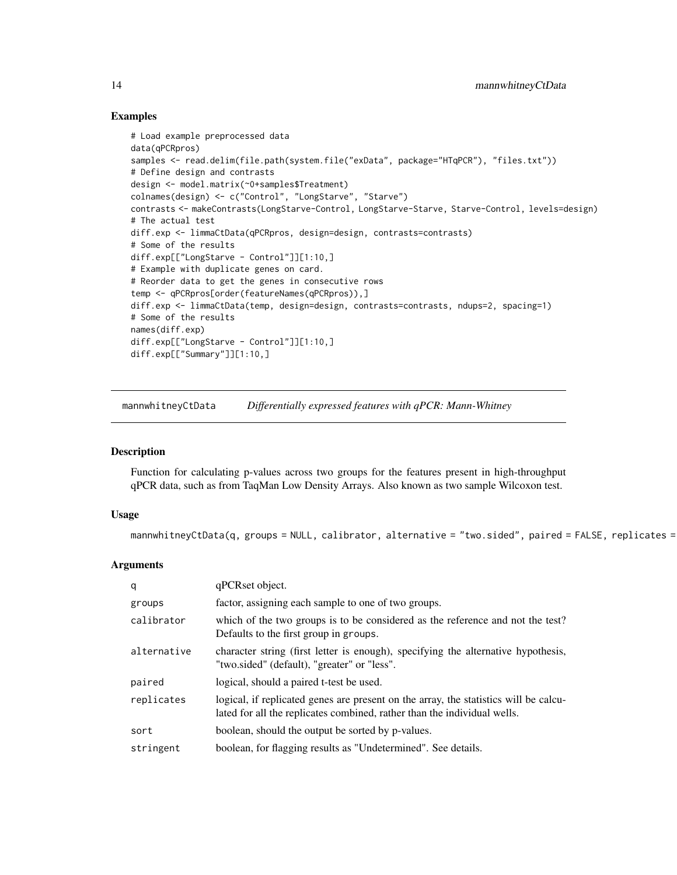# Examples

```
# Load example preprocessed data
data(qPCRpros)
samples <- read.delim(file.path(system.file("exData", package="HTqPCR"), "files.txt"))
# Define design and contrasts
design <- model.matrix(~0+samples$Treatment)
colnames(design) <- c("Control", "LongStarve", "Starve")
contrasts <- makeContrasts(LongStarve-Control, LongStarve-Starve, Starve-Control, levels=design)
# The actual test
diff.exp <- limmaCtData(qPCRpros, design=design, contrasts=contrasts)
# Some of the results
diff.exp[["LongStarve - Control"]][1:10,]
# Example with duplicate genes on card.
# Reorder data to get the genes in consecutive rows
temp <- qPCRpros[order(featureNames(qPCRpros)),]
diff.exp <- limmaCtData(temp, design=design, contrasts=contrasts, ndups=2, spacing=1)
# Some of the results
names(diff.exp)
diff.exp[["LongStarve - Control"]][1:10,]
diff.exp[["Summary"]][1:10,]
```
<span id="page-13-1"></span>mannwhitneyCtData *Differentially expressed features with qPCR: Mann-Whitney*

#### Description

Function for calculating p-values across two groups for the features present in high-throughput qPCR data, such as from TaqMan Low Density Arrays. Also known as two sample Wilcoxon test.

# Usage

mannwhitneyCtData(q, groups = NULL, calibrator, alternative = "two.sided", paired = FALSE, replicates =

# Arguments

| q           | qPCRset object.                                                                                                                                                  |
|-------------|------------------------------------------------------------------------------------------------------------------------------------------------------------------|
| groups      | factor, assigning each sample to one of two groups.                                                                                                              |
| calibrator  | which of the two groups is to be considered as the reference and not the test?<br>Defaults to the first group in groups.                                         |
| alternative | character string (first letter is enough), specifying the alternative hypothesis,<br>"two.sided" (default), "greater" or "less".                                 |
| paired      | logical, should a paired t-test be used.                                                                                                                         |
| replicates  | logical, if replicated genes are present on the array, the statistics will be calcu-<br>lated for all the replicates combined, rather than the individual wells. |
| sort        | boolean, should the output be sorted by p-values.                                                                                                                |
| stringent   | boolean, for flagging results as "Undetermined". See details.                                                                                                    |

<span id="page-13-0"></span>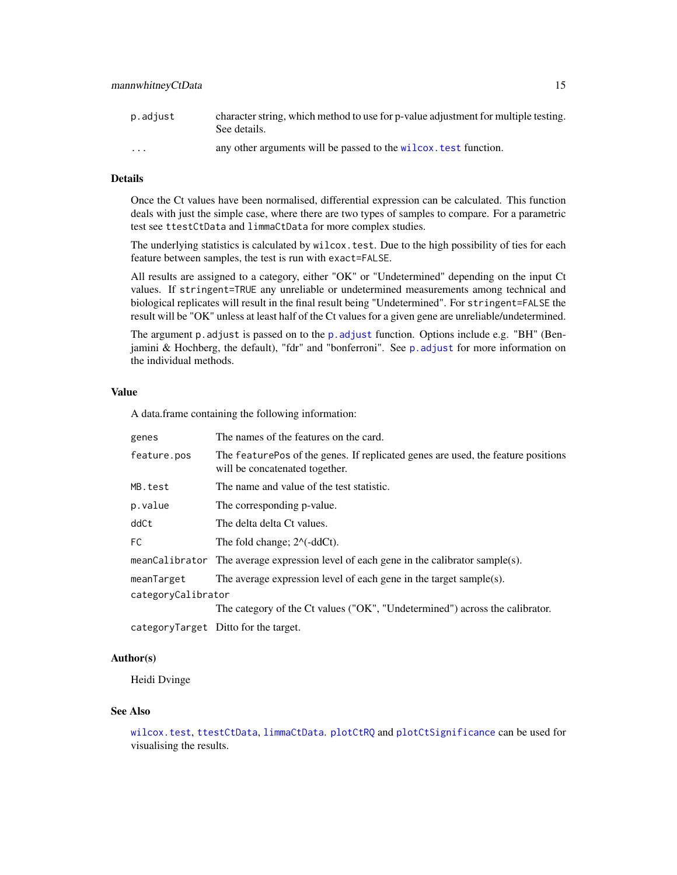# Details

Once the Ct values have been normalised, differential expression can be calculated. This function deals with just the simple case, where there are two types of samples to compare. For a parametric test see ttestCtData and limmaCtData for more complex studies.

The underlying statistics is calculated by wilcox.test. Due to the high possibility of ties for each feature between samples, the test is run with exact=FALSE.

All results are assigned to a category, either "OK" or "Undetermined" depending on the input Ct values. If stringent=TRUE any unreliable or undetermined measurements among technical and biological replicates will result in the final result being "Undetermined". For stringent=FALSE the result will be "OK" unless at least half of the Ct values for a given gene are unreliable/undetermined.

The argument p.adjust is passed on to the [p.adjust](#page-0-0) function. Options include e.g. "BH" (Benjamini & Hochberg, the default), "fdr" and "bonferroni". See [p.adjust](#page-0-0) for more information on the individual methods.

#### Value

A data.frame containing the following information:

| genes              | The names of the features on the card.                                                                             |
|--------------------|--------------------------------------------------------------------------------------------------------------------|
| feature.pos        | The featurePos of the genes. If replicated genes are used, the feature positions<br>will be concatenated together. |
| MB.test            | The name and value of the test statistic.                                                                          |
| p.value            | The corresponding p-value.                                                                                         |
| ddCt               | The delta delta Ct values.                                                                                         |
| FC.                | The fold change; $2^{\wedge}$ (-ddCt).                                                                             |
|                    | meanCalibrator The average expression level of each gene in the calibrator sample(s).                              |
| meanTarget         | The average expression level of each gene in the target sample(s).                                                 |
| categoryCalibrator |                                                                                                                    |
|                    | The category of the Ct values ("OK", "Undetermined") across the calibrator.                                        |
|                    | categoryTarget Ditto for the target.                                                                               |

#### Author(s)

Heidi Dvinge

#### See Also

[wilcox.test](#page-0-0), [ttestCtData](#page-49-1), [limmaCtData](#page-11-1). [plotCtRQ](#page-33-1) and [plotCtSignificance](#page-35-1) can be used for visualising the results.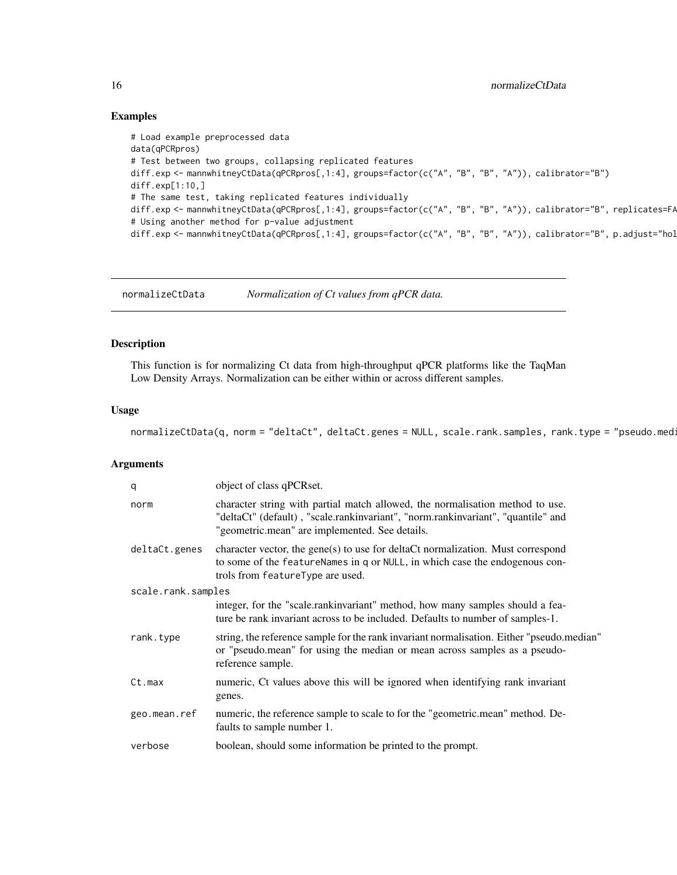# Examples

```
# Load example preprocessed data
data(qPCRpros)
# Test between two groups, collapsing replicated features
diff.exp <- mannwhitneyCtData(qPCRpros[,1:4], groups=factor(c("A", "B", "B", "A")), calibrator="B")
diff.exp[1:10,]
# The same test, taking replicated features individually
diff.exp <- mannwhitneyCtData(qPCRpros[,1:4], groups=factor(c("A", "B", "B", "A")), calibrator="B", replicates=FA
# Using another method for p-value adjustment
diff.exp <- mannwhitneyCtData(qPCRpros[,1:4], groups=factor(c("A", "B", "B", "A")), calibrator="B", p.adjust="hol
```
normalizeCtData *Normalization of Ct values from qPCR data.*

#### Description

This function is for normalizing Ct data from high-throughput qPCR platforms like the TaqMan Low Density Arrays. Normalization can be either within or across different samples.

#### Usage

normalizeCtData(q, norm = "deltaCt", deltaCt.genes = NULL, scale.rank.samples, rank.type = "pseudo.med:

#### Arguments

| q                  | object of class qPCRset.                                                                                                                                                                                            |  |
|--------------------|---------------------------------------------------------------------------------------------------------------------------------------------------------------------------------------------------------------------|--|
| norm               | character string with partial match allowed, the normalisation method to use.<br>"deltaCt" (default), "scale.rankinvariant", "norm.rankinvariant", "quantile" and<br>"geometric.mean" are implemented. See details. |  |
| deltaCt.genes      | character vector, the gene(s) to use for deltaCt normalization. Must correspond<br>to some of the featureNames in q or NULL, in which case the endogenous con-<br>trols from featureType are used.                  |  |
| scale.rank.samples |                                                                                                                                                                                                                     |  |
|                    | integer, for the "scale.rankinvariant" method, how many samples should a fea-<br>ture be rank invariant across to be included. Defaults to number of samples-1.                                                     |  |
| rank.type          | string, the reference sample for the rank invariant normalisation. Either "pseudo.median"<br>or "pseudo.mean" for using the median or mean across samples as a pseudo-<br>reference sample.                         |  |
| Ct.max             | numeric, Ct values above this will be ignored when identifying rank invariant<br>genes.                                                                                                                             |  |
| geo.mean.ref       | numeric, the reference sample to scale to for the "geometric.mean" method. De-<br>faults to sample number 1.                                                                                                        |  |
| verbose            | boolean, should some information be printed to the prompt.                                                                                                                                                          |  |

<span id="page-15-0"></span>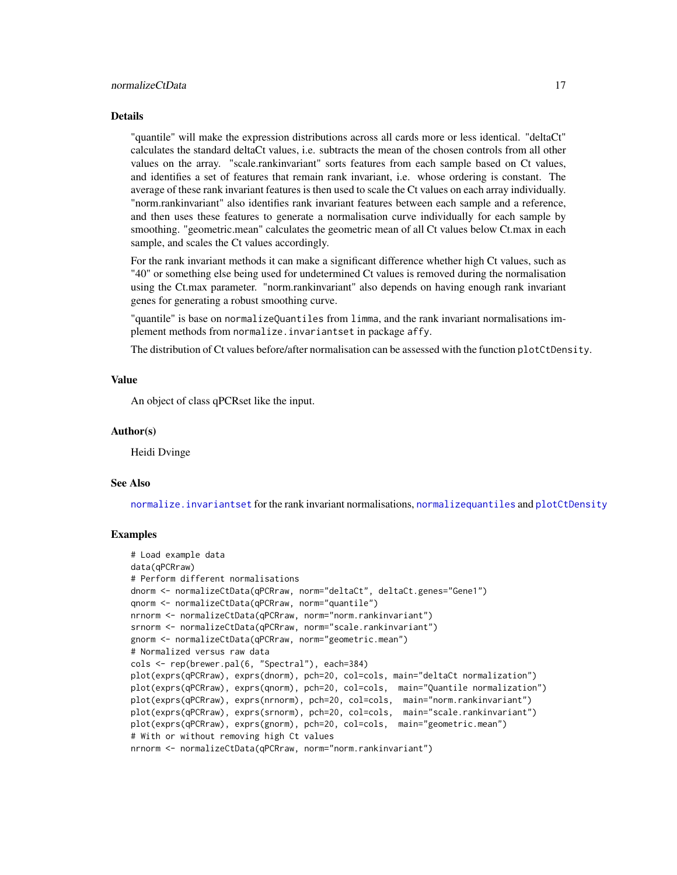#### Details

"quantile" will make the expression distributions across all cards more or less identical. "deltaCt" calculates the standard deltaCt values, i.e. subtracts the mean of the chosen controls from all other values on the array. "scale.rankinvariant" sorts features from each sample based on Ct values, and identifies a set of features that remain rank invariant, i.e. whose ordering is constant. The average of these rank invariant features is then used to scale the Ct values on each array individually. "norm.rankinvariant" also identifies rank invariant features between each sample and a reference, and then uses these features to generate a normalisation curve individually for each sample by smoothing. "geometric.mean" calculates the geometric mean of all Ct values below Ct.max in each sample, and scales the Ct values accordingly.

For the rank invariant methods it can make a significant difference whether high Ct values, such as "40" or something else being used for undetermined Ct values is removed during the normalisation using the Ct.max parameter. "norm.rankinvariant" also depends on having enough rank invariant genes for generating a robust smoothing curve.

"quantile" is base on normalizeQuantiles from limma, and the rank invariant normalisations implement methods from normalize.invariantset in package affy.

The distribution of Ct values before/after normalisation can be assessed with the function plotCtDensity.

#### Value

An object of class qPCRset like the input.

#### Author(s)

Heidi Dvinge

#### See Also

[normalize.invariantset](#page-0-0) for the rank invariant normalisations, [normalizequantiles](#page-0-0) and [plotCtDensity](#page-23-1)

#### Examples

```
# Load example data
data(qPCRraw)
# Perform different normalisations
dnorm <- normalizeCtData(qPCRraw, norm="deltaCt", deltaCt.genes="Gene1")
qnorm <- normalizeCtData(qPCRraw, norm="quantile")
nrnorm <- normalizeCtData(qPCRraw, norm="norm.rankinvariant")
srnorm <- normalizeCtData(qPCRraw, norm="scale.rankinvariant")
gnorm <- normalizeCtData(qPCRraw, norm="geometric.mean")
# Normalized versus raw data
cols <- rep(brewer.pal(6, "Spectral"), each=384)
plot(exprs(qPCRraw), exprs(dnorm), pch=20, col=cols, main="deltaCt normalization")
plot(exprs(qPCRraw), exprs(qnorm), pch=20, col=cols, main="Quantile normalization")
plot(exprs(qPCRraw), exprs(nrnorm), pch=20, col=cols, main="norm.rankinvariant")
plot(exprs(qPCRraw), exprs(srnorm), pch=20, col=cols, main="scale.rankinvariant")
plot(exprs(qPCRraw), exprs(gnorm), pch=20, col=cols, main="geometric.mean")
# With or without removing high Ct values
nrnorm <- normalizeCtData(qPCRraw, norm="norm.rankinvariant")
```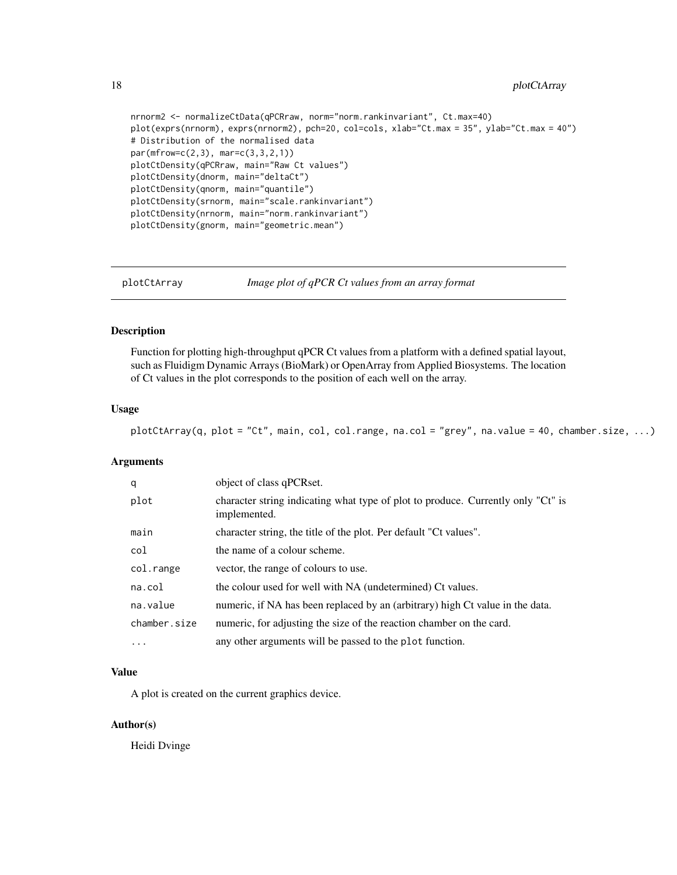```
nrnorm2 <- normalizeCtData(qPCRraw, norm="norm.rankinvariant", Ct.max=40)
plot(exprs(nrnorm), exprs(nrnorm2), pch=20, col=cols, xlab="Ct.max = 35", ylab="Ct.max = 40")
# Distribution of the normalised data
par(mfrow=c(2,3), mar=c(3,3,2,1))plotCtDensity(qPCRraw, main="Raw Ct values")
plotCtDensity(dnorm, main="deltaCt")
plotCtDensity(qnorm, main="quantile")
plotCtDensity(srnorm, main="scale.rankinvariant")
plotCtDensity(nrnorm, main="norm.rankinvariant")
plotCtDensity(gnorm, main="geometric.mean")
```
<span id="page-17-1"></span>

plotCtArray *Image plot of qPCR Ct values from an array format*

# Description

Function for plotting high-throughput qPCR Ct values from a platform with a defined spatial layout, such as Fluidigm Dynamic Arrays (BioMark) or OpenArray from Applied Biosystems. The location of Ct values in the plot corresponds to the position of each well on the array.

# Usage

plotCtArray(q, plot = "Ct", main, col, col.range, na.col = "grey", na.value = 40, chamber.size, ...)

# Arguments

| q            | object of class qPCRset.                                                                         |
|--------------|--------------------------------------------------------------------------------------------------|
| plot         | character string indicating what type of plot to produce. Currently only "Ct" is<br>implemented. |
| main         | character string, the title of the plot. Per default "Ct values".                                |
| col          | the name of a colour scheme.                                                                     |
| col.range    | vector, the range of colours to use.                                                             |
| na.col       | the colour used for well with NA (undetermined) Ct values.                                       |
| na.value     | numeric, if NA has been replaced by an (arbitrary) high Ct value in the data.                    |
| chamber.size | numeric, for adjusting the size of the reaction chamber on the card.                             |
| $\cdots$     | any other arguments will be passed to the plot function.                                         |

#### Value

A plot is created on the current graphics device.

# Author(s)

Heidi Dvinge

<span id="page-17-0"></span>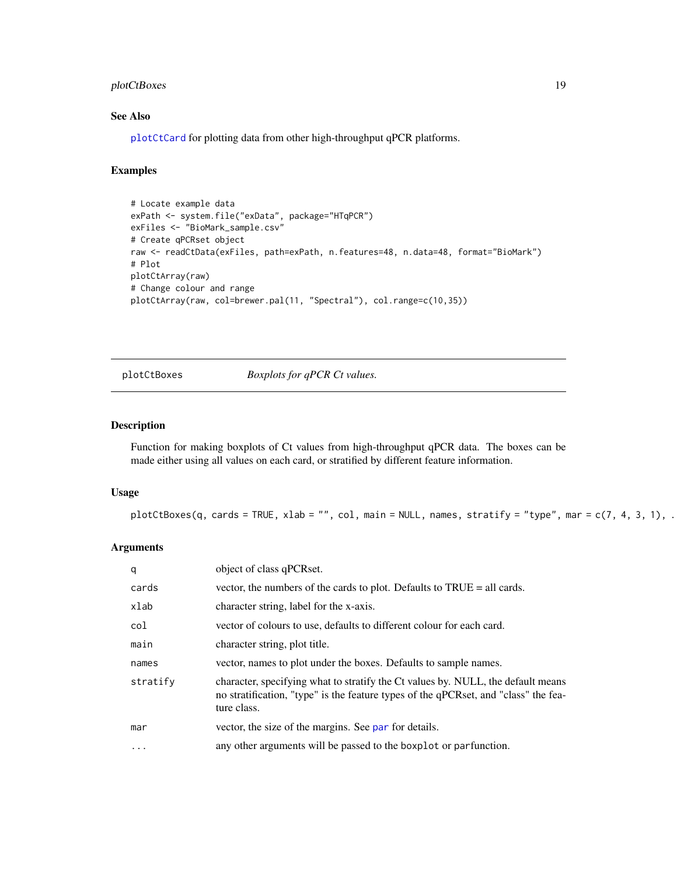# <span id="page-18-0"></span>plotCtBoxes 19

# See Also

[plotCtCard](#page-19-1) for plotting data from other high-throughput qPCR platforms.

# Examples

```
# Locate example data
exPath <- system.file("exData", package="HTqPCR")
exFiles <- "BioMark_sample.csv"
# Create qPCRset object
raw <- readCtData(exFiles, path=exPath, n.features=48, n.data=48, format="BioMark")
# Plot
plotCtArray(raw)
# Change colour and range
plotCtArray(raw, col=brewer.pal(11, "Spectral"), col.range=c(10,35))
```
<span id="page-18-1"></span>plotCtBoxes *Boxplots for qPCR Ct values.*

# Description

Function for making boxplots of Ct values from high-throughput qPCR data. The boxes can be made either using all values on each card, or stratified by different feature information.

# Usage

```
plotCtBoxes(q, cards = TRUE, xlab = "", col, main = NULL, names, stratify = "type", mar = c(7, 4, 3, 1), .
```
# Arguments

| q         | object of class qPCRset.                                                                                                                                                               |
|-----------|----------------------------------------------------------------------------------------------------------------------------------------------------------------------------------------|
| cards     | vector, the numbers of the cards to plot. Defaults to TRUE = all cards.                                                                                                                |
| xlab      | character string, label for the x-axis.                                                                                                                                                |
| col       | vector of colours to use, defaults to different colour for each card.                                                                                                                  |
| main      | character string, plot title.                                                                                                                                                          |
| names     | vector, names to plot under the boxes. Defaults to sample names.                                                                                                                       |
| stratify  | character, specifying what to stratify the Ct values by. NULL, the default means<br>no stratification, "type" is the feature types of the qPCRset, and "class" the fea-<br>ture class. |
| mar       | vector, the size of the margins. See par for details.                                                                                                                                  |
| $\ddotsc$ | any other arguments will be passed to the boxplot or parfunction.                                                                                                                      |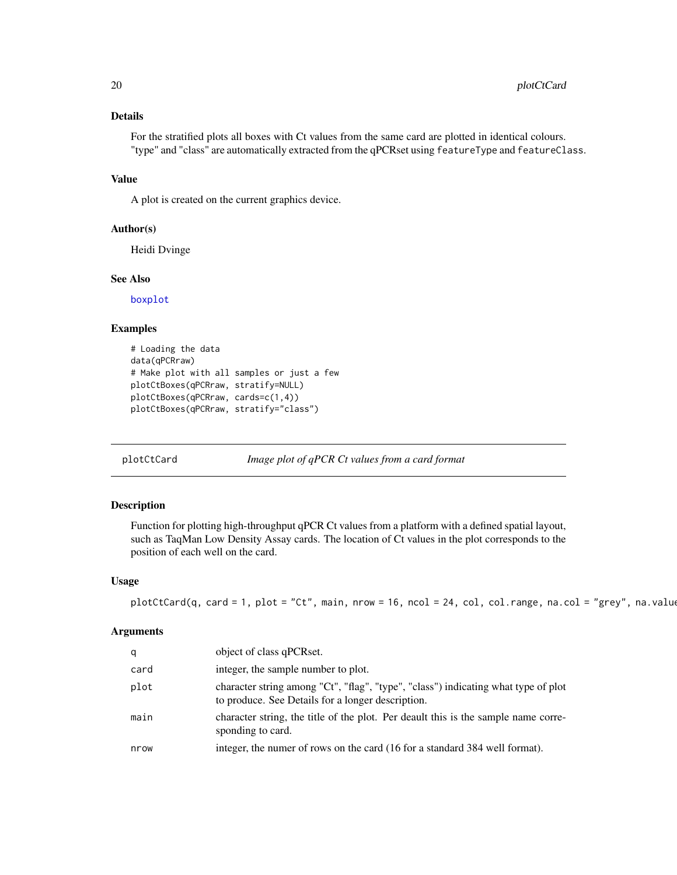# Details

For the stratified plots all boxes with Ct values from the same card are plotted in identical colours. "type" and "class" are automatically extracted from the qPCRset using featureType and featureClass.

#### Value

A plot is created on the current graphics device.

#### Author(s)

Heidi Dvinge

#### See Also

[boxplot](#page-0-0)

#### Examples

```
# Loading the data
data(qPCRraw)
# Make plot with all samples or just a few
plotCtBoxes(qPCRraw, stratify=NULL)
plotCtBoxes(qPCRraw, cards=c(1,4))
plotCtBoxes(qPCRraw, stratify="class")
```
<span id="page-19-1"></span>

plotCtCard *Image plot of qPCR Ct values from a card format*

# Description

Function for plotting high-throughput qPCR Ct values from a platform with a defined spatial layout, such as TaqMan Low Density Assay cards. The location of Ct values in the plot corresponds to the position of each well on the card.

#### Usage

```
plotCtCard(q, card = 1, plot = "Ct", main, nrow = 16, ncol = 24, col, col.range, na.col = "grey", na.value
```
# Arguments

| q    | object of class qPCRset.                                                                                                                |
|------|-----------------------------------------------------------------------------------------------------------------------------------------|
| card | integer, the sample number to plot.                                                                                                     |
| plot | character string among "Ct", "flag", "type", "class") indicating what type of plot<br>to produce. See Details for a longer description. |
| main | character string, the title of the plot. Per deault this is the sample name corre-<br>sponding to card.                                 |
| nrow | integer, the numer of rows on the card (16 for a standard 384 well format).                                                             |

<span id="page-19-0"></span>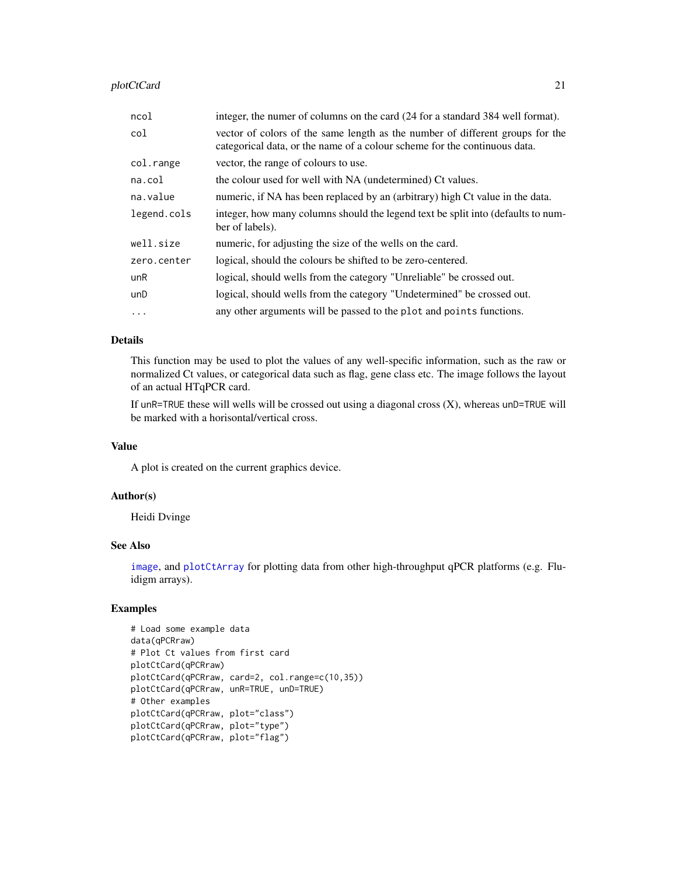plotCtCard 21

| ncol        | integer, the numer of columns on the card (24 for a standard 384 well format).                                                                             |
|-------------|------------------------------------------------------------------------------------------------------------------------------------------------------------|
| col         | vector of colors of the same length as the number of different groups for the<br>categorical data, or the name of a colour scheme for the continuous data. |
| col.range   | vector, the range of colours to use.                                                                                                                       |
| na.col      | the colour used for well with NA (undetermined) Ct values.                                                                                                 |
| na.value    | numeric, if NA has been replaced by an (arbitrary) high Ct value in the data.                                                                              |
| legend.cols | integer, how many columns should the legend text be split into (defaults to num-<br>ber of labels).                                                        |
| well.size   | numeric, for adjusting the size of the wells on the card.                                                                                                  |
| zero.center | logical, should the colours be shifted to be zero-centered.                                                                                                |
| unR         | logical, should wells from the category "Unreliable" be crossed out.                                                                                       |
| unD         | logical, should wells from the category "Undetermined" be crossed out.                                                                                     |
| $\cdots$    | any other arguments will be passed to the plot and points functions.                                                                                       |

# Details

This function may be used to plot the values of any well-specific information, such as the raw or normalized Ct values, or categorical data such as flag, gene class etc. The image follows the layout of an actual HTqPCR card.

If  $unR=TRUE$  these will wells will be crossed out using a diagonal cross  $(X)$ , whereas  $unD=TRUE$  will be marked with a horisontal/vertical cross.

#### Value

A plot is created on the current graphics device.

#### Author(s)

Heidi Dvinge

# See Also

[image](#page-0-0), and [plotCtArray](#page-17-1) for plotting data from other high-throughput qPCR platforms (e.g. Fluidigm arrays).

#### Examples

```
# Load some example data
data(qPCRraw)
# Plot Ct values from first card
plotCtCard(qPCRraw)
plotCtCard(qPCRraw, card=2, col.range=c(10,35))
plotCtCard(qPCRraw, unR=TRUE, unD=TRUE)
# Other examples
plotCtCard(qPCRraw, plot="class")
plotCtCard(qPCRraw, plot="type")
plotCtCard(qPCRraw, plot="flag")
```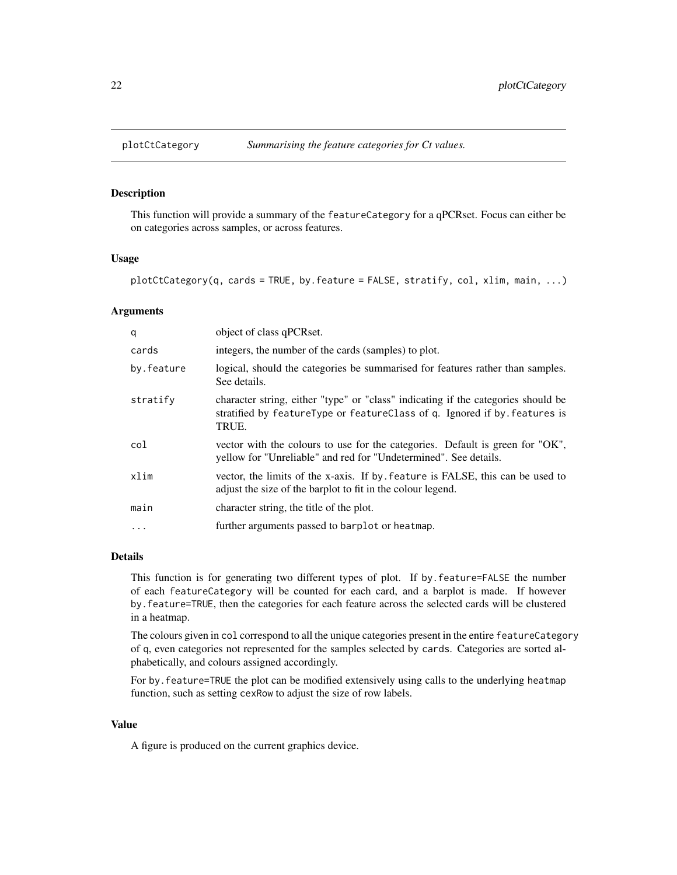<span id="page-21-1"></span><span id="page-21-0"></span>

# Description

This function will provide a summary of the featureCategory for a qPCRset. Focus can either be on categories across samples, or across features.

#### Usage

```
plotCtCategory(q, cards = TRUE, by.feature = FALSE, stratify, col, xlim, main, ...)
```
#### Arguments

| q          | object of class qPCRset.                                                                                                                                                |
|------------|-------------------------------------------------------------------------------------------------------------------------------------------------------------------------|
| cards      | integers, the number of the cards (samples) to plot.                                                                                                                    |
| by.feature | logical, should the categories be summarised for features rather than samples.<br>See details.                                                                          |
| stratify   | character string, either "type" or "class" indicating if the categories should be<br>stratified by featureType or featureClass of q. Ignored if by features is<br>TRUE. |
| col        | vector with the colours to use for the categories. Default is green for "OK",<br>yellow for "Unreliable" and red for "Undetermined". See details.                       |
| xlim       | vector, the limits of the x-axis. If by feature is FALSE, this can be used to<br>adjust the size of the barplot to fit in the colour legend.                            |
| main       | character string, the title of the plot.                                                                                                                                |
| $\cdot$    | further arguments passed to barplot or heatmap.                                                                                                                         |
|            |                                                                                                                                                                         |

#### Details

This function is for generating two different types of plot. If by.feature=FALSE the number of each featureCategory will be counted for each card, and a barplot is made. If however by.feature=TRUE, then the categories for each feature across the selected cards will be clustered in a heatmap.

The colours given in col correspond to all the unique categories present in the entire featureCategory of q, even categories not represented for the samples selected by cards. Categories are sorted alphabetically, and colours assigned accordingly.

For by. feature=TRUE the plot can be modified extensively using calls to the underlying heatmap function, such as setting cexRow to adjust the size of row labels.

# Value

A figure is produced on the current graphics device.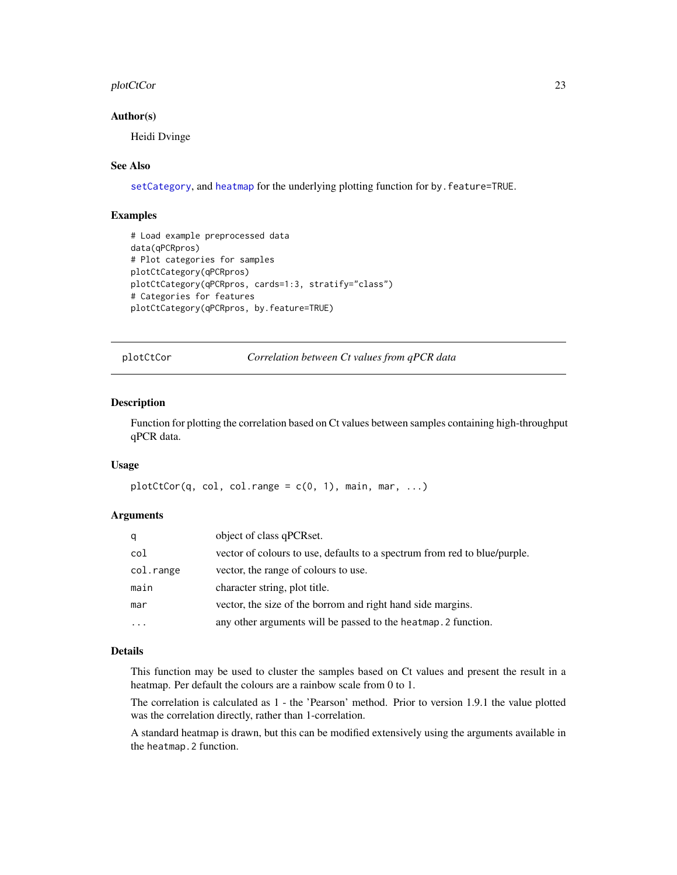#### <span id="page-22-0"></span>plotCtCor 23

#### Author(s)

Heidi Dvinge

#### See Also

[setCategory](#page-47-1), and [heatmap](#page-0-0) for the underlying plotting function for by. feature=TRUE.

# Examples

```
# Load example preprocessed data
data(qPCRpros)
# Plot categories for samples
plotCtCategory(qPCRpros)
plotCtCategory(qPCRpros, cards=1:3, stratify="class")
# Categories for features
plotCtCategory(qPCRpros, by.feature=TRUE)
```
plotCtCor *Correlation between Ct values from qPCR data*

#### Description

Function for plotting the correlation based on Ct values between samples containing high-throughput qPCR data.

#### Usage

```
plotCtCor(q, col, col. range = c(0, 1), main, mar, ...)
```
#### Arguments

| q         | object of class qPCRset.                                                  |
|-----------|---------------------------------------------------------------------------|
| col       | vector of colours to use, defaults to a spectrum from red to blue/purple. |
| col.range | vector, the range of colours to use.                                      |
| main      | character string, plot title.                                             |
| mar       | vector, the size of the borrom and right hand side margins.               |
| $\ddotsc$ | any other arguments will be passed to the heatmap. 2 function.            |

# Details

This function may be used to cluster the samples based on Ct values and present the result in a heatmap. Per default the colours are a rainbow scale from 0 to 1.

The correlation is calculated as 1 - the 'Pearson' method. Prior to version 1.9.1 the value plotted was the correlation directly, rather than 1-correlation.

A standard heatmap is drawn, but this can be modified extensively using the arguments available in the heatmap.2 function.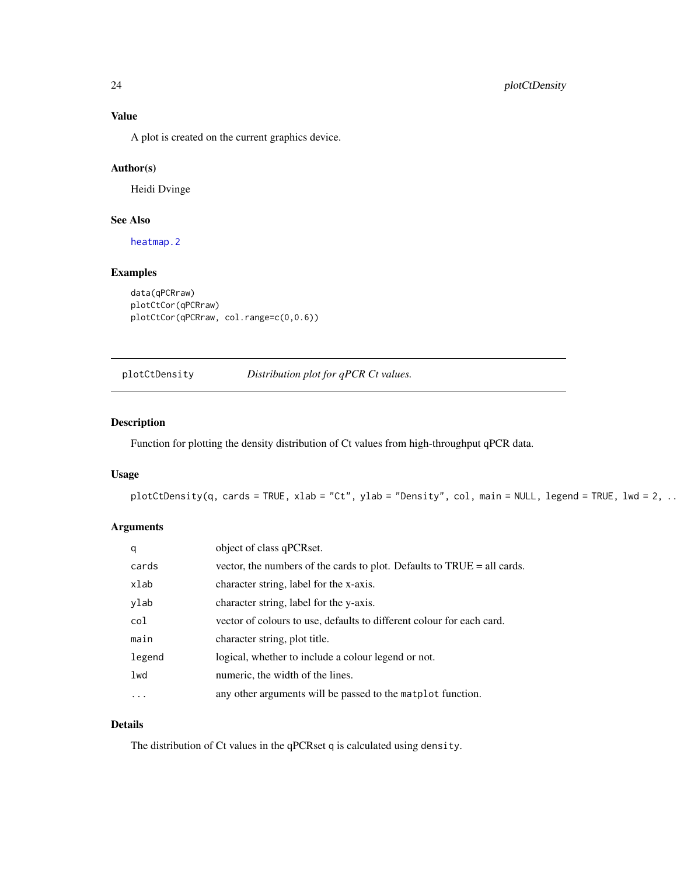<span id="page-23-0"></span>A plot is created on the current graphics device.

#### Author(s)

Heidi Dvinge

# See Also

[heatmap.2](#page-0-0)

# Examples

```
data(qPCRraw)
plotCtCor(qPCRraw)
plotCtCor(qPCRraw, col.range=c(0,0.6))
```
<span id="page-23-1"></span>plotCtDensity *Distribution plot for qPCR Ct values.*

#### Description

Function for plotting the density distribution of Ct values from high-throughput qPCR data.

# Usage

```
plotCtDensity(q, cards = TRUE, xlab = "Ct", ylab = "Density", col, main = NULL, legend = TRUE, lwd = 2, ...)
```
# Arguments

| q        | object of class qPCRset.                                                     |
|----------|------------------------------------------------------------------------------|
| cards    | vector, the numbers of the cards to plot. Defaults to $TRUE = all \, cards.$ |
| xlab     | character string, label for the x-axis.                                      |
| ylab     | character string, label for the y-axis.                                      |
| col      | vector of colours to use, defaults to different colour for each card.        |
| main     | character string, plot title.                                                |
| legend   | logical, whether to include a colour legend or not.                          |
| lwd      | numeric, the width of the lines.                                             |
| $\ddots$ | any other arguments will be passed to the matplot function.                  |

# Details

The distribution of Ct values in the qPCRset q is calculated using density.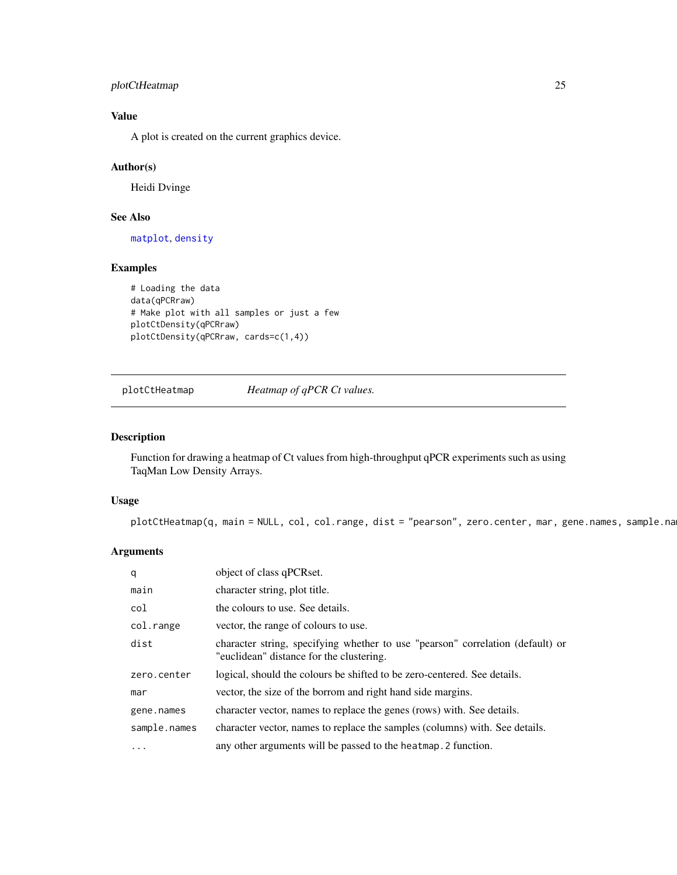# <span id="page-24-0"></span>plotCtHeatmap 25

# Value

A plot is created on the current graphics device.

# Author(s)

Heidi Dvinge

# See Also

[matplot](#page-0-0), [density](#page-0-0)

# Examples

```
# Loading the data
data(qPCRraw)
# Make plot with all samples or just a few
plotCtDensity(qPCRraw)
plotCtDensity(qPCRraw, cards=c(1,4))
```
plotCtHeatmap *Heatmap of qPCR Ct values.*

# Description

Function for drawing a heatmap of Ct values from high-throughput qPCR experiments such as using TaqMan Low Density Arrays.

# Usage

 $plotCtHeatmap(q, main = NULL, col, col.random, dist = "pearson", zero.center, mar, gene.name, same.$ 

# Arguments

| q            | object of class qPCRset.                                                                                                   |
|--------------|----------------------------------------------------------------------------------------------------------------------------|
| main         | character string, plot title.                                                                                              |
| col          | the colours to use. See details.                                                                                           |
| col.range    | vector, the range of colours to use.                                                                                       |
| dist         | character string, specifying whether to use "pearson" correlation (default) or<br>"euclidean" distance for the clustering. |
| zero.center  | logical, should the colours be shifted to be zero-centered. See details.                                                   |
| mar          | vector, the size of the borrom and right hand side margins.                                                                |
| gene.names   | character vector, names to replace the genes (rows) with. See details.                                                     |
| sample.names | character vector, names to replace the samples (columns) with. See details.                                                |
| $\cdots$     | any other arguments will be passed to the heatmap. 2 function.                                                             |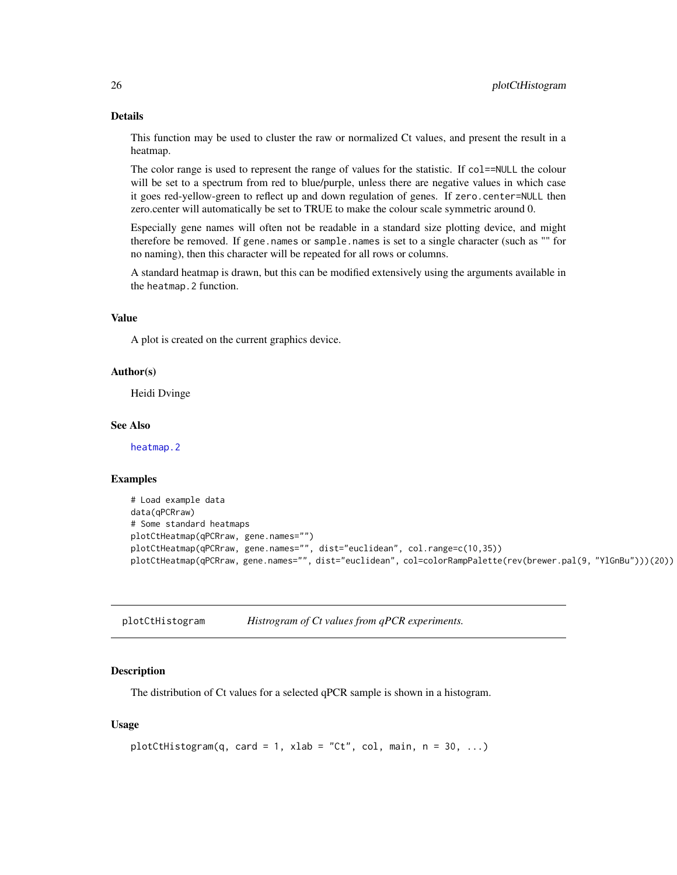#### Details

This function may be used to cluster the raw or normalized Ct values, and present the result in a heatmap.

The color range is used to represent the range of values for the statistic. If col==NULL the colour will be set to a spectrum from red to blue/purple, unless there are negative values in which case it goes red-yellow-green to reflect up and down regulation of genes. If zero.center=NULL then zero.center will automatically be set to TRUE to make the colour scale symmetric around 0.

Especially gene names will often not be readable in a standard size plotting device, and might therefore be removed. If gene.names or sample.names is set to a single character (such as "" for no naming), then this character will be repeated for all rows or columns.

A standard heatmap is drawn, but this can be modified extensively using the arguments available in the heatmap.2 function.

#### Value

A plot is created on the current graphics device.

#### Author(s)

Heidi Dvinge

#### See Also

[heatmap.2](#page-0-0)

#### Examples

```
# Load example data
data(qPCRraw)
# Some standard heatmaps
plotCtHeatmap(qPCRraw, gene.names="")
plotCtHeatmap(qPCRraw, gene.names="", dist="euclidean", col.range=c(10,35))
plotCtHeatmap(qPCRraw, gene.names="", dist="euclidean", col=colorRampPalette(rev(brewer.pal(9, "YlGnBu")))(20))
```
plotCtHistogram *Histrogram of Ct values from qPCR experiments.*

#### **Description**

The distribution of Ct values for a selected qPCR sample is shown in a histogram.

#### Usage

```
plotCtHistogram(q, card = 1, xlab = "Ct", col, main, n = 30, ...)
```
<span id="page-25-0"></span>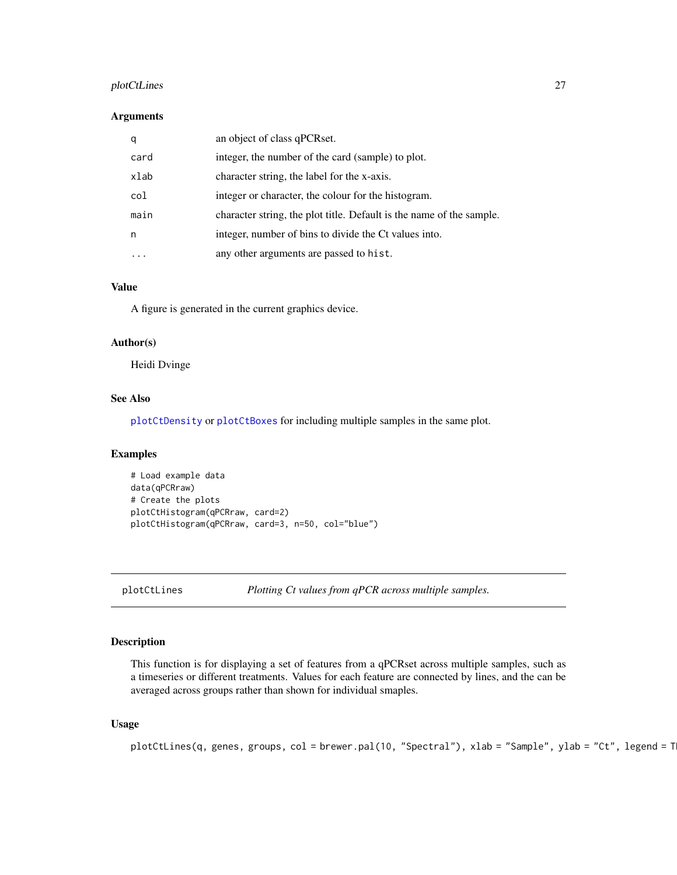# <span id="page-26-0"></span>plotCtLines 27

#### Arguments

| q    | an object of class qPCRset.                                          |
|------|----------------------------------------------------------------------|
| card | integer, the number of the card (sample) to plot.                    |
| xlab | character string, the label for the x-axis.                          |
| col  | integer or character, the colour for the histogram.                  |
| main | character string, the plot title. Default is the name of the sample. |
| n    | integer, number of bins to divide the Ct values into.                |
|      | any other arguments are passed to hist.                              |

# Value

A figure is generated in the current graphics device.

# Author(s)

Heidi Dvinge

# See Also

[plotCtDensity](#page-23-1) or [plotCtBoxes](#page-18-1) for including multiple samples in the same plot.

# Examples

```
# Load example data
data(qPCRraw)
# Create the plots
plotCtHistogram(qPCRraw, card=2)
plotCtHistogram(qPCRraw, card=3, n=50, col="blue")
```
plotCtLines *Plotting Ct values from qPCR across multiple samples.*

### Description

This function is for displaying a set of features from a qPCRset across multiple samples, such as a timeseries or different treatments. Values for each feature are connected by lines, and the can be averaged across groups rather than shown for individual smaples.

# Usage

```
plotCtLines(q, genes, groups, col = brewer.pal(10, "Spectral"), xlab = "Sample", ylab = "Ct", legend = T
```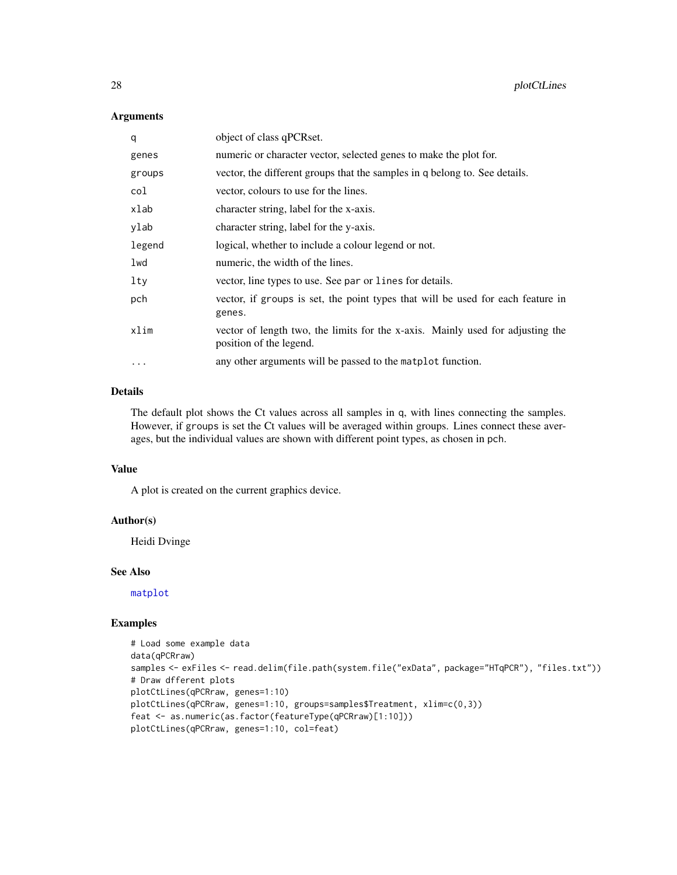#### Arguments

| q        | object of class qPCRset.                                                                                  |
|----------|-----------------------------------------------------------------------------------------------------------|
| genes    | numeric or character vector, selected genes to make the plot for.                                         |
| groups   | vector, the different groups that the samples in q belong to. See details.                                |
| col      | vector, colours to use for the lines.                                                                     |
| xlab     | character string, label for the x-axis.                                                                   |
| ylab     | character string, label for the y-axis.                                                                   |
| legend   | logical, whether to include a colour legend or not.                                                       |
| lwd      | numeric, the width of the lines.                                                                          |
| lty      | vector, line types to use. See par or lines for details.                                                  |
| pch      | vector, if groups is set, the point types that will be used for each feature in<br>genes.                 |
| xlim     | vector of length two, the limits for the x-axis. Mainly used for adjusting the<br>position of the legend. |
| $\cdots$ | any other arguments will be passed to the matplot function.                                               |

# Details

The default plot shows the Ct values across all samples in q, with lines connecting the samples. However, if groups is set the Ct values will be averaged within groups. Lines connect these averages, but the individual values are shown with different point types, as chosen in pch.

#### Value

A plot is created on the current graphics device.

#### Author(s)

Heidi Dvinge

#### See Also

[matplot](#page-0-0)

#### Examples

```
# Load some example data
data(qPCRraw)
samples <- exFiles <- read.delim(file.path(system.file("exData", package="HTqPCR"), "files.txt"))
# Draw dfferent plots
plotCtLines(qPCRraw, genes=1:10)
plotCtLines(qPCRraw, genes=1:10, groups=samples$Treatment, xlim=c(0,3))
feat <- as.numeric(as.factor(featureType(qPCRraw)[1:10]))
plotCtLines(qPCRraw, genes=1:10, col=feat)
```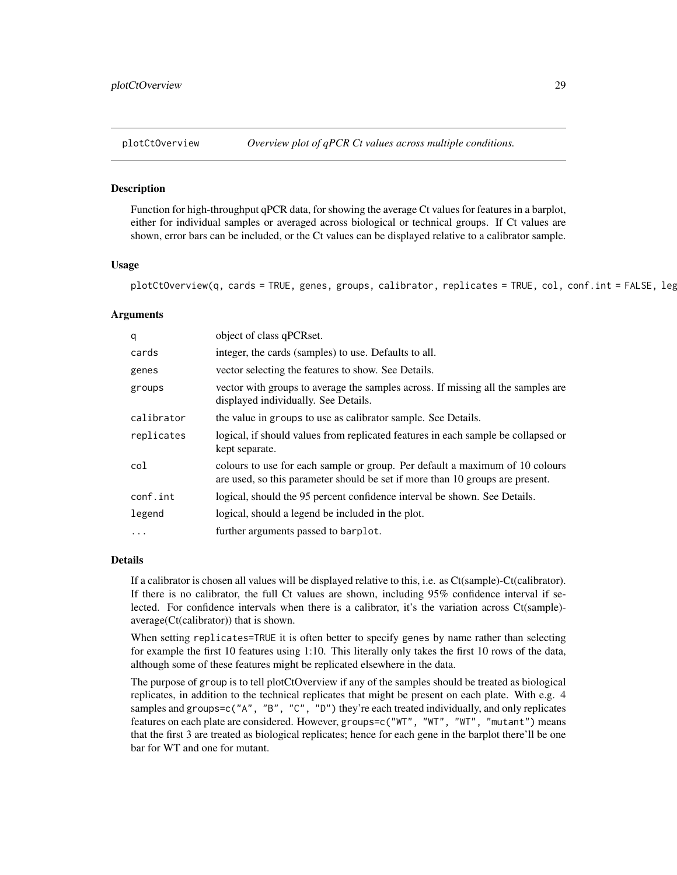<span id="page-28-1"></span><span id="page-28-0"></span>

# **Description**

Function for high-throughput qPCR data, for showing the average Ct values for features in a barplot, either for individual samples or averaged across biological or technical groups. If Ct values are shown, error bars can be included, or the Ct values can be displayed relative to a calibrator sample.

#### Usage

plotCtOverview(q, cards = TRUE, genes, groups, calibrator, replicates = TRUE, col, conf.int = FALSE, leg

## Arguments

| q          | object of class qPCRset.                                                                                                                                      |
|------------|---------------------------------------------------------------------------------------------------------------------------------------------------------------|
| cards      | integer, the cards (samples) to use. Defaults to all.                                                                                                         |
| genes      | vector selecting the features to show. See Details.                                                                                                           |
| groups     | vector with groups to average the samples across. If missing all the samples are<br>displayed individually. See Details.                                      |
| calibrator | the value in groups to use as calibrator sample. See Details.                                                                                                 |
| replicates | logical, if should values from replicated features in each sample be collapsed or<br>kept separate.                                                           |
| col        | colours to use for each sample or group. Per default a maximum of 10 colours<br>are used, so this parameter should be set if more than 10 groups are present. |
| conf.int   | logical, should the 95 percent confidence interval be shown. See Details.                                                                                     |
| legend     | logical, should a legend be included in the plot.                                                                                                             |
| $\ddotsc$  | further arguments passed to barplot.                                                                                                                          |

#### Details

If a calibrator is chosen all values will be displayed relative to this, i.e. as Ct(sample)-Ct(calibrator). If there is no calibrator, the full Ct values are shown, including 95% confidence interval if selected. For confidence intervals when there is a calibrator, it's the variation across Ct(sample)average(Ct(calibrator)) that is shown.

When setting replicates=TRUE it is often better to specify genes by name rather than selecting for example the first 10 features using 1:10. This literally only takes the first 10 rows of the data, although some of these features might be replicated elsewhere in the data.

The purpose of group is to tell plotCtOverview if any of the samples should be treated as biological replicates, in addition to the technical replicates that might be present on each plate. With e.g. 4 samples and groups=c("A", "B", "C", "D") they're each treated individually, and only replicates features on each plate are considered. However, groups=c("WT", "WT", "WT", "mutant") means that the first 3 are treated as biological replicates; hence for each gene in the barplot there'll be one bar for WT and one for mutant.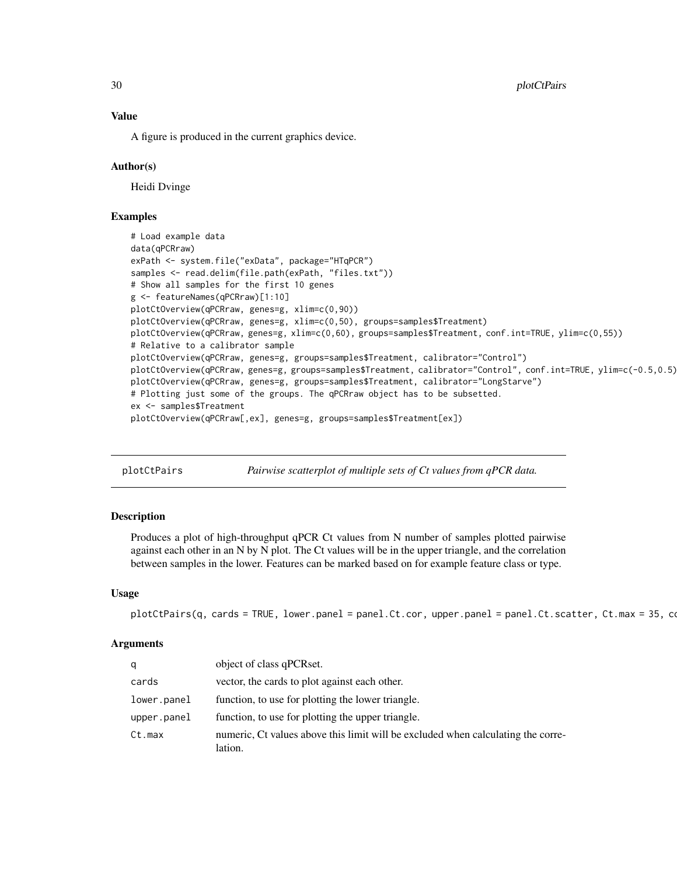<span id="page-29-0"></span>30 plotCtPairs and the plotCtPairs and the plotCtPairs and the plotCtPairs and the plotCtPairs and the plotCtPairs and the plotCtPairs and the plotCtPairs and the plotCtPairs and the plotCtPairs and the plotCtPairs and the

#### Value

A figure is produced in the current graphics device.

### Author(s)

Heidi Dvinge

# Examples

```
# Load example data
data(qPCRraw)
exPath <- system.file("exData", package="HTqPCR")
samples <- read.delim(file.path(exPath, "files.txt"))
# Show all samples for the first 10 genes
g <- featureNames(qPCRraw)[1:10]
plotCtOverview(qPCRraw, genes=g, xlim=c(0,90))
plotCtOverview(qPCRraw, genes=g, xlim=c(0,50), groups=samples$Treatment)
plotCtOverview(qPCRraw, genes=g, xlim=c(0,60), groups=samples$Treatment, conf.int=TRUE, ylim=c(0,55))
# Relative to a calibrator sample
plotCtOverview(qPCRraw, genes=g, groups=samples$Treatment, calibrator="Control")
plotCtOverview(qPCRraw, genes=g, groups=samples$Treatment, calibrator="Control", conf.int=TRUE, ylim=c(-0.5,0.5))
plotCtOverview(qPCRraw, genes=g, groups=samples$Treatment, calibrator="LongStarve")
# Plotting just some of the groups. The qPCRraw object has to be subsetted.
ex <- samples$Treatment
plotCtOverview(qPCRraw[,ex], genes=g, groups=samples$Treatment[ex])
```
plotCtPairs *Pairwise scatterplot of multiple sets of Ct values from qPCR data.*

# **Description**

Produces a plot of high-throughput qPCR Ct values from N number of samples plotted pairwise against each other in an N by N plot. The Ct values will be in the upper triangle, and the correlation between samples in the lower. Features can be marked based on for example feature class or type.

#### Usage

```
plotCtPairs(q, cards = TRUE, lower.panel = panel.Ct.cor, upper.panel = panel.Ct.scatter, Ct.max = 35, co
```
#### Arguments

| q           | object of class qPCRset.                                                                    |
|-------------|---------------------------------------------------------------------------------------------|
| cards       | vector, the cards to plot against each other.                                               |
| lower.panel | function, to use for plotting the lower triangle.                                           |
| upper.png   | function, to use for plotting the upper triangle.                                           |
| Ct.max      | numeric, Ct values above this limit will be excluded when calculating the corre-<br>lation. |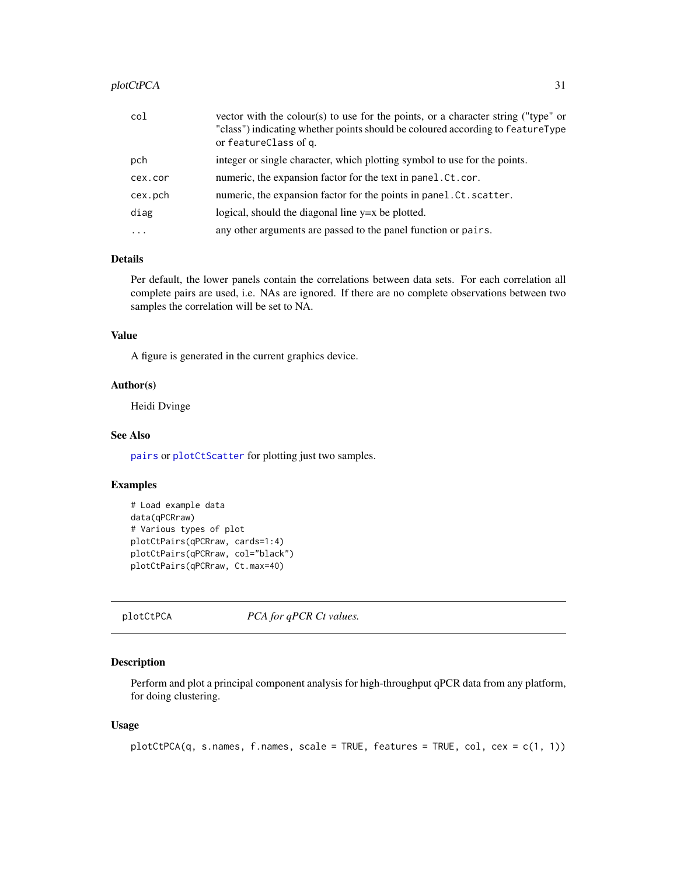#### <span id="page-30-0"></span>plotCtPCA 31

| col      | vector with the colour(s) to use for the points, or a character string ("type" or<br>"class") indicating whether points should be coloured according to featureType<br>or featureClass of q. |
|----------|----------------------------------------------------------------------------------------------------------------------------------------------------------------------------------------------|
| pch      | integer or single character, which plotting symbol to use for the points.                                                                                                                    |
| cex.cor  | numeric, the expansion factor for the text in panel. Ct. cor.                                                                                                                                |
| cex.pch  | numeric, the expansion factor for the points in panel.Ct.scatter.                                                                                                                            |
| diag     | logical, should the diagonal line $y=x$ be plotted.                                                                                                                                          |
| $\cdots$ | any other arguments are passed to the panel function or pairs.                                                                                                                               |

### Details

Per default, the lower panels contain the correlations between data sets. For each correlation all complete pairs are used, i.e. NAs are ignored. If there are no complete observations between two samples the correlation will be set to NA.

# Value

A figure is generated in the current graphics device.

# Author(s)

Heidi Dvinge

### See Also

[pairs](#page-0-0) or [plotCtScatter](#page-34-1) for plotting just two samples.

# Examples

```
# Load example data
data(qPCRraw)
# Various types of plot
plotCtPairs(qPCRraw, cards=1:4)
plotCtPairs(qPCRraw, col="black")
plotCtPairs(qPCRraw, Ct.max=40)
```
plotCtPCA *PCA for qPCR Ct values.*

# Description

Perform and plot a principal component analysis for high-throughput qPCR data from any platform, for doing clustering.

#### Usage

```
plotCtPCA(q, s.names, f.names, scale = TRUE, features = TRUE, col, cex = c(1, 1))
```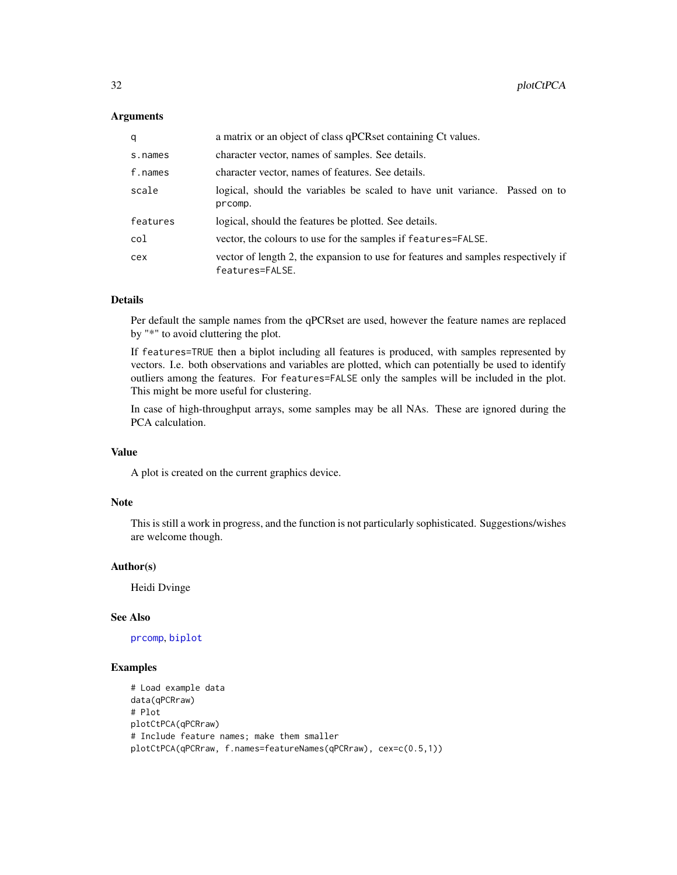#### **Arguments**

| q        | a matrix or an object of class qPCRset containing Ct values.                                         |
|----------|------------------------------------------------------------------------------------------------------|
| s.names  | character vector, names of samples. See details.                                                     |
| f.names  | character vector, names of features. See details.                                                    |
| scale    | logical, should the variables be scaled to have unit variance. Passed on to<br>prcomp.               |
| features | logical, should the features be plotted. See details.                                                |
| col      | vector, the colours to use for the samples if features=FALSE.                                        |
| cex      | vector of length 2, the expansion to use for features and samples respectively if<br>features=FALSE. |

# Details

Per default the sample names from the qPCRset are used, however the feature names are replaced by "\*" to avoid cluttering the plot.

If features=TRUE then a biplot including all features is produced, with samples represented by vectors. I.e. both observations and variables are plotted, which can potentially be used to identify outliers among the features. For features=FALSE only the samples will be included in the plot. This might be more useful for clustering.

In case of high-throughput arrays, some samples may be all NAs. These are ignored during the PCA calculation.

#### Value

A plot is created on the current graphics device.

#### Note

This is still a work in progress, and the function is not particularly sophisticated. Suggestions/wishes are welcome though.

# Author(s)

Heidi Dvinge

# See Also

#### [prcomp](#page-0-0), [biplot](#page-0-0)

# Examples

```
# Load example data
data(qPCRraw)
# Plot
plotCtPCA(qPCRraw)
# Include feature names; make them smaller
plotCtPCA(qPCRraw, f.names=featureNames(qPCRraw), cex=c(0.5,1))
```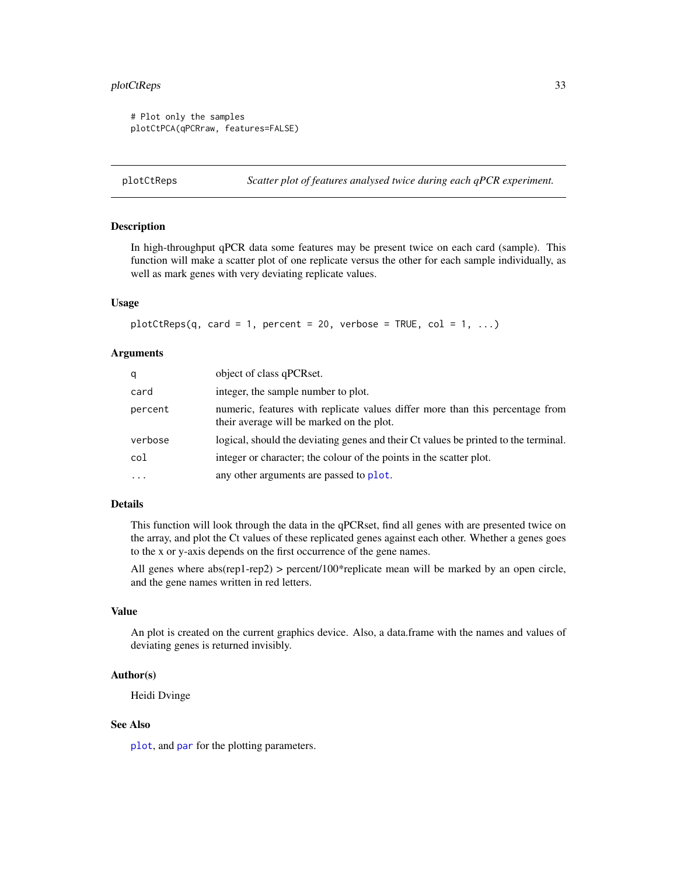# <span id="page-32-0"></span>plotCtReps 33

```
# Plot only the samples
plotCtPCA(qPCRraw, features=FALSE)
```
<span id="page-32-1"></span>plotCtReps *Scatter plot of features analysed twice during each qPCR experiment.*

#### **Description**

In high-throughput qPCR data some features may be present twice on each card (sample). This function will make a scatter plot of one replicate versus the other for each sample individually, as well as mark genes with very deviating replicate values.

#### Usage

```
plotCtReps(q, card = 1, percent = 20, verbose = TRUE, col = 1, ...)
```
#### Arguments

| q        | object of class qPCRset.                                                                                                   |
|----------|----------------------------------------------------------------------------------------------------------------------------|
| card     | integer, the sample number to plot.                                                                                        |
| percent  | numeric, features with replicate values differ more than this percentage from<br>their average will be marked on the plot. |
| verbose  | logical, should the deviating genes and their Ct values be printed to the terminal.                                        |
| col      | integer or character; the colour of the points in the scatter plot.                                                        |
| $\cdots$ | any other arguments are passed to plot.                                                                                    |

#### Details

This function will look through the data in the qPCRset, find all genes with are presented twice on the array, and plot the Ct values of these replicated genes against each other. Whether a genes goes to the x or y-axis depends on the first occurrence of the gene names.

All genes where abs(rep1-rep2) > percent/100\*replicate mean will be marked by an open circle, and the gene names written in red letters.

#### Value

An plot is created on the current graphics device. Also, a data.frame with the names and values of deviating genes is returned invisibly.

#### Author(s)

Heidi Dvinge

# See Also

[plot](#page-0-0), and [par](#page-0-0) for the plotting parameters.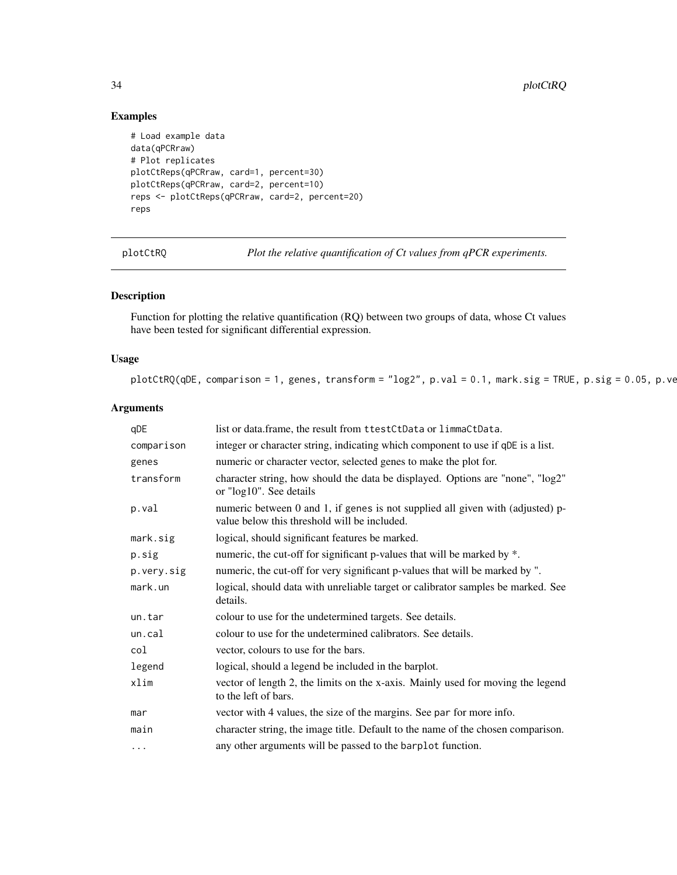# Examples

```
# Load example data
data(qPCRraw)
# Plot replicates
plotCtReps(qPCRraw, card=1, percent=30)
plotCtReps(qPCRraw, card=2, percent=10)
reps <- plotCtReps(qPCRraw, card=2, percent=20)
reps
```
<span id="page-33-1"></span>plotCtRQ *Plot the relative quantification of Ct values from qPCR experiments.*

# Description

Function for plotting the relative quantification (RQ) between two groups of data, whose Ct values have been tested for significant differential expression.

# Usage

```
plotCtRQ(qDE, comparison = 1, genes, transform = "log2", p.val = 0.1, mark.size = TRUE, p.size = 0.05, p.ve
```
# Arguments

| qDE        | list or data.frame, the result from ttestCtData or limmaCtData.                                                                |
|------------|--------------------------------------------------------------------------------------------------------------------------------|
| comparison | integer or character string, indicating which component to use if qDE is a list.                                               |
| genes      | numeric or character vector, selected genes to make the plot for.                                                              |
| transform  | character string, how should the data be displayed. Options are "none", "log2"<br>or "log10". See details                      |
| p.val      | numeric between 0 and 1, if genes is not supplied all given with (adjusted) p-<br>value below this threshold will be included. |
| mark.sig   | logical, should significant features be marked.                                                                                |
| p.sig      | numeric, the cut-off for significant p-values that will be marked by *.                                                        |
| p.very.sig | numeric, the cut-off for very significant p-values that will be marked by ".                                                   |
| mark.un    | logical, should data with unreliable target or calibrator samples be marked. See<br>details.                                   |
| un.tar     | colour to use for the undetermined targets. See details.                                                                       |
| un.cal     | colour to use for the undetermined calibrators. See details.                                                                   |
| col        | vector, colours to use for the bars.                                                                                           |
| legend     | logical, should a legend be included in the barplot.                                                                           |
| xlim       | vector of length 2, the limits on the x-axis. Mainly used for moving the legend<br>to the left of bars.                        |
| mar        | vector with 4 values, the size of the margins. See par for more info.                                                          |
| main       | character string, the image title. Default to the name of the chosen comparison.                                               |
| $\cdots$   | any other arguments will be passed to the barplot function.                                                                    |

<span id="page-33-0"></span>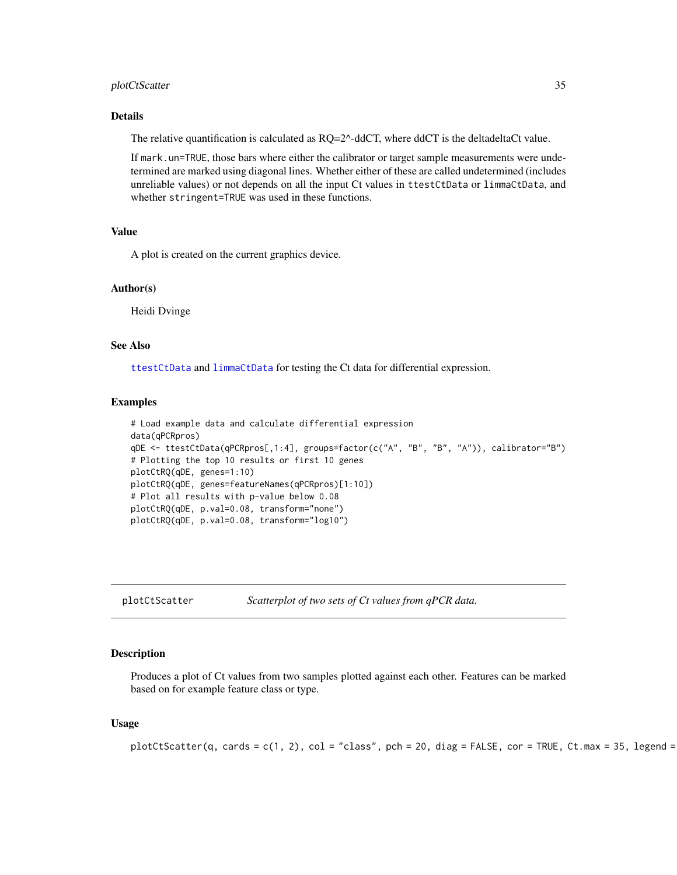#### <span id="page-34-0"></span>plotCtScatter 35

# Details

The relative quantification is calculated as  $RQ=2^{\wedge}$ -ddCT, where ddCT is the deltadeltaCt value.

If mark.un=TRUE, those bars where either the calibrator or target sample measurements were undetermined are marked using diagonal lines. Whether either of these are called undetermined (includes unreliable values) or not depends on all the input Ct values in ttestCtData or limmaCtData, and whether stringent=TRUE was used in these functions.

# Value

A plot is created on the current graphics device.

# Author(s)

Heidi Dvinge

# See Also

[ttestCtData](#page-49-1) and [limmaCtData](#page-11-1) for testing the Ct data for differential expression.

#### Examples

```
# Load example data and calculate differential expression
data(qPCRpros)
qDE <- ttestCtData(qPCRpros[,1:4], groups=factor(c("A", "B", "B", "A")), calibrator="B")
# Plotting the top 10 results or first 10 genes
plotCtRQ(qDE, genes=1:10)
plotCtRQ(qDE, genes=featureNames(qPCRpros)[1:10])
# Plot all results with p-value below 0.08
plotCtRQ(qDE, p.val=0.08, transform="none")
plotCtRQ(qDE, p.val=0.08, transform="log10")
```
<span id="page-34-1"></span>plotCtScatter *Scatterplot of two sets of Ct values from qPCR data.*

#### Description

Produces a plot of Ct values from two samples plotted against each other. Features can be marked based on for example feature class or type.

### Usage

```
plotCtScatter(q, cards = c(1, 2), col = "class", pch = 20, diag = FALSE, cor = TRUE, Ct.max = 35, legend =
```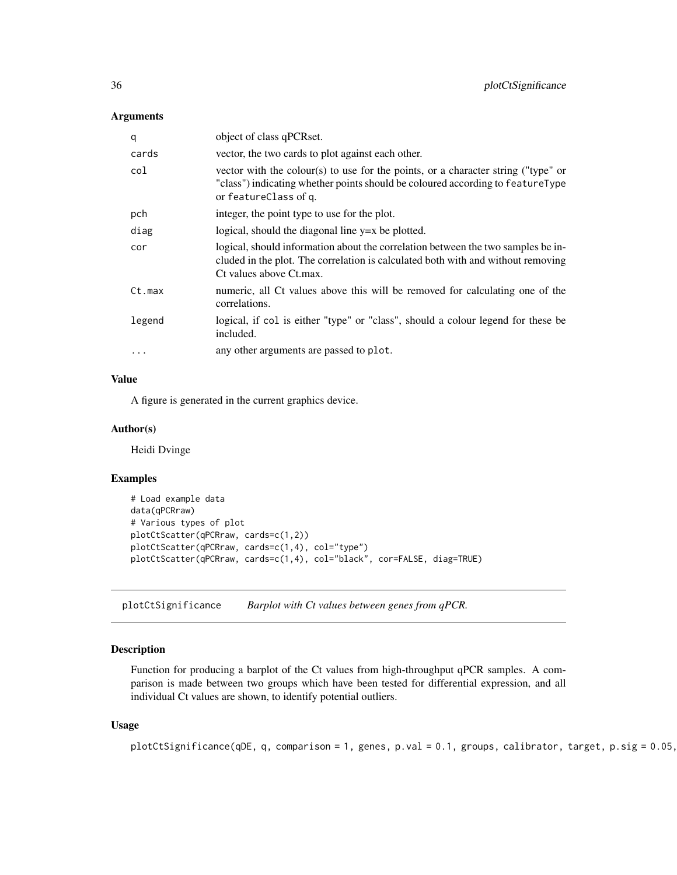#### <span id="page-35-0"></span>Arguments

| q      | object of class qPCRset.                                                                                                                                                                        |
|--------|-------------------------------------------------------------------------------------------------------------------------------------------------------------------------------------------------|
| cards  | vector, the two cards to plot against each other.                                                                                                                                               |
| col    | vector with the colour(s) to use for the points, or a character string ("type" or<br>"class") indicating whether points should be coloured according to featureType<br>or featureClass of q.    |
| pch    | integer, the point type to use for the plot.                                                                                                                                                    |
| diag   | logical, should the diagonal line $y=x$ be plotted.                                                                                                                                             |
| cor    | logical, should information about the correlation between the two samples be in-<br>cluded in the plot. The correlation is calculated both with and without removing<br>Ct values above Ct.max. |
| Ct.max | numeric, all Ct values above this will be removed for calculating one of the<br>correlations.                                                                                                   |
| legend | logical, if col is either "type" or "class", should a colour legend for these be<br>included.                                                                                                   |
|        | any other arguments are passed to plot.                                                                                                                                                         |

#### Value

A figure is generated in the current graphics device.

#### Author(s)

Heidi Dvinge

#### Examples

```
# Load example data
data(qPCRraw)
# Various types of plot
plotCtScatter(qPCRraw, cards=c(1,2))
plotCtScatter(qPCRraw, cards=c(1,4), col="type")
plotCtScatter(qPCRraw, cards=c(1,4), col="black", cor=FALSE, diag=TRUE)
```
<span id="page-35-1"></span>plotCtSignificance *Barplot with Ct values between genes from qPCR.*

# Description

Function for producing a barplot of the Ct values from high-throughput qPCR samples. A comparison is made between two groups which have been tested for differential expression, and all individual Ct values are shown, to identify potential outliers.

# Usage

```
plotCtSignificance(qDE, q, comparison = 1, genes, p.val = 0.1, groups, calibrator, target, p.sig = 0.05,
```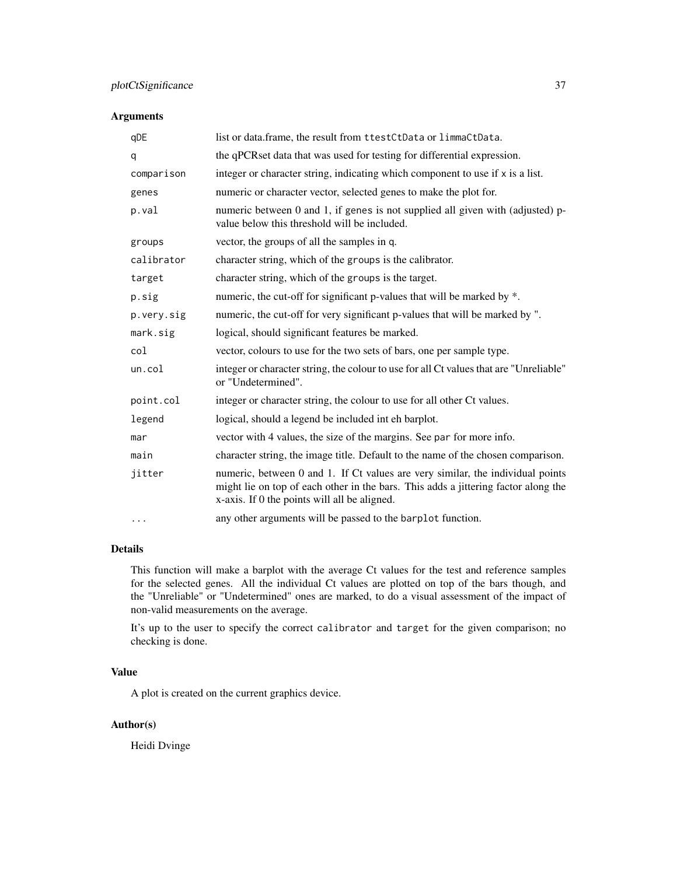# plotCtSignificance 37

# Arguments

| qDE        | list or data.frame, the result from ttestCtData or limmaCtData.                                                                                                                                                      |
|------------|----------------------------------------------------------------------------------------------------------------------------------------------------------------------------------------------------------------------|
| q          | the qPCRset data that was used for testing for differential expression.                                                                                                                                              |
| comparison | integer or character string, indicating which component to use if x is a list.                                                                                                                                       |
| genes      | numeric or character vector, selected genes to make the plot for.                                                                                                                                                    |
| p.val      | numeric between 0 and 1, if genes is not supplied all given with (adjusted) p-<br>value below this threshold will be included.                                                                                       |
| groups     | vector, the groups of all the samples in q.                                                                                                                                                                          |
| calibrator | character string, which of the groups is the calibrator.                                                                                                                                                             |
| target     | character string, which of the groups is the target.                                                                                                                                                                 |
| p.sig      | numeric, the cut-off for significant p-values that will be marked by *.                                                                                                                                              |
| p.very.sig | numeric, the cut-off for very significant p-values that will be marked by ".                                                                                                                                         |
| mark.sig   | logical, should significant features be marked.                                                                                                                                                                      |
| col        | vector, colours to use for the two sets of bars, one per sample type.                                                                                                                                                |
| un.col     | integer or character string, the colour to use for all Ct values that are "Unreliable"<br>or "Undetermined".                                                                                                         |
| point.col  | integer or character string, the colour to use for all other Ct values.                                                                                                                                              |
| legend     | logical, should a legend be included int eh barplot.                                                                                                                                                                 |
| mar        | vector with 4 values, the size of the margins. See par for more info.                                                                                                                                                |
| main       | character string, the image title. Default to the name of the chosen comparison.                                                                                                                                     |
| jitter     | numeric, between 0 and 1. If Ct values are very similar, the individual points<br>might lie on top of each other in the bars. This adds a jittering factor along the<br>x-axis. If 0 the points will all be aligned. |
| $\cdots$   | any other arguments will be passed to the barplot function.                                                                                                                                                          |

# Details

This function will make a barplot with the average Ct values for the test and reference samples for the selected genes. All the individual Ct values are plotted on top of the bars though, and the "Unreliable" or "Undetermined" ones are marked, to do a visual assessment of the impact of non-valid measurements on the average.

It's up to the user to specify the correct calibrator and target for the given comparison; no checking is done.

# Value

A plot is created on the current graphics device.

# Author(s)

Heidi Dvinge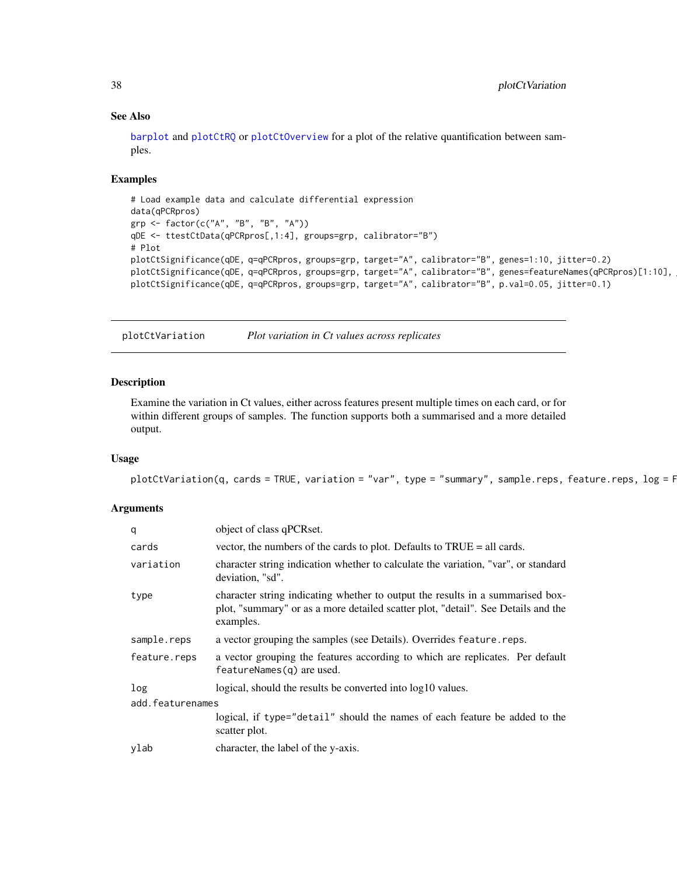#### See Also

[barplot](#page-0-0) and [plotCtRQ](#page-33-1) or [plotCtOverview](#page-28-1) for a plot of the relative quantification between samples.

### Examples

```
# Load example data and calculate differential expression
data(qPCRpros)
grp <- factor(c("A", "B", "B", "A"))
qDE <- ttestCtData(qPCRpros[,1:4], groups=grp, calibrator="B")
# Plot
plotCtSignificance(qDE, q=qPCRpros, groups=grp, target="A", calibrator="B", genes=1:10, jitter=0.2)
plotCtSignificance(qDE, q=qPCRpros, groups=grp, target="A", calibrator="B", genes=featureNames(qPCRpros)[1:10],
plotCtSignificance(qDE, q=qPCRpros, groups=grp, target="A", calibrator="B", p.val=0.05, jitter=0.1)
```
plotCtVariation *Plot variation in Ct values across replicates*

# Description

Examine the variation in Ct values, either across features present multiple times on each card, or for within different groups of samples. The function supports both a summarised and a more detailed output.

#### Usage

```
plotCtVariation(q, cards = TRUE, variation = "var", type = "summy", sample.rep, <math>feas</math>, <math>feats</math>, <math>leg = F</math>
```
#### Arguments

| q                | object of class qPCRset.                                                                                                                                                         |  |
|------------------|----------------------------------------------------------------------------------------------------------------------------------------------------------------------------------|--|
| cards            | vector, the numbers of the cards to plot. Defaults to TRUE = all cards.                                                                                                          |  |
| variation        | character string indication whether to calculate the variation, "var", or standard<br>deviation, "sd".                                                                           |  |
| type             | character string indicating whether to output the results in a summarised box-<br>plot, "summary" or as a more detailed scatter plot, "detail". See Details and the<br>examples. |  |
| sample.reps      | a vector grouping the samples (see Details). Overrides feature . reps.                                                                                                           |  |
| feature.reps     | a vector grouping the features according to which are replicates. Per default<br>$featureNames(q)$ are used.                                                                     |  |
| log              | logical, should the results be converted into $log10$ values.                                                                                                                    |  |
| add.featurenames |                                                                                                                                                                                  |  |
|                  | logical, if type="detail" should the names of each feature be added to the<br>scatter plot.                                                                                      |  |
| ylab             | character, the label of the y-axis.                                                                                                                                              |  |

<span id="page-37-0"></span>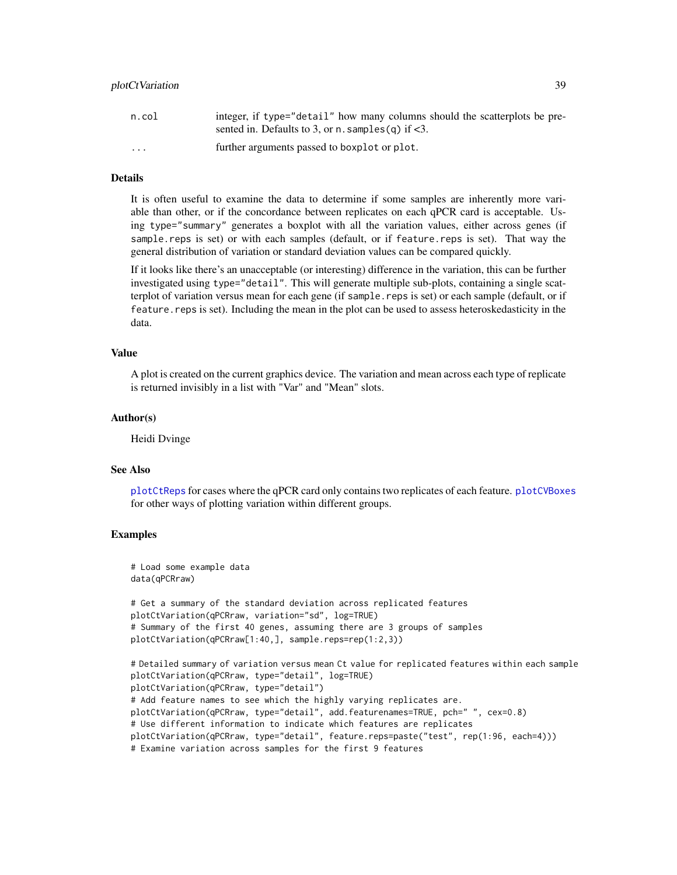| n.col                   | integer, if type="detail" how many columns should the scatterplots be pre-<br>sented in. Defaults to 3, or n. samples (q) if $<$ 3. |
|-------------------------|-------------------------------------------------------------------------------------------------------------------------------------|
| $\cdot$ $\cdot$ $\cdot$ | further arguments passed to boxplot or plot.                                                                                        |

#### Details

It is often useful to examine the data to determine if some samples are inherently more variable than other, or if the concordance between replicates on each qPCR card is acceptable. Using type="summary" generates a boxplot with all the variation values, either across genes (if sample.reps is set) or with each samples (default, or if feature.reps is set). That way the general distribution of variation or standard deviation values can be compared quickly.

If it looks like there's an unacceptable (or interesting) difference in the variation, this can be further investigated using type="detail". This will generate multiple sub-plots, containing a single scatterplot of variation versus mean for each gene (if sample.reps is set) or each sample (default, or if feature.reps is set). Including the mean in the plot can be used to assess heteroskedasticity in the data.

#### Value

A plot is created on the current graphics device. The variation and mean across each type of replicate is returned invisibly in a list with "Var" and "Mean" slots.

#### Author(s)

Heidi Dvinge

#### See Also

[plotCtReps](#page-32-1) for cases where the qPCR card only contains two replicates of each feature. [plotCVBoxes](#page-39-1) for other ways of plotting variation within different groups.

#### Examples

```
# Load some example data
data(qPCRraw)
# Get a summary of the standard deviation across replicated features
plotCtVariation(qPCRraw, variation="sd", log=TRUE)
# Summary of the first 40 genes, assuming there are 3 groups of samples
plotCtVariation(qPCRraw[1:40,], sample.reps=rep(1:2,3))
# Detailed summary of variation versus mean Ct value for replicated features within each sample
plotCtVariation(qPCRraw, type="detail", log=TRUE)
plotCtVariation(qPCRraw, type="detail")
# Add feature names to see which the highly varying replicates are.
plotCtVariation(qPCRraw, type="detail", add.featurenames=TRUE, pch=" ", cex=0.8)
# Use different information to indicate which features are replicates
plotCtVariation(qPCRraw, type="detail", feature.reps=paste("test", rep(1:96, each=4)))
# Examine variation across samples for the first 9 features
```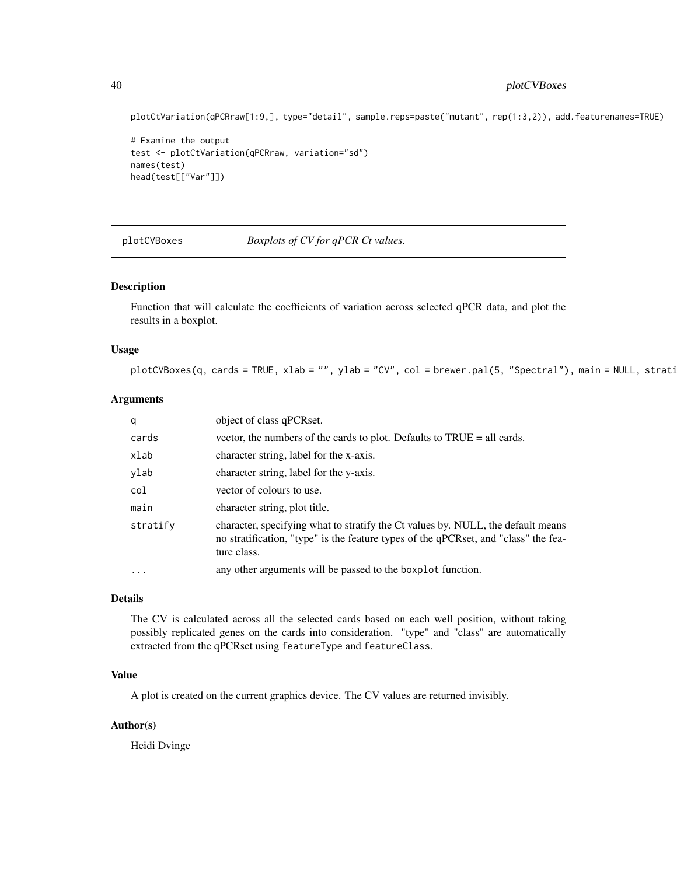# <span id="page-39-0"></span>40 plotCVBoxes

plotCtVariation(qPCRraw[1:9,], type="detail", sample.reps=paste("mutant", rep(1:3,2)), add.featurenames=TRUE)

```
# Examine the output
test <- plotCtVariation(qPCRraw, variation="sd")
names(test)
head(test[["Var"]])
```
<span id="page-39-1"></span>plotCVBoxes *Boxplots of CV for qPCR Ct values.*

### Description

Function that will calculate the coefficients of variation across selected qPCR data, and plot the results in a boxplot.

#### Usage

 $plotCVBoxes(q, cards = TRUE, xlab = "", ylab = "CV", col = brewer.pal(5, "Spectral"), main = NULL, strati$ 

#### Arguments

| q        | object of class qPCRset.                                                                                                                                                               |
|----------|----------------------------------------------------------------------------------------------------------------------------------------------------------------------------------------|
| cards    | vector, the numbers of the cards to plot. Defaults to $TRUE = all \, cards.$                                                                                                           |
| xlab     | character string, label for the x-axis.                                                                                                                                                |
| ylab     | character string, label for the y-axis.                                                                                                                                                |
| col      | vector of colours to use.                                                                                                                                                              |
| main     | character string, plot title.                                                                                                                                                          |
| stratify | character, specifying what to stratify the Ct values by. NULL, the default means<br>no stratification, "type" is the feature types of the qPCRset, and "class" the fea-<br>ture class. |
| $\cdots$ | any other arguments will be passed to the boxplot function.                                                                                                                            |

# Details

The CV is calculated across all the selected cards based on each well position, without taking possibly replicated genes on the cards into consideration. "type" and "class" are automatically extracted from the qPCRset using featureType and featureClass.

# Value

A plot is created on the current graphics device. The CV values are returned invisibly.

#### Author(s)

Heidi Dvinge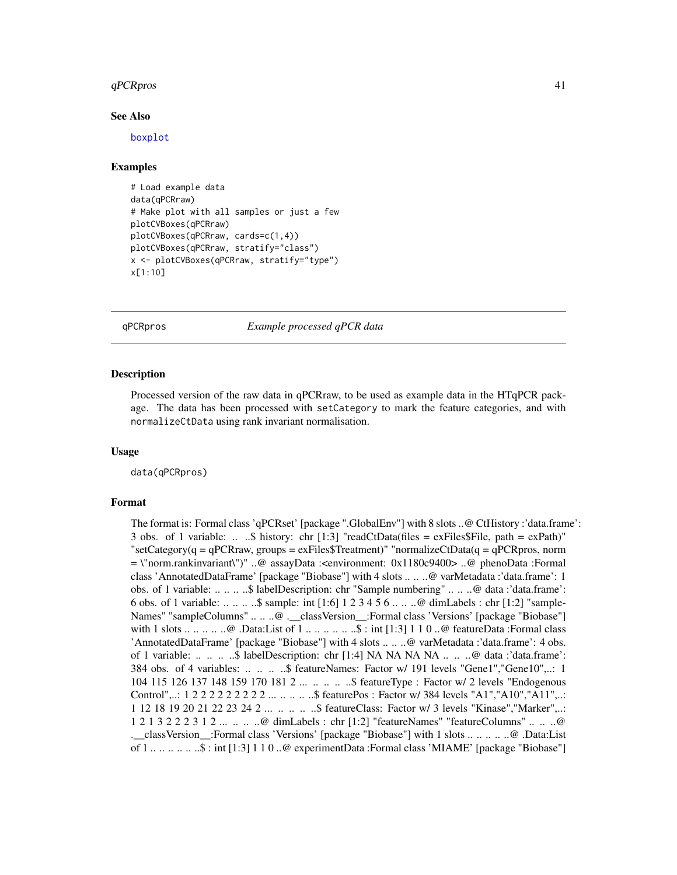#### <span id="page-40-0"></span> $qPCRpros$  41

#### See Also

[boxplot](#page-0-0)

#### Examples

```
# Load example data
data(qPCRraw)
# Make plot with all samples or just a few
plotCVBoxes(qPCRraw)
plotCVBoxes(qPCRraw, cards=c(1,4))
plotCVBoxes(qPCRraw, stratify="class")
x <- plotCVBoxes(qPCRraw, stratify="type")
x[1:10]
```
qPCRpros *Example processed qPCR data*

#### Description

Processed version of the raw data in qPCRraw, to be used as example data in the HTqPCR package. The data has been processed with setCategory to mark the feature categories, and with normalizeCtData using rank invariant normalisation.

#### Usage

data(qPCRpros)

#### Format

The format is: Formal class 'qPCRset' [package ".GlobalEnv"] with 8 slots ..@ CtHistory :'data.frame': 3 obs. of 1 variable: ...  $\&$  history: chr [1:3] "readCtData(files = exFiles\$File, path = exPath)"  $\text{``setCategory}(q = qPCRraw, groups = exFiles$Treatment) \text{''} normalizedCData(q = qPCRpros, norm$ = \"norm.rankinvariant\")" ..@ assayData :<environment: 0x1180c9400> ..@ phenoData :Formal class 'AnnotatedDataFrame' [package "Biobase"] with 4 slots .. .. ..@ varMetadata :'data.frame': 1 obs. of 1 variable: .. .. .. ..\$ labelDescription: chr "Sample numbering" .. .. ..@ data :'data.frame': 6 obs. of 1 variable: .. .. .. ..\$ sample: int [1:6] 1 2 3 4 5 6 .. .. ..@ dimLabels : chr [1:2] "sample-Names" "sampleColumns" .. .. ..@ .\_\_classVersion\_\_:Formal class 'Versions' [package "Biobase"] with  $1$  slots  $\dots \dots \dots \dots$   $\emptyset$ . Data: List of  $1 \dots \dots \dots \dots \dots$   $\emptyset$ : int [1:3]  $1 \ 1 \ 0 \dots \emptyset$  featureData :Formal class 'AnnotatedDataFrame' [package "Biobase"] with 4 slots .. .. ..@ varMetadata :'data.frame': 4 obs. of 1 variable: .. .. .. ..\$ labelDescription: chr [1:4] NA NA NA NA .. .. ..@ data :'data.frame': 384 obs. of 4 variables: .. .. .. ..\$ featureNames: Factor w/ 191 levels "Gene1","Gene10",..: 1 104 115 126 137 148 159 170 181 2 ... .. .. .. ..\$ featureType : Factor w/ 2 levels "Endogenous Control",..: 1 2 2 2 2 2 2 2 2 2 ... .. .. .. ..\$ featurePos : Factor w/ 384 levels "A1","A10","A11",..: 1 12 18 19 20 21 22 23 24 2 ... .. .. .. ..\$ featureClass: Factor w/ 3 levels "Kinase","Marker",..: 1 2 1 3 2 2 2 3 1 2 ... .. .. ..@ dimLabels : chr [1:2] "featureNames" "featureColumns" .. .. ..@ .\_\_classVersion\_\_:Formal class 'Versions' [package "Biobase"] with 1 slots .. .. .. .. ..@ .Data:List of 1 .. .. .. .. .. ..\$ : int [1:3] 1 1 0 ..@ experimentData :Formal class 'MIAME' [package "Biobase"]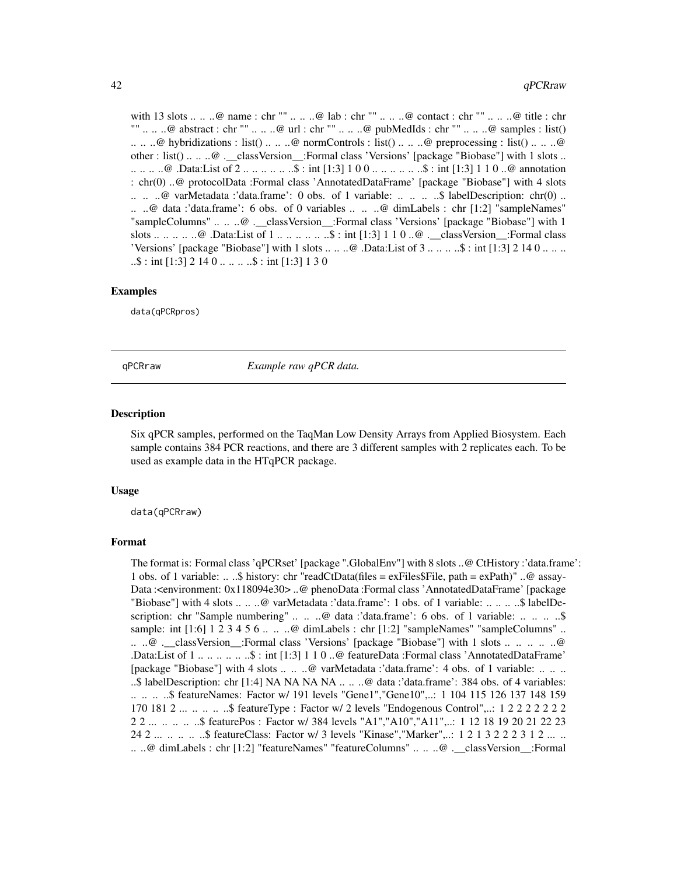<span id="page-41-0"></span>with 13 slots .. .. ..@ name : chr "" .. .. ..@ lab : chr "" .. .. ..@ contact : chr "" .. .. ..@ title : chr "" .. .. ..@ abstract : chr "" .. .. ..@ url : chr "" .. .. ..@ pubMedIds : chr "" .. .. ..@ samples : list()  $\ldots$  ...  $\omega$  hybridizations : list() ...  $\ldots$   $\omega$  normControls : list() ...  $\ldots$   $\omega$  preprocessing : list() ...  $\ldots$   $\omega$ other : list() .. .. ..@ .\_\_classVersion\_\_:Formal class 'Versions' [package "Biobase"] with 1 slots .. .. .. .. ..@ .Data:List of 2 .. .. .. .. .. ..\$ : int [1:3] 1 0 0 .. .. .. .. .. ..\$ : int [1:3] 1 1 0 ..@ annotation : chr(0) ..@ protocolData :Formal class 'AnnotatedDataFrame' [package "Biobase"] with 4 slots  $\ldots$  ...  $\omega$  varMetadata :'data.frame': 0 obs. of 1 variable: ... ... ...\$ labelDescription: chr(0) ... .. ..@ data :'data.frame': 6 obs. of 0 variables .. .. ..@ dimLabels : chr [1:2] "sampleNames" "sampleColumns" .. .. ..@ .\_\_classVersion\_\_:Formal class 'Versions' [package "Biobase"] with 1 slots .. .. .. .. ..@ .Data:List of 1 .. .. .. .. .. ..\$ : int [1:3] 1 1 0 ..@ .\_\_classVersion\_\_:Formal class 'Versions' [package "Biobase"] with 1 slots  $\dots \dots \oplus$  .Data:List of 3  $\dots \dots \oplus$ : int [1:3] 2 14 0  $\dots \dots$  $\ldots$ \$ : int [1:3] 2 14 0  $\ldots$   $\ldots$   $\ldots$ \$ : int [1:3] 1 3 0

#### Examples

data(qPCRpros)

qPCRraw *Example raw qPCR data.*

#### Description

Six qPCR samples, performed on the TaqMan Low Density Arrays from Applied Biosystem. Each sample contains 384 PCR reactions, and there are 3 different samples with 2 replicates each. To be used as example data in the HTqPCR package.

#### Usage

data(qPCRraw)

#### Format

The format is: Formal class 'qPCRset' [package ".GlobalEnv"] with 8 slots ..@ CtHistory :'data.frame': 1 obs. of 1 variable: .. ..\$ history: chr "readCtData(files = exFiles\$File, path = exPath)" ..@ assay-Data :<environment: 0x118094e30> ..@ phenoData :Formal class 'AnnotatedDataFrame' [package "Biobase"] with 4 slots .. .. ..@ varMetadata :'data.frame': 1 obs. of 1 variable: .. .. .. ..\$ labelDescription: chr "Sample numbering" .. .. .. @ data :'data.frame': 6 obs. of 1 variable: .. .. .. .. \$ sample: int  $[1:6]$  1 2 3 4 5 6 ... ..  $\omega$  dimLabels : chr  $[1:2]$  "sampleNames" "sampleColumns" .. .. ..@ .\_\_classVersion\_\_:Formal class 'Versions' [package "Biobase"] with 1 slots .. .. .. .. ..@ .Data:List of 1 .. .. .. .. .. ..\$ : int [1:3] 1 1 0 ..@ featureData :Formal class 'AnnotatedDataFrame' [package "Biobase"] with 4 slots .. .. ..@ varMetadata :'data.frame': 4 obs. of 1 variable: .. .. .. ..\$ labelDescription: chr [1:4] NA NA NA NA .. .. ..@ data :'data.frame': 384 obs. of 4 variables: .. .. .. ..\$ featureNames: Factor w/ 191 levels "Gene1","Gene10",..: 1 104 115 126 137 148 159 170 181 2 ... .. .. .. ..\$ featureType : Factor w/ 2 levels "Endogenous Control",..: 1 2 2 2 2 2 2 2 2 2 ... .. .. .. ..\$ featurePos : Factor w/ 384 levels "A1","A10","A11",..: 1 12 18 19 20 21 22 23 24 2 ... .. .. .. ..\$ featureClass: Factor w/ 3 levels "Kinase","Marker",..: 1 2 1 3 2 2 2 3 1 2 ... .. .. ..@ dimLabels : chr [1:2] "featureNames" "featureColumns" .. .. ..@ .\_\_classVersion\_\_:Formal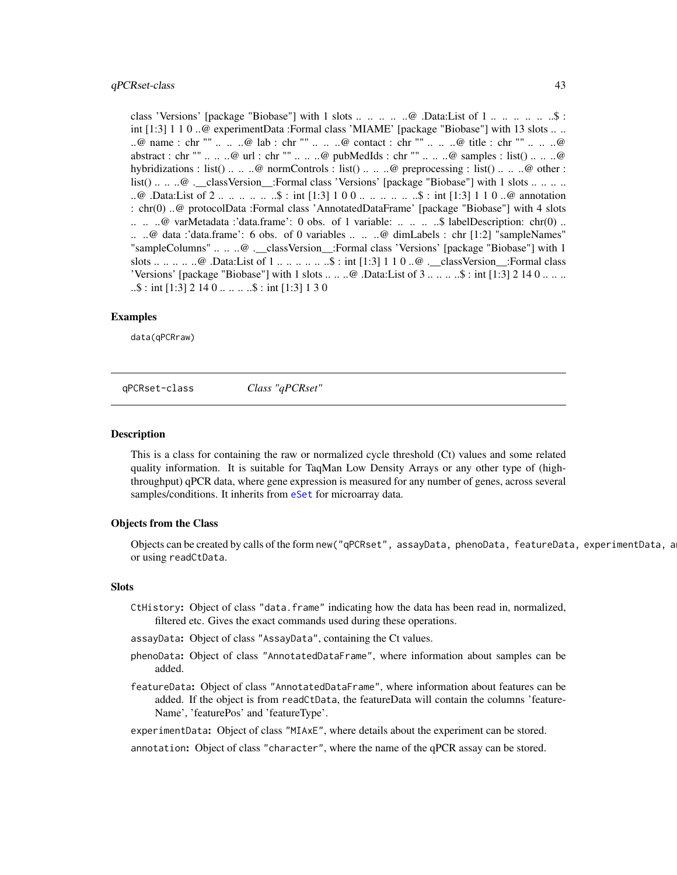#### <span id="page-42-0"></span>qPCRset-class 43

class 'Versions' [package "Biobase"] with 1 slots .. ..  $\ldots$  ... .. ..  $\omega$  .Data:List of 1 .. .. .. .. ... ...\$ : int [1:3] 1 1 0 ..@ experimentData :Formal class 'MIAME' [package "Biobase"] with 13 slots .. .. ..@ name : chr "" .. .. ..@ lab : chr "" .. .. ..@ contact : chr "" .. .. ..@ title : chr "" .. .. ..@ abstract : chr "" .. .. ..@ url : chr "" .. .. ..@ pubMedIds : chr "" .. .. ..@ samples : list() .. .. ..@ hybridizations : list() .. .. ..@ normControls : list() .. .. ..@ preprocessing : list() .. .. ..@ other : list() .. .. ..@ .\_\_classVersion\_\_:Formal class 'Versions' [package "Biobase"] with 1 slots .. .. .. .. ..@ .Data:List of 2 .. ..  $\ldots$  ... ..\$ : int [1:3] 1 0 0 .. .. ... ... ..\$ : int [1:3] 1 1 0 ..@ annotation : chr(0) ..@ protocolData :Formal class 'AnnotatedDataFrame' [package "Biobase"] with 4 slots  $\ldots$  ...  $\omega$  varMetadata :'data.frame': 0 obs. of 1 variable: ... ... ...\$ labelDescription: chr(0) ... .. ..@ data :'data.frame': 6 obs. of 0 variables .. .. ..@ dimLabels : chr [1:2] "sampleNames" "sampleColumns" .. .. ..@ .\_\_classVersion\_\_:Formal class 'Versions' [package "Biobase"] with 1 slots .. .. .. .. ..@ .Data:List of 1 .. .. .. .. .. ..\$ : int [1:3] 1 1 0 ..@ .\_\_classVersion\_\_:Formal class 'Versions' [package "Biobase"] with 1 slots  $\dots \dots \emptyset$  .Data:List of  $3 \dots \dots \dots$ \$ : int [1:3] 2 14 0  $\dots \dots$  $\ldots$ \$ : int [1:3] 2 14 0  $\ldots$   $\ldots$   $\ldots$ \$ : int [1:3] 1 3 0

#### Examples

data(qPCRraw)

<span id="page-42-1"></span>qPCRset-class *Class "qPCRset"*

#### **Description**

This is a class for containing the raw or normalized cycle threshold (Ct) values and some related quality information. It is suitable for TaqMan Low Density Arrays or any other type of (highthroughput) qPCR data, where gene expression is measured for any number of genes, across several samples/conditions. It inherits from [eSet](#page-0-0) for microarray data.

#### Objects from the Class

Objects can be created by calls of the form new("qPCRset", assayData, phenoData, featureData, experimentData, a or using readCtData.

#### Slots

- CtHistory: Object of class "data.frame" indicating how the data has been read in, normalized, filtered etc. Gives the exact commands used during these operations.
- assayData: Object of class "AssayData", containing the Ct values.
- phenoData: Object of class "AnnotatedDataFrame", where information about samples can be added.
- featureData: Object of class "AnnotatedDataFrame", where information about features can be added. If the object is from readCtData, the featureData will contain the columns 'feature-Name', 'featurePos' and 'featureType'.

experimentData: Object of class "MIAxE", where details about the experiment can be stored.

annotation: Object of class "character", where the name of the qPCR assay can be stored.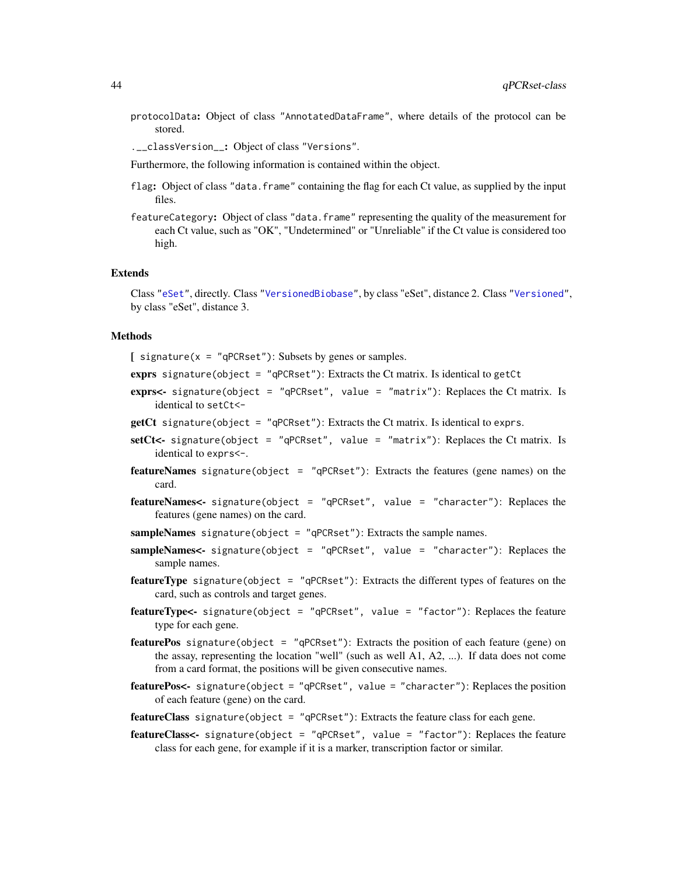protocolData: Object of class "AnnotatedDataFrame", where details of the protocol can be stored.

.\_\_classVersion\_\_: Object of class "Versions".

Furthermore, the following information is contained within the object.

- flag: Object of class "data. frame" containing the flag for each Ct value, as supplied by the input files.
- featureCategory: Object of class "data. frame" representing the quality of the measurement for each Ct value, such as "OK", "Undetermined" or "Unreliable" if the Ct value is considered too high.

#### Extends

Class ["eSet"](#page-0-0), directly. Class ["VersionedBiobase"](#page-0-0), by class "eSet", distance 2. Class ["Versioned"](#page-0-0), by class "eSet", distance 3.

# Methods

 $\lceil$  signature(x = "qPCRset"): Subsets by genes or samples.

- exprs signature(object =  $"q$ PCRset"): Extracts the Ct matrix. Is identical to getCt
- exprs<- signature(object = "qPCRset", value = "matrix"): Replaces the Ct matrix. Is identical to setCt<-
- **getCt** signature(object =  $"qPCRset"$ ): Extracts the Ct matrix. Is identical to exprs.
- setCt<- signature(object = "qPCRset", value = "matrix"): Replaces the Ct matrix. Is identical to exprs<-.
- **featureNames** signature(object = "qPCRset"): Extracts the features (gene names) on the card.
- featureNames<- signature(object = "qPCRset", value = "character"): Replaces the features (gene names) on the card.
- sampleNames signature(object = "qPCRset"): Extracts the sample names.
- sampleNames<- signature(object = "qPCRset", value = "character"): Replaces the sample names.
- **featureType** signature(object = "qPCRset"): Extracts the different types of features on the card, such as controls and target genes.
- featureType<- signature(object = "qPCRset", value = "factor"): Replaces the feature type for each gene.
- featurePos signature(object = "qPCRset"): Extracts the position of each feature (gene) on the assay, representing the location "well" (such as well A1, A2, ...). If data does not come from a card format, the positions will be given consecutive names.
- featurePos<- signature(object = "qPCRset", value = "character"): Replaces the position of each feature (gene) on the card.
- featureClass signature(object = "qPCRset"): Extracts the feature class for each gene.
- featureClass<- signature(object = "qPCRset", value = "factor"): Replaces the feature class for each gene, for example if it is a marker, transcription factor or similar.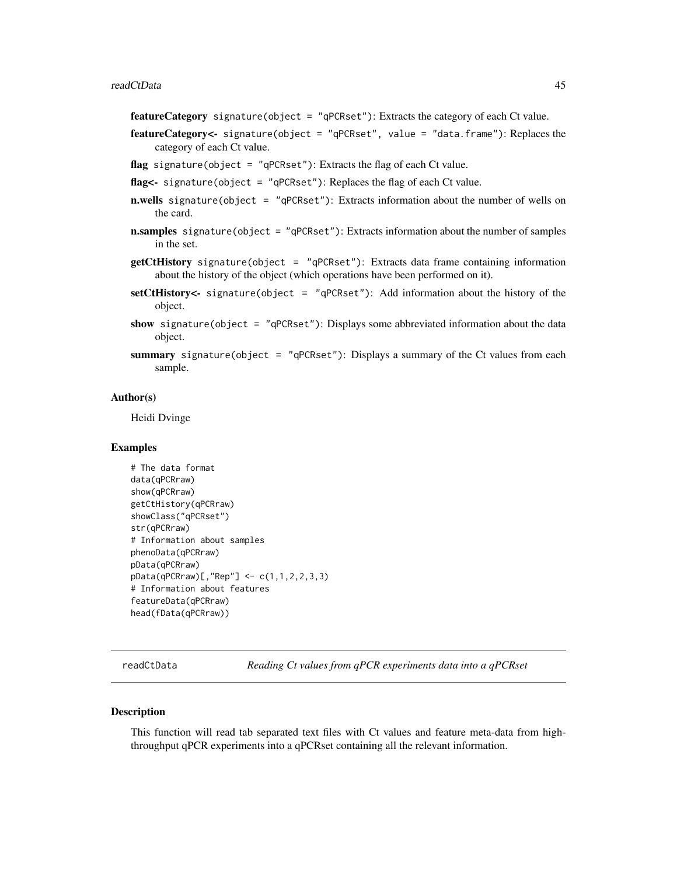<span id="page-44-0"></span>featureCategory signature(object = "qPCRset"): Extracts the category of each Ct value.

- featureCategory<- signature(object = "qPCRset", value = "data.frame"): Replaces the category of each Ct value.
- flag signature(object = "qPCRset"): Extracts the flag of each Ct value.
- flag<- signature(object = "qPCRset"): Replaces the flag of each Ct value.
- n.wells signature(object = "qPCRset"): Extracts information about the number of wells on the card.
- **n.samples** signature(object = "qPCRset"): Extracts information about the number of samples in the set.
- $getCtHistory$  signature(object = " $qPCRset$ "): Extracts data frame containing information about the history of the object (which operations have been performed on it).
- setCtHistory<- signature(object = "qPCRset"): Add information about the history of the object.
- show signature(object = " $qPCRset$ "): Displays some abbreviated information about the data object.
- summary signature(object = "qPCRset"): Displays a summary of the Ct values from each sample.

#### Author(s)

Heidi Dvinge

#### Examples

```
# The data format
data(qPCRraw)
show(qPCRraw)
getCtHistory(qPCRraw)
showClass("qPCRset")
str(qPCRraw)
# Information about samples
phenoData(qPCRraw)
pData(qPCRraw)
pData(qPCRraw)[,"Rep"] <- c(1,1,2,2,3,3)
# Information about features
featureData(qPCRraw)
head(fData(qPCRraw))
```
readCtData *Reading Ct values from qPCR experiments data into a qPCRset*

#### **Description**

This function will read tab separated text files with Ct values and feature meta-data from highthroughput qPCR experiments into a qPCRset containing all the relevant information.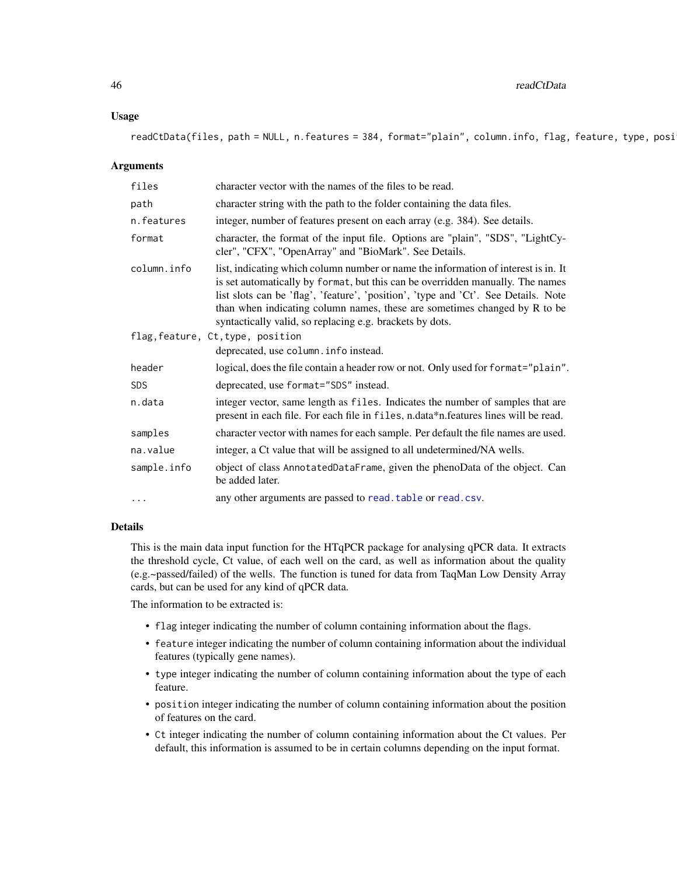#### Usage

readCtData(files, path = NULL, n.features = 384, format="plain", column.info, flag, feature, type, posi

### Arguments

| files       | character vector with the names of the files to be read.                                                                                                                                                                                                                                                                                                                                            |
|-------------|-----------------------------------------------------------------------------------------------------------------------------------------------------------------------------------------------------------------------------------------------------------------------------------------------------------------------------------------------------------------------------------------------------|
| path        | character string with the path to the folder containing the data files.                                                                                                                                                                                                                                                                                                                             |
| n.features  | integer, number of features present on each array (e.g. 384). See details.                                                                                                                                                                                                                                                                                                                          |
| format      | character, the format of the input file. Options are "plain", "SDS", "LightCy-<br>cler", "CFX", "OpenArray" and "BioMark". See Details.                                                                                                                                                                                                                                                             |
| column.info | list, indicating which column number or name the information of interest is in. It<br>is set automatically by format, but this can be overridden manually. The names<br>list slots can be 'flag', 'feature', 'position', 'type and 'Ct'. See Details. Note<br>than when indicating column names, these are sometimes changed by R to be<br>syntactically valid, so replacing e.g. brackets by dots. |
|             | flag, feature, Ct, type, position                                                                                                                                                                                                                                                                                                                                                                   |
|             | deprecated, use column. info instead.                                                                                                                                                                                                                                                                                                                                                               |
| header      | logical, does the file contain a header row or not. Only used for format="plain".                                                                                                                                                                                                                                                                                                                   |
| <b>SDS</b>  | deprecated, use format="SDS" instead.                                                                                                                                                                                                                                                                                                                                                               |
| n.data      | integer vector, same length as files. Indicates the number of samples that are<br>present in each file. For each file in files, n.data*n.features lines will be read.                                                                                                                                                                                                                               |
| samples     | character vector with names for each sample. Per default the file names are used.                                                                                                                                                                                                                                                                                                                   |
| na.value    | integer, a Ct value that will be assigned to all undetermined/NA wells.                                                                                                                                                                                                                                                                                                                             |
| sample.info | object of class AnnotatedDataFrame, given the phenoData of the object. Can<br>be added later.                                                                                                                                                                                                                                                                                                       |
| $\cdots$    | any other arguments are passed to read. table or read. csv.                                                                                                                                                                                                                                                                                                                                         |

#### Details

This is the main data input function for the HTqPCR package for analysing qPCR data. It extracts the threshold cycle, Ct value, of each well on the card, as well as information about the quality (e.g.~passed/failed) of the wells. The function is tuned for data from TaqMan Low Density Array cards, but can be used for any kind of qPCR data.

The information to be extracted is:

- flag integer indicating the number of column containing information about the flags.
- feature integer indicating the number of column containing information about the individual features (typically gene names).
- type integer indicating the number of column containing information about the type of each feature.
- position integer indicating the number of column containing information about the position of features on the card.
- Ct integer indicating the number of column containing information about the Ct values. Per default, this information is assumed to be in certain columns depending on the input format.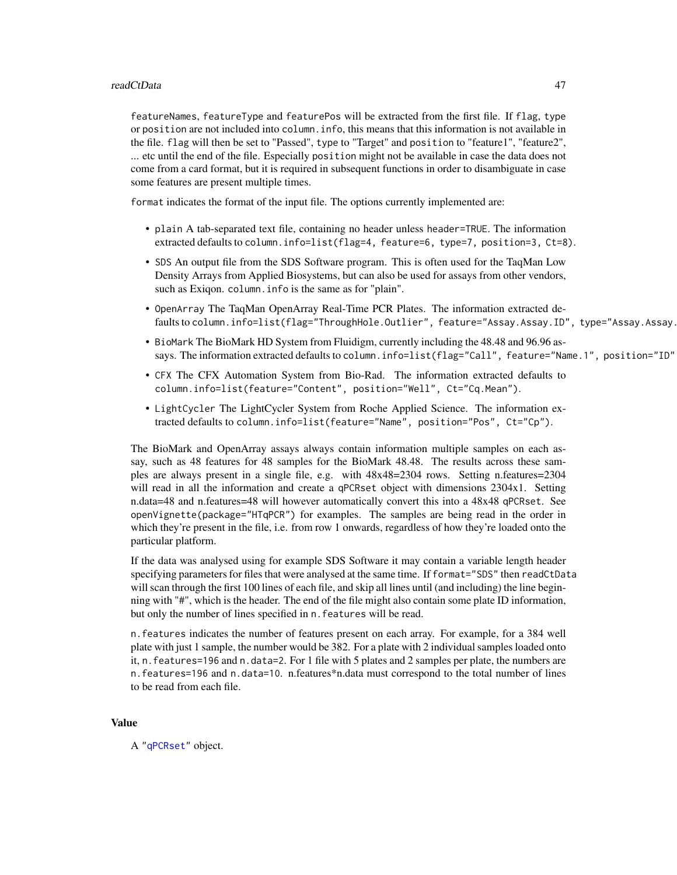featureNames, featureType and featurePos will be extracted from the first file. If flag, type or position are not included into column.info, this means that this information is not available in the file. flag will then be set to "Passed", type to "Target" and position to "feature1", "feature2", ... etc until the end of the file. Especially position might not be available in case the data does not come from a card format, but it is required in subsequent functions in order to disambiguate in case some features are present multiple times.

format indicates the format of the input file. The options currently implemented are:

- plain A tab-separated text file, containing no header unless header=TRUE. The information extracted defaults to column.info=list(flag=4, feature=6, type=7, position=3, Ct=8).
- SDS An output file from the SDS Software program. This is often used for the TaqMan Low Density Arrays from Applied Biosystems, but can also be used for assays from other vendors, such as Exiqon. column.info is the same as for "plain".
- OpenArray The TaqMan OpenArray Real-Time PCR Plates. The information extracted defaults to column.info=list(flag="ThroughHole.Outlier", feature="Assay.Assay.ID", type="Assay.Assay.
- BioMark The BioMark HD System from Fluidigm, currently including the 48.48 and 96.96 assays. The information extracted defaults to column.info=list(flag="Call", feature="Name.1", position="ID"
- CFX The CFX Automation System from Bio-Rad. The information extracted defaults to column.info=list(feature="Content", position="Well", Ct="Cq.Mean").
- LightCycler The LightCycler System from Roche Applied Science. The information extracted defaults to column.info=list(feature="Name", position="Pos", Ct="Cp").

The BioMark and OpenArray assays always contain information multiple samples on each assay, such as 48 features for 48 samples for the BioMark 48.48. The results across these samples are always present in a single file, e.g. with 48x48=2304 rows. Setting n.features=2304 will read in all the information and create a qPCRset object with dimensions 2304x1. Setting n.data=48 and n.features=48 will however automatically convert this into a 48x48 qPCRset. See openVignette(package="HTqPCR") for examples. The samples are being read in the order in which they're present in the file, i.e. from row 1 onwards, regardless of how they're loaded onto the particular platform.

If the data was analysed using for example SDS Software it may contain a variable length header specifying parameters for files that were analysed at the same time. If format="SDS" then readCtData will scan through the first 100 lines of each file, and skip all lines until (and including) the line beginning with "#", which is the header. The end of the file might also contain some plate ID information, but only the number of lines specified in n. features will be read.

n.features indicates the number of features present on each array. For example, for a 384 well plate with just 1 sample, the number would be 382. For a plate with 2 individual samples loaded onto it, n.features=196 and n.data=2. For 1 file with 5 plates and 2 samples per plate, the numbers are n.features=196 and n.data=10. n.features\*n.data must correspond to the total number of lines to be read from each file.

### Value

A ["qPCRset"](#page-42-1) object.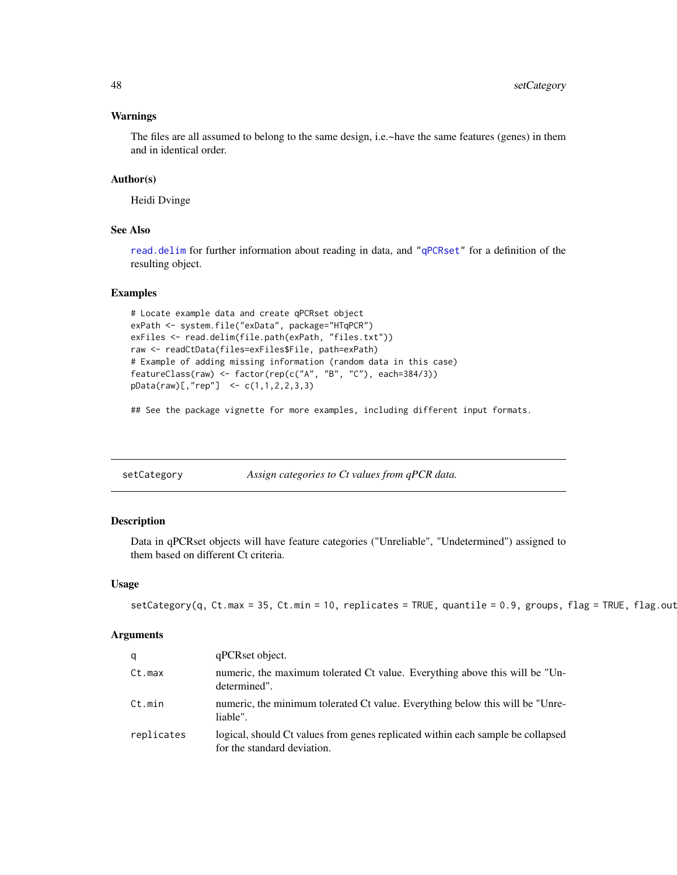#### <span id="page-47-0"></span>Warnings

The files are all assumed to belong to the same design, i.e.~have the same features (genes) in them and in identical order.

#### Author(s)

Heidi Dvinge

# See Also

[read.delim](#page-0-0) for further information about reading in data, and ["qPCRset"](#page-42-1) for a definition of the resulting object.

### Examples

```
# Locate example data and create qPCRset object
exPath <- system.file("exData", package="HTqPCR")
exFiles <- read.delim(file.path(exPath, "files.txt"))
raw <- readCtData(files=exFiles$File, path=exPath)
# Example of adding missing information (random data in this case)
featureClass(raw) <- factor(rep(c("A", "B", "C"), each=384/3))
pData(raw)[,"rep"] <- c(1,1,2,2,3,3)
```
## See the package vignette for more examples, including different input formats.

<span id="page-47-1"></span>setCategory *Assign categories to Ct values from qPCR data.*

# Description

Data in qPCRset objects will have feature categories ("Unreliable", "Undetermined") assigned to them based on different Ct criteria.

#### Usage

```
setCategory(q, Ct.max = 35, Ct.min = 10, replicates = TRUE, quantile = 0.9, groups, flag = TRUE, flag.out
```
#### Arguments

| q          | qPCRset object.                                                                                                |
|------------|----------------------------------------------------------------------------------------------------------------|
| Ct.max     | numeric, the maximum tolerated Ct value. Everything above this will be "Un-<br>determined".                    |
| Ct.min     | numeric, the minimum tolerated Ct value. Everything below this will be "Unre-<br>liable".                      |
| replicates | logical, should Ct values from genes replicated within each sample be collapsed<br>for the standard deviation. |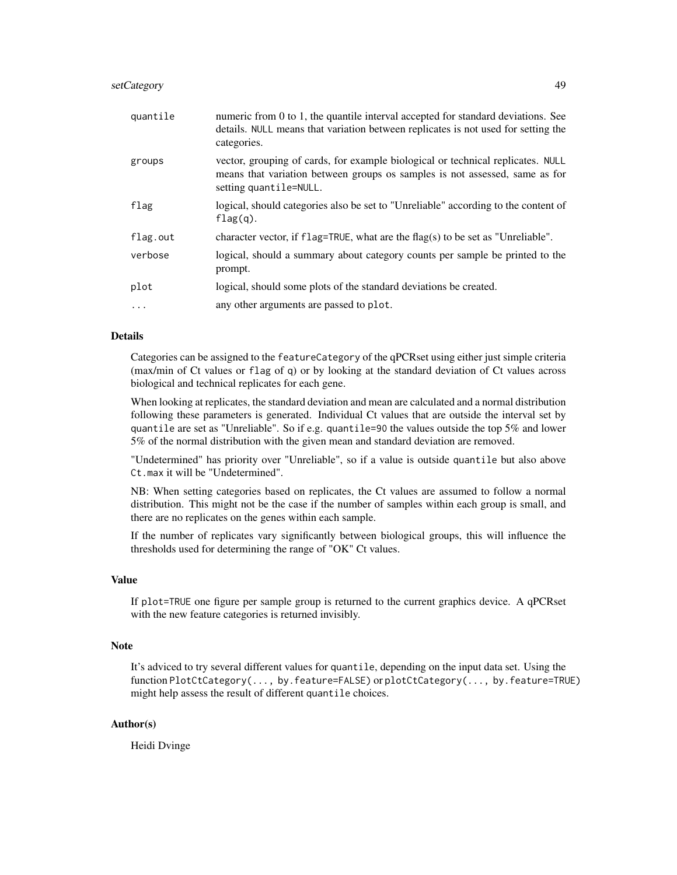# setCategory 49

| quantile | numeric from 0 to 1, the quantile interval accepted for standard deviations. See<br>details. NULL means that variation between replicates is not used for setting the<br>categories.     |
|----------|------------------------------------------------------------------------------------------------------------------------------------------------------------------------------------------|
| groups   | vector, grouping of cards, for example biological or technical replicates. NULL<br>means that variation between groups os samples is not assessed, same as for<br>setting quantile=NULL. |
| flag     | logical, should categories also be set to "Unreliable" according to the content of<br>$flag(q)$ .                                                                                        |
| flag.out | character vector, if $flag = TRUE$ , what are the $flag(s)$ to be set as "Unreliable".                                                                                                   |
| verbose  | logical, should a summary about category counts per sample be printed to the<br>prompt.                                                                                                  |
| plot     | logical, should some plots of the standard deviations be created.                                                                                                                        |
| $\cdots$ | any other arguments are passed to plot.                                                                                                                                                  |

# Details

Categories can be assigned to the featureCategory of the qPCRset using either just simple criteria (max/min of Ct values or flag of q) or by looking at the standard deviation of Ct values across biological and technical replicates for each gene.

When looking at replicates, the standard deviation and mean are calculated and a normal distribution following these parameters is generated. Individual Ct values that are outside the interval set by quantile are set as "Unreliable". So if e.g. quantile=90 the values outside the top 5% and lower 5% of the normal distribution with the given mean and standard deviation are removed.

"Undetermined" has priority over "Unreliable", so if a value is outside quantile but also above Ct.max it will be "Undetermined".

NB: When setting categories based on replicates, the Ct values are assumed to follow a normal distribution. This might not be the case if the number of samples within each group is small, and there are no replicates on the genes within each sample.

If the number of replicates vary significantly between biological groups, this will influence the thresholds used for determining the range of "OK" Ct values.

#### Value

If plot=TRUE one figure per sample group is returned to the current graphics device. A qPCRset with the new feature categories is returned invisibly.

#### Note

It's adviced to try several different values for quantile, depending on the input data set. Using the function PlotCtCategory(..., by.feature=FALSE) or plotCtCategory(..., by.feature=TRUE) might help assess the result of different quantile choices.

## Author(s)

Heidi Dvinge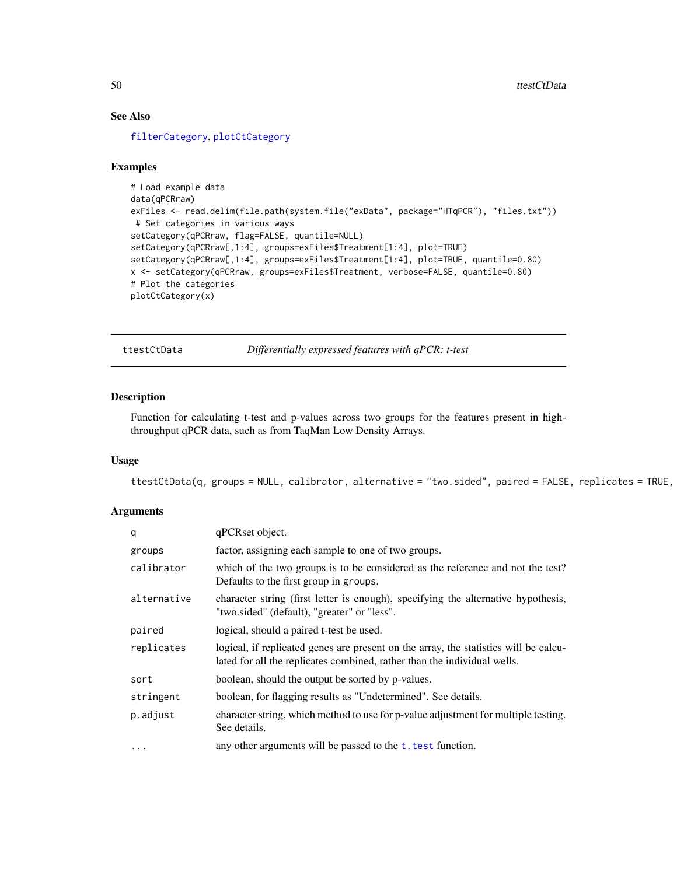# See Also

[filterCategory](#page-7-1), [plotCtCategory](#page-21-1)

#### Examples

```
# Load example data
data(qPCRraw)
exFiles <- read.delim(file.path(system.file("exData", package="HTqPCR"), "files.txt"))
# Set categories in various ways
setCategory(qPCRraw, flag=FALSE, quantile=NULL)
setCategory(qPCRraw[,1:4], groups=exFiles$Treatment[1:4], plot=TRUE)
setCategory(qPCRraw[,1:4], groups=exFiles$Treatment[1:4], plot=TRUE, quantile=0.80)
x <- setCategory(qPCRraw, groups=exFiles$Treatment, verbose=FALSE, quantile=0.80)
# Plot the categories
plotCtCategory(x)
```
<span id="page-49-1"></span>ttestCtData *Differentially expressed features with qPCR: t-test*

#### Description

Function for calculating t-test and p-values across two groups for the features present in highthroughput qPCR data, such as from TaqMan Low Density Arrays.

# Usage

 $ttestCtData(q, groups = NULL, calibration, alternative = "two.sided", paired = FALSE, replicates = TRUE,$ 

#### Arguments

| q           | qPCRset object.                                                                                                                                                  |
|-------------|------------------------------------------------------------------------------------------------------------------------------------------------------------------|
| groups      | factor, assigning each sample to one of two groups.                                                                                                              |
| calibrator  | which of the two groups is to be considered as the reference and not the test?<br>Defaults to the first group in groups.                                         |
| alternative | character string (first letter is enough), specifying the alternative hypothesis,<br>"two.sided" (default), "greater" or "less".                                 |
| paired      | logical, should a paired t-test be used.                                                                                                                         |
| replicates  | logical, if replicated genes are present on the array, the statistics will be calcu-<br>lated for all the replicates combined, rather than the individual wells. |
| sort        | boolean, should the output be sorted by p-values.                                                                                                                |
| stringent   | boolean, for flagging results as "Undetermined". See details.                                                                                                    |
| p.adjust    | character string, which method to use for p-value adjustment for multiple testing.<br>See details.                                                               |
| $\cdots$    | any other arguments will be passed to the t. test function.                                                                                                      |

<span id="page-49-0"></span>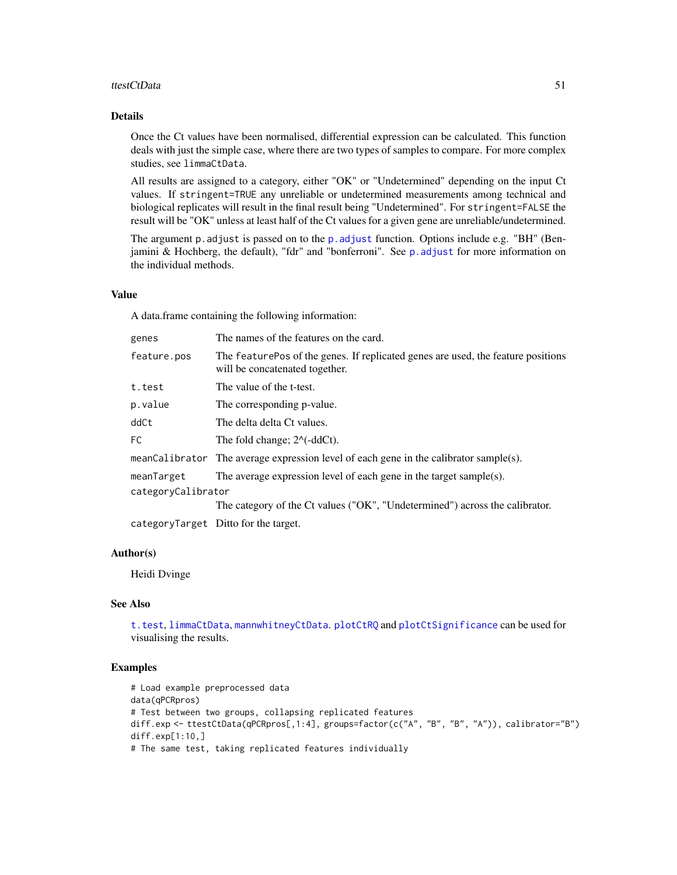#### ttestCtData 51

### Details

Once the Ct values have been normalised, differential expression can be calculated. This function deals with just the simple case, where there are two types of samples to compare. For more complex studies, see limmaCtData.

All results are assigned to a category, either "OK" or "Undetermined" depending on the input Ct values. If stringent=TRUE any unreliable or undetermined measurements among technical and biological replicates will result in the final result being "Undetermined". For stringent=FALSE the result will be "OK" unless at least half of the Ct values for a given gene are unreliable/undetermined.

The argument [p.adjust](#page-0-0) is passed on to the p.adjust function. Options include e.g. "BH" (Benjamini & Hochberg, the default), "fdr" and "bonferroni". See [p.adjust](#page-0-0) for more information on the individual methods.

#### Value

A data.frame containing the following information:

| genes              | The names of the features on the card.                                                                              |  |
|--------------------|---------------------------------------------------------------------------------------------------------------------|--|
| feature.pos        | The feature Pos of the genes. If replicated genes are used, the feature positions<br>will be concatenated together. |  |
| t.test             | The value of the t-test.                                                                                            |  |
| p.value            | The corresponding p-value.                                                                                          |  |
| ddCt               | The delta delta Ct values.                                                                                          |  |
| FC.                | The fold change; $2^{\wedge}$ -ddCt).                                                                               |  |
|                    | meanCalibrator The average expression level of each gene in the calibrator sample(s).                               |  |
| meanTarget         | The average expression level of each gene in the target sample(s).                                                  |  |
| categoryCalibrator |                                                                                                                     |  |
|                    | The category of the Ct values ("OK", "Undetermined") across the calibrator.                                         |  |
|                    | categoryTarget Ditto for the target.                                                                                |  |

#### Author(s)

Heidi Dvinge

#### See Also

[t.test](#page-0-0), [limmaCtData](#page-11-1), [mannwhitneyCtData](#page-13-1). [plotCtRQ](#page-33-1) and [plotCtSignificance](#page-35-1) can be used for visualising the results.

#### Examples

```
# Load example preprocessed data
data(qPCRpros)
# Test between two groups, collapsing replicated features
diff.exp <- ttestCtData(qPCRpros[,1:4], groups=factor(c("A", "B", "B", "A")), calibrator="B")
diff.exp[1:10,]
# The same test, taking replicated features individually
```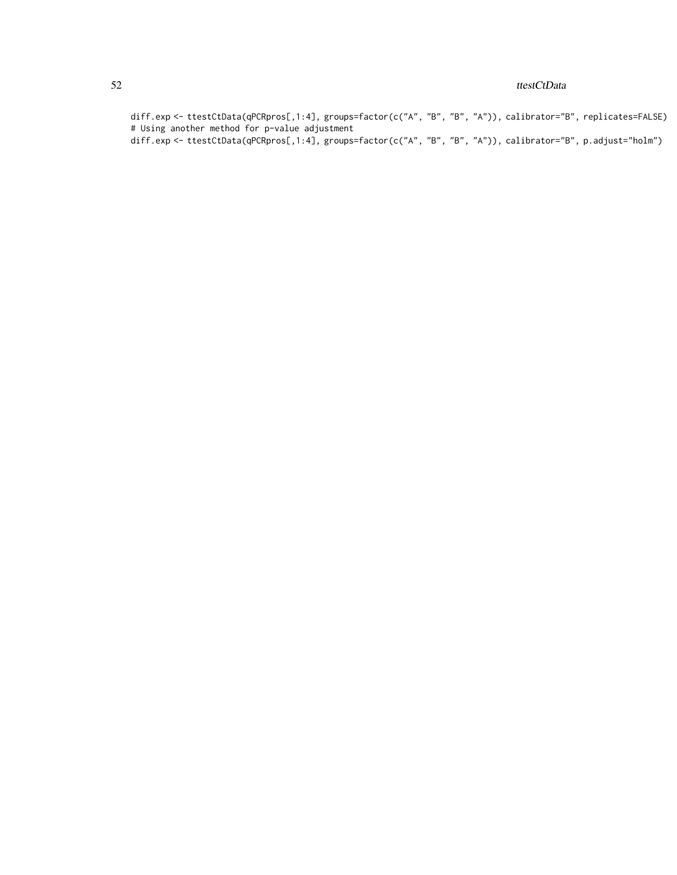#### 52 ttestCtData

diff.exp <- ttestCtData(qPCRpros[,1:4], groups=factor(c("A", "B", "B", "A")), calibrator="B", replicates=FALSE) # Using another method for p-value adjustment

diff.exp <- ttestCtData(qPCRpros[,1:4], groups=factor(c("A", "B", "B", "A")), calibrator="B", p.adjust="holm")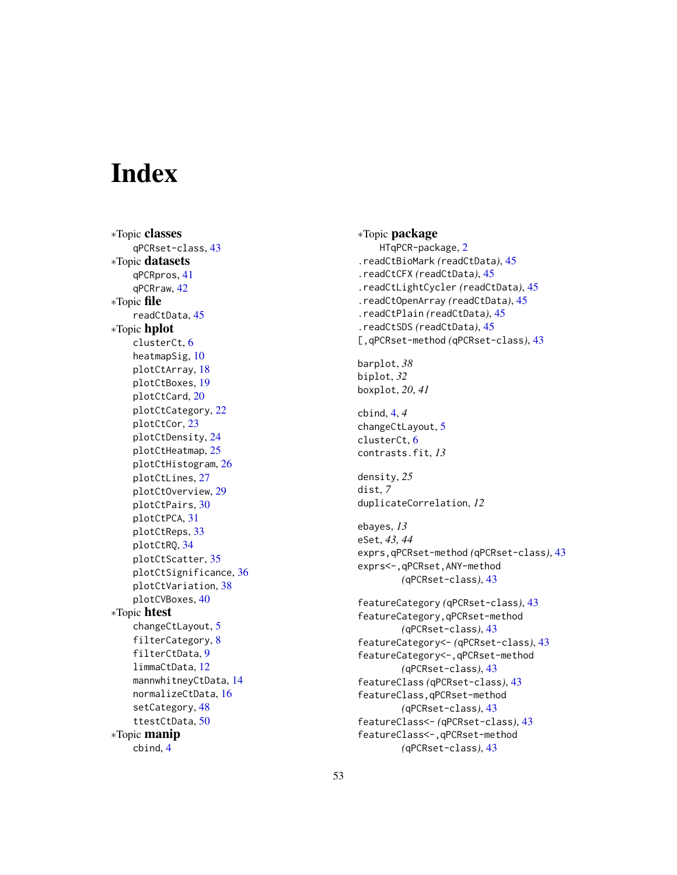# <span id="page-52-0"></span>**Index**

∗Topic classes qPCRset-class , [43](#page-42-0) ∗Topic datasets qPCRpros , [41](#page-40-0) qPCRraw , [42](#page-41-0) ∗Topic file readCtData , [45](#page-44-0) ∗Topic hplot clusterCt , [6](#page-5-0) heatmapSig, [10](#page-9-0) plotCtArray , [18](#page-17-0) plotCtBoxes , [19](#page-18-0) plotCtCard , [20](#page-19-0) plotCtCategory , [22](#page-21-0) plotCtCor , [23](#page-22-0) plotCtDensity , [24](#page-23-0) plotCtHeatmap , [25](#page-24-0) plotCtHistogram , [26](#page-25-0) plotCtLines , [27](#page-26-0) plotCtOverview , [29](#page-28-0) plotCtPairs , [30](#page-29-0) plotCtPCA , [31](#page-30-0) plotCtReps , [33](#page-32-0) plotCtRQ , [34](#page-33-0) plotCtScatter , [35](#page-34-0) plotCtSignificance , [36](#page-35-0) plotCtVariation , [38](#page-37-0) plotCVBoxes , [40](#page-39-0) ∗Topic htest changeCtLayout , [5](#page-4-0) filterCategory , [8](#page-7-0) filterCtData , [9](#page-8-0) limmaCtData , [12](#page-11-0) mannwhitneyCtData, [14](#page-13-0) normalizeCtData , [16](#page-15-0) setCategory, [48](#page-47-0) ttestCtData , [50](#page-49-0) ∗Topic manip cbind , [4](#page-3-0)

∗Topic package HTqPCR-package , [2](#page-1-0) .readCtBioMark *(*readCtData *)* , [45](#page-44-0) .readCtCFX *(*readCtData *)* , [45](#page-44-0) .readCtLightCycler *(*readCtData *)* , [45](#page-44-0) .readCtOpenArray *(*readCtData *)* , [45](#page-44-0) .readCtPlain *(*readCtData *)* , [45](#page-44-0) .readCtSDS *(*readCtData *)* , [45](#page-44-0) [,qPCRset-method *(*qPCRset-class *)* , [43](#page-42-0) barplot , *38* biplot , *32* boxplot , *20* , *41* cbind , [4](#page-3-0) , *4* changeCtLayout , [5](#page-4-0) clusterCt , [6](#page-5-0) contrasts.fit , *13* density , *25* dist , *7* duplicateCorrelation , *12* ebayes , *13* eSet , *43, 44* exprs,qPCRset-method *(*qPCRset-class *)* , [43](#page-42-0) exprs<-,qPCRset,ANY-method *(*qPCRset-class*)*, [43](#page-42-0) featureCategory *(*qPCRset-class *)* , [43](#page-42-0) featureCategory,qPCRset-method *(*qPCRset-class*)*, [43](#page-42-0) featureCategory<- *(*qPCRset-class *)* , [43](#page-42-0) featureCategory<-,qPCRset-method *(*qPCRset-class*)*, [43](#page-42-0) featureClass *(*qPCRset-class *)* , [43](#page-42-0) featureClass,qPCRset-method *(*qPCRset-class*)*, [43](#page-42-0) featureClass<- *(*qPCRset-class *)* , [43](#page-42-0) featureClass<-,qPCRset-method *(*qPCRset-class*)*, [43](#page-42-0)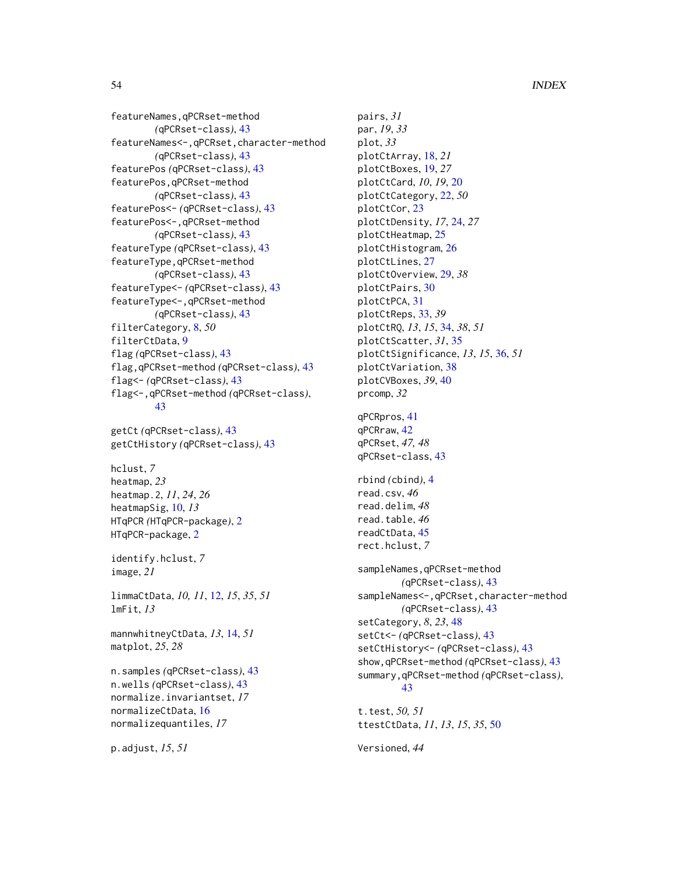featureNames,qPCRset-method *(*qPCRset-class*)*, [43](#page-42-0) featureNames<-,qPCRset,character-method *(*qPCRset-class*)*, [43](#page-42-0) featurePos *(*qPCRset-class*)*, [43](#page-42-0) featurePos,qPCRset-method *(*qPCRset-class*)*, [43](#page-42-0) featurePos<- *(*qPCRset-class*)*, [43](#page-42-0) featurePos<-,qPCRset-method *(*qPCRset-class*)*, [43](#page-42-0) featureType *(*qPCRset-class*)*, [43](#page-42-0) featureType,qPCRset-method *(*qPCRset-class*)*, [43](#page-42-0) featureType<- *(*qPCRset-class*)*, [43](#page-42-0) featureType<-,qPCRset-method *(*qPCRset-class*)*, [43](#page-42-0) filterCategory, [8,](#page-7-0) *50* filterCtData, [9](#page-8-0) flag *(*qPCRset-class*)*, [43](#page-42-0) flag,qPCRset-method *(*qPCRset-class*)*, [43](#page-42-0) flag<- *(*qPCRset-class*)*, [43](#page-42-0) flag<-,qPCRset-method *(*qPCRset-class*)*, [43](#page-42-0)

getCt *(*qPCRset-class*)*, [43](#page-42-0) getCtHistory *(*qPCRset-class*)*, [43](#page-42-0)

hclust, *7* heatmap, *23* heatmap.2, *11*, *24*, *26* heatmapSig, [10,](#page-9-0) *13* HTqPCR *(*HTqPCR-package*)*, [2](#page-1-0) HTqPCR-package, [2](#page-1-0)

identify.hclust, *7* image, *21*

limmaCtData, *10, 11*, [12,](#page-11-0) *15*, *35*, *51* lmFit, *13*

mannwhitneyCtData, *13*, [14,](#page-13-0) *51* matplot, *25*, *28*

n.samples *(*qPCRset-class*)*, [43](#page-42-0) n.wells *(*qPCRset-class*)*, [43](#page-42-0) normalize.invariantset, *17* normalizeCtData, [16](#page-15-0) normalizequantiles, *17*

p.adjust, *15*, *51*

pairs, *31* par, *19*, *33* plot, *33* plotCtArray, [18,](#page-17-0) *21* plotCtBoxes, [19,](#page-18-0) *27* plotCtCard, *10*, *19*, [20](#page-19-0) plotCtCategory, [22,](#page-21-0) *50* plotCtCor, [23](#page-22-0) plotCtDensity, *17*, [24,](#page-23-0) *27* plotCtHeatmap, [25](#page-24-0) plotCtHistogram, [26](#page-25-0) plotCtLines, [27](#page-26-0) plotCtOverview, [29,](#page-28-0) *38* plotCtPairs, [30](#page-29-0) plotCtPCA, [31](#page-30-0) plotCtReps, [33,](#page-32-0) *39* plotCtRQ, *13*, *15*, [34,](#page-33-0) *38*, *51* plotCtScatter, *31*, [35](#page-34-0) plotCtSignificance, *13*, *15*, [36,](#page-35-0) *51* plotCtVariation, [38](#page-37-0) plotCVBoxes, *39*, [40](#page-39-0) prcomp, *32* qPCRpros, [41](#page-40-0) qPCRraw, [42](#page-41-0) qPCRset, *47, 48* qPCRset-class, [43](#page-42-0) rbind *(*cbind*)*, [4](#page-3-0) read.csv, *46* read.delim, *48* read.table, *46* readCtData, [45](#page-44-0) rect.hclust, *7* sampleNames,qPCRset-method *(*qPCRset-class*)*, [43](#page-42-0) sampleNames<-,qPCRset,character-method *(*qPCRset-class*)*, [43](#page-42-0) setCategory, *8*, *23*, [48](#page-47-0) setCt<- *(*qPCRset-class*)*, [43](#page-42-0) setCtHistory<- *(*qPCRset-class*)*, [43](#page-42-0) show,qPCRset-method *(*qPCRset-class*)*, [43](#page-42-0) summary,qPCRset-method *(*qPCRset-class*)*, [43](#page-42-0) t.test, *50, 51* ttestCtData, *11*, *13*, *15*, *35*, [50](#page-49-0)

Versioned, *44*